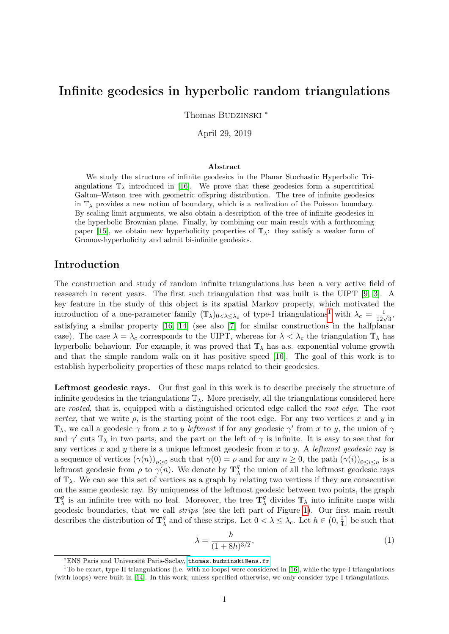# <span id="page-0-1"></span>Infinite geodesics in hyperbolic random triangulations

Thomas BUDZINSKI \*

April 29, 2019

#### Abstract

We study the structure of infinite geodesics in the Planar Stochastic Hyperbolic Triangulations  $\mathbb{T}_{\lambda}$  introduced in [\[16\]](#page-38-0). We prove that these geodesics form a supercritical Galton–Watson tree with geometric offspring distribution. The tree of infinite geodesics in  $\mathbb{T}_{\lambda}$  provides a new notion of boundary, which is a realization of the Poisson boundary. By scaling limit arguments, we also obtain a description of the tree of infinite geodesics in the hyperbolic Brownian plane. Finally, by combining our main result with a forthcoming paper [\[15\]](#page-38-1), we obtain new hyperbolicity properties of  $\mathbb{T}_{\lambda}$ : they satisfy a weaker form of Gromov-hyperbolicity and admit bi-infinite geodesics.

# Introduction

The construction and study of random infinite triangulations has been a very active field of reasearch in recent years. The first such triangulation that was built is the UIPT [\[9,](#page-38-2) [3\]](#page-38-3). A key feature in the study of this object is its spatial Markov property, which motivated the introduction of a one-parameter family  $(\mathbb{T}_{\lambda})_{0<\lambda\leq\lambda_c}$  of type-I triangulations<sup>[1](#page-0-0)</sup> with  $\lambda_c=\frac{1}{12\sqrt{3}}$ , satisfying a similar property [\[16,](#page-38-0) [14\]](#page-38-4) (see also [\[7\]](#page-38-5) for similar constructions in the halfplanar case). The case  $\lambda = \lambda_c$  corresponds to the UIPT, whereas for  $\lambda < \lambda_c$  the triangulation  $\mathbb{T}_{\lambda}$  has hyperbolic behaviour. For example, it was proved that  $\mathbb{T}_{\lambda}$  has a.s. exponential volume growth and that the simple random walk on it has positive speed [\[16\]](#page-38-0). The goal of this work is to establish hyperbolicity properties of these maps related to their geodesics.

Leftmost geodesic rays. Our first goal in this work is to describe precisely the structure of infinite geodesics in the triangulations  $\mathbb{T}_{\lambda}$ . More precisely, all the triangulations considered here are rooted, that is, equipped with a distinguished oriented edge called the root edge. The root vertex, that we write  $\rho$ , is the starting point of the root edge. For any two vertices x and y in  $\mathbb{T}_{\lambda}$ , we call a geodesic  $\gamma$  from x to y leftmost if for any geodesic  $\gamma'$  from x to y, the union of  $\gamma$ and  $\gamma'$  cuts  $\mathbb{T}_{\lambda}$  in two parts, and the part on the left of  $\gamma$  is infinite. It is easy to see that for any vertices x and y there is a unique leftmost geodesic from x to y. A leftmost geodesic ray is a sequence of vertices  $(\gamma(n))_{n\geq 0}$  such that  $\gamma(0) = \rho$  and for any  $n \geq 0$ , the path  $(\gamma(i))_{0 \leq i \leq n}$  is a leftmost geodesic from  $\rho$  to  $\gamma(n)$ . We denote by  $\mathbf{T}_3^g$  $\frac{g}{\lambda}$  the union of all the leftmost geodesic rays of  $\mathbb{T}_{\lambda}$ . We can see this set of vertices as a graph by relating two vertices if they are consecutive on the same geodesic ray. By uniqueness of the leftmost geodesic between two points, the graph  $\mathbf{T}^g_\lambda$  $\frac{g}{\lambda}$  is an infinite tree with no leaf. Moreover, the tree  $\mathbf{T}_{\lambda}^{g}$  $\frac{g}{\lambda}$  divides  $\mathbb{T}_{\lambda}$  into infinite maps with geodesic boundaries, that we call strips (see the left part of Figure [1\)](#page-2-0). Our first main result describes the distribution of  $\mathbf{T}_{\lambda}^{g}$  $\frac{g}{\lambda}$  and of these strips. Let  $0 < \lambda \leq \lambda_c$ . Let  $h \in \left(0, \frac{1}{4}\right)$  $\frac{1}{4}$  be such that

<span id="page-0-2"></span>
$$
\lambda = \frac{h}{(1 + 8h)^{3/2}},\tag{1}
$$

<span id="page-0-0"></span><sup>∗</sup>ENS Paris and Université Paris-Saclay, <thomas.budzinski@ens.fr>

 $1^1$ To be exact, type-II triangulations (i.e. with no loops) were considered in [\[16\]](#page-38-0), while the type-I triangulations (with loops) were built in [\[14\]](#page-38-4). In this work, unless specified otherwise, we only consider type-I triangulations.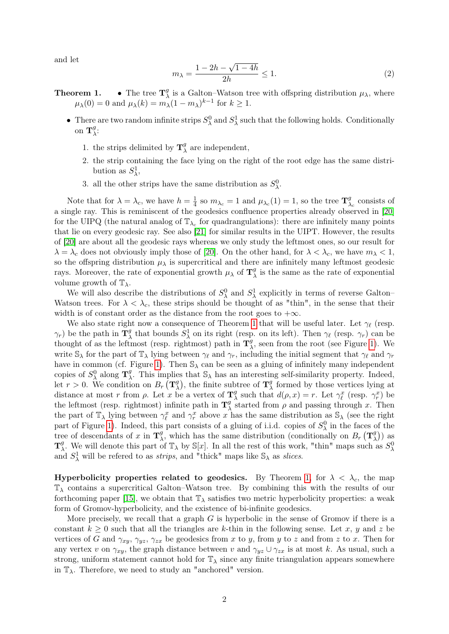and let

<span id="page-1-0"></span>
$$
m_{\lambda} = \frac{1 - 2h - \sqrt{1 - 4h}}{2h} \le 1.
$$
 (2)

- **Theorem 1.** The tree  $\mathbf{T}_{\lambda}^{g}$  $\chi^g$  is a Galton–Watson tree with offspring distribution  $\mu_\lambda$ , where  $\mu_{\lambda}(0) = 0$  and  $\mu_{\lambda}(k) = m_{\lambda}(1 - m_{\lambda})^{k-1}$  for  $k \geq 1$ .
	- There are two random infinite strips  $S^0_\lambda$  and  $S^1_\lambda$  such that the following holds. Conditionally on  $\mathbf{T}_{\lambda}^{g}$  $\frac{g}{\lambda}$ :
		- 1. the strips delimited by  $\mathbf{T}_{\lambda}^{g}$  $\lambda$  are independent,
		- 2. the strip containing the face lying on the right of the root edge has the same distribution as  $S^1_\lambda$ ,
		- 3. all the other strips have the same distribution as  $S^0_\lambda$ .

Note that for  $\lambda = \lambda_c$ , we have  $h = \frac{1}{4}$  $\frac{1}{4}$  so  $m_{\lambda_c} = 1$  and  $\mu_{\lambda_c}(1) = 1$ , so the tree  $\mathbf{T}^9$  $\lambda_c$  consists of a single ray. This is reminiscent of the geodesics confluence properties already observed in [\[20\]](#page-39-0) for the UIPQ (the natural analog of  $\mathbb{T}_{\lambda_c}$  for quadrangulations): there are infinitely many points that lie on every geodesic ray. See also [\[21\]](#page-39-1) for similar results in the UIPT. However, the results of [\[20\]](#page-39-0) are about all the geodesic rays whereas we only study the leftmost ones, so our result for  $\lambda = \lambda_c$  does not obviously imply those of [\[20\]](#page-39-0). On the other hand, for  $\lambda < \lambda_c$ , we have  $m_\lambda < 1$ , so the offspring distribution  $\mu_{\lambda}$  is supercritical and there are infinitely many leftmost geodesic rays. Moreover, the rate of exponential growth  $\mu_{\lambda}$  of  $\mathbf{T}_{\lambda}^{g}$  $\frac{g}{\lambda}$  is the same as the rate of exponential volume growth of  $\mathbb{T}_{\lambda}$ .

We will also describe the distributions of  $S^0_\lambda$  and  $S^1_\lambda$  explicitly in terms of reverse Galton– Watson trees. For  $\lambda < \lambda_c$ , these strips should be thought of as "thin", in the sense that their width is of constant order as the distance from the root goes to  $+\infty$ .

We also state right now a consequence of Theorem [1](#page-0-1) that will be useful later. Let  $\gamma_{\ell}$  (resp.  $\gamma_r$ ) be the path in  $\mathbf{T}_{\lambda}^g$  $\chi^g$  that bounds  $S^1_\lambda$  on its right (resp. on its left). Then  $\gamma_\ell$  (resp.  $\gamma_r$ ) can be thought of as the leftmost (resp. rightmost) path in  $\mathbf{T}_3^g$  $\frac{g}{\lambda}$ , seen from the root (see Figure [1\)](#page-2-0). We write  $\mathbb{S}_{\lambda}$  for the part of  $\mathbb{T}_{\lambda}$  lying between  $\gamma_{\ell}$  and  $\gamma_r$ , including the initial segment that  $\gamma_{\ell}$  and  $\gamma_r$ have in common (cf. Figure [1\)](#page-2-0). Then  $\mathbb{S}_{\lambda}$  can be seen as a gluing of infinitely many independent copies of  $S^0_\lambda$  along  $\mathbf{T}^g_\lambda$ <sup>g</sup>. This implies that  $\mathbb{S}_{\lambda}$  has an interesting self-similarity property. Indeed, let  $r > 0$ . We condition on  $B_r(\mathbf{T}_\lambda^g)$  $\mathcal{L}_{\lambda}^{g}$ , the finite subtree of  $\mathbf{T}_{\lambda}^{g}$  $\frac{g}{\lambda}$  formed by those vertices lying at distance at most r from  $\rho$ . Let x be a vertex of  $\mathbf{T}_3^9$ <sup>g</sup> such that  $d(\rho, x) = r$ . Let  $\gamma_{\ell}^{x}$  (resp.  $\gamma_{r}^{x}$ ) be the leftmost (resp. rightmost) infinite path in  $\mathbf{T}_2^g$ <sup>g</sup> started from  $\rho$  and passing through x. Then the part of  $\mathbb{T}_{\lambda}$  lying between  $\gamma_{\ell}^{x}$  and  $\gamma_{r}^{x}$  above x has the same distribution as  $\mathbb{S}_{\lambda}$  (see the right part of Figure [1\)](#page-2-0). Indeed, this part consists of a gluing of i.i.d. copies of  $S_\lambda^0$  in the faces of the tree of descendants of x in  $\mathbf{T}_{\lambda}^{g}$ <sup>g</sup>, which has the same distribution (conditionally on  $B_r(\mathbf{T}_2^g)$  $\binom{g}{\lambda}$ ) as  $\mathbf{T}^g_\lambda$ <sup>g</sup>. We will denote this part of  $\mathbb{T}_{\lambda}$  by  $\mathbb{S}[x]$ . In all the rest of this work, "thin" maps such as  $S_{\lambda}^{0}$ and  $S^1_\lambda$  will be refered to as *strips*, and "thick" maps like  $\mathbb{S}_\lambda$  as *slices*.

Hyperbolicity properties related to geodesics. By Theorem [1,](#page-0-1) for  $\lambda < \lambda_c$ , the map  $\mathbb{T}_{\lambda}$  contains a supercritical Galton–Watson tree. By combining this with the results of our forthcoming paper [\[15\]](#page-38-1), we obtain that  $\mathbb{T}_{\lambda}$  satisfies two metric hyperbolicity properties: a weak form of Gromov-hyperbolicity, and the existence of bi-infinite geodesics.

More precisely, we recall that a graph  $G$  is hyperbolic in the sense of Gromov if there is a constant  $k \geq 0$  such that all the triangles are k-thin in the following sense. Let x, y and z be vertices of G and  $\gamma_{xy}, \gamma_{yz}, \gamma_{zx}$  be geodesics from x to y, from y to z and from z to x. Then for any vertex v on  $\gamma_{xy}$ , the graph distance between v and  $\gamma_{yz} \cup \gamma_{zx}$  is at most k. As usual, such a strong, uniform statement cannot hold for  $\mathbb{T}_{\lambda}$  since any finite triangulation appears somewhere in  $\mathbb{T}_{\lambda}$ . Therefore, we need to study an "anchored" version.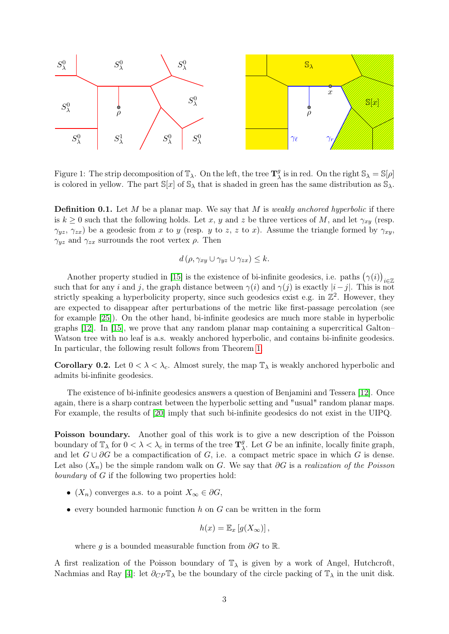

<span id="page-2-0"></span>Figure 1: The strip decomposition of  $\mathbb{T}_{\lambda}$ . On the left, the tree  $\mathbf{T}_{\lambda}^{g}$  $\frac{g}{\lambda}$  is in red. On the right  $\mathbb{S}_{\lambda} = \mathbb{S}[\rho]$ is colored in yellow. The part  $\mathbb{S}[x]$  of  $\mathbb{S}_{\lambda}$  that is shaded in green has the same distribution as  $\mathbb{S}_{\lambda}$ .

**Definition 0.1.** Let  $M$  be a planar map. We say that  $M$  is weakly anchored hyperbolic if there is  $k \geq 0$  such that the following holds. Let x, y and z be three vertices of M, and let  $\gamma_{xy}$  (resp.  $(\gamma_{yz}, \gamma_{zx})$  be a geodesic from x to y (resp. y to z, z to x). Assume the triangle formed by  $\gamma_{xy}$ ,  $\gamma_{yz}$  and  $\gamma_{zx}$  surrounds the root vertex  $\rho$ . Then

$$
d(\rho, \gamma_{xy} \cup \gamma_{yz} \cup \gamma_{zx}) \leq k.
$$

Another property studied in [\[15\]](#page-38-1) is the existence of bi-infinite geodesics, i.e. paths  $(\gamma(i))_{i\in\mathbb{Z}}$ such that for any i and j, the graph distance between  $\gamma(i)$  and  $\gamma(j)$  is exactly  $|i-j|$ . This is not strictly speaking a hyperbolicity property, since such geodesics exist e.g. in  $\mathbb{Z}^2$ . However, they are expected to disappear after perturbations of the metric like first-passage percolation (see for example [\[25\]](#page-39-2)). On the other hand, bi-infinite geodesics are much more stable in hyperbolic graphs [\[12\]](#page-38-6). In [\[15\]](#page-38-1), we prove that any random planar map containing a supercritical Galton– Watson tree with no leaf is a.s. weakly anchored hyperbolic, and contains bi-infinite geodesics. In particular, the following result follows from Theorem [1.](#page-0-1)

Corollary 0.2. Let  $0 < \lambda < \lambda_c$ . Almost surely, the map  $\mathbb{T}_{\lambda}$  is weakly anchored hyperbolic and admits bi-infinite geodesics.

The existence of bi-infinite geodesics answers a question of Benjamini and Tessera [\[12\]](#page-38-6). Once again, there is a sharp contrast between the hyperbolic setting and "usual" random planar maps. For example, the results of [\[20\]](#page-39-0) imply that such bi-infinite geodesics do not exist in the UIPQ.

Poisson boundary. Another goal of this work is to give a new description of the Poisson boundary of  $\mathbb{T}_{\lambda}$  for  $0 < \lambda < \lambda_c$  in terms of the tree  $\mathbf{T}_{\lambda}^g$ <sup>g</sup>. Let G be an infinite, locally finite graph, and let  $G \cup \partial G$  be a compactification of G, i.e. a compact metric space in which G is dense. Let also  $(X_n)$  be the simple random walk on G. We say that ∂G is a realization of the Poisson boundary of  $G$  if the following two properties hold:

- $(X_n)$  converges a.s. to a point  $X_\infty \in \partial G$ ,
- every bounded harmonic function  $h$  on  $G$  can be written in the form

$$
h(x) = \mathbb{E}_x [g(X_{\infty})],
$$

where g is a bounded measurable function from  $\partial G$  to  $\mathbb{R}$ .

A first realization of the Poisson boundary of  $\mathbb{T}_{\lambda}$  is given by a work of Angel, Hutchcroft, Nachmias and Ray [\[4\]](#page-38-7): let  $\partial_{CP} \mathbb{T}_{\lambda}$  be the boundary of the circle packing of  $\mathbb{T}_{\lambda}$  in the unit disk.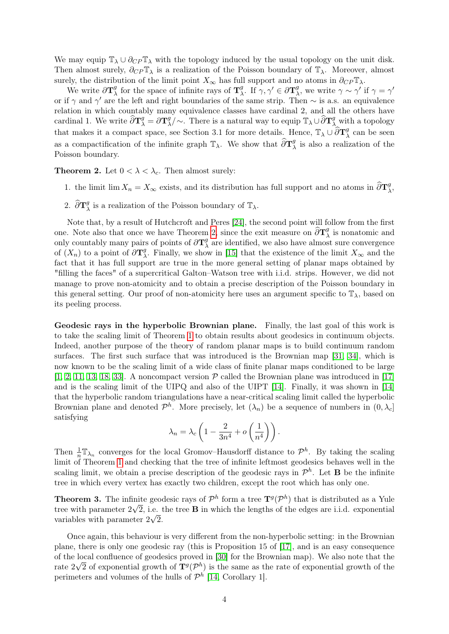We may equip  $\mathbb{T}_{\lambda} \cup \partial_{CP} \mathbb{T}_{\lambda}$  with the topology induced by the usual topology on the unit disk. Then almost surely,  $\partial_{CP} \mathbb{T}_{\lambda}$  is a realization of the Poisson boundary of  $\mathbb{T}_{\lambda}$ . Moreover, almost surely, the distribution of the limit point  $X_{\infty}$  has full support and no atoms in  $\partial_{CP} \mathbb{T}_{\lambda}$ .

We write  $\partial \mathbf{T}_{\lambda}^{g}$  $\frac{g}{\lambda}$  for the space of infinite rays of  $\mathbf{T}_{\lambda}^{g}$  $\frac{g}{\lambda}$ . If  $\gamma, \gamma' \in \partial \mathbf{T}_{\lambda}^g$  $\chi^g$ , we write  $\gamma \sim \gamma'$  if  $\gamma = \gamma'$ or if  $\gamma$  and  $\gamma'$  are the left and right boundaries of the same strip. Then  $\sim$  is a.s. an equivalence relation in which countably many equivalence classes have cardinal 2, and all the others have cardinal 1. We write  $\widehat{\partial} \mathbf{T}_{\lambda}^{g} = \partial \mathbf{T}_{\lambda}^{g}$  $\mathbb{E}[\sqrt{a}]\sim \mathbb{E}[\sqrt{a} \text{ and } a$  a topology  $\mathbb{E}[\sqrt{a} \text{ and } \sqrt{a}]$  a topology that makes it a compact space, see Section 3.1 for more details. Hence,  $\mathbb{T}_{\lambda} \cup \widehat{\partial} \mathbf{T}_{\lambda}^{g}$  $\frac{g}{\lambda}$  can be seen as a compactification of the infinite graph  $\mathbb{T}_{\lambda}$ . We show that  $\widehat{\partial} \mathbf{T}_{\lambda}^{g}$  $\frac{g}{\lambda}$  is also a realization of the Poisson boundary.

<span id="page-3-0"></span>**Theorem 2.** Let  $0 < \lambda < \lambda_c$ . Then almost surely:

- 1. the limit lim  $X_n = X_\infty$  exists, and its distribution has full support and no atoms in  $\widehat{\partial} T^g_{\lambda}$  $_{\lambda}^{g},$
- 2.  $\widehat{\partial} \mathbf{T}^g_{\lambda}$  $\chi^g$  is a realization of the Poisson boundary of  $\mathbb{T}_{\lambda}$ .

Note that, by a result of Hutchcroft and Peres [\[24\]](#page-39-3), the second point will follow from the first one. Note also that once we have Theorem [2,](#page-3-0) since the exit measure on  $\widehat{\partial} T_2^g$  $\lambda$  is nonatomic and only countably many pairs of points of  $\partial \mathbf{T}_{3}^{g}$  $\frac{g}{\lambda}$  are identified, we also have almost sure convergence of  $(X_n)$  to a point of  $\partial {\bf T}_{\lambda}^g$ <sup>g</sup>. Finally, we show in [\[15\]](#page-38-1) that the existence of the limit  $X_{\infty}$  and the fact that it has full support are true in the more general setting of planar maps obtained by "filling the faces" of a supercritical Galton–Watson tree with i.i.d. strips. However, we did not manage to prove non-atomicity and to obtain a precise description of the Poisson boundary in this general setting. Our proof of non-atomicity here uses an argument specific to  $\mathbb{T}_{\lambda}$ , based on its peeling process.

Geodesic rays in the hyperbolic Brownian plane. Finally, the last goal of this work is to take the scaling limit of Theorem [1](#page-0-1) to obtain results about geodesics in continuum objects. Indeed, another purpose of the theory of random planar maps is to build continuum random surfaces. The first such surface that was introduced is the Brownian map [\[31,](#page-39-4) [34\]](#page-39-5), which is now known to be the scaling limit of a wide class of finite planar maps conditioned to be large  $[1, 2, 11, 13, 18, 33]$  $[1, 2, 11, 13, 18, 33]$  $[1, 2, 11, 13, 18, 33]$  $[1, 2, 11, 13, 18, 33]$  $[1, 2, 11, 13, 18, 33]$  $[1, 2, 11, 13, 18, 33]$ . A noncompact version  $P$  called the Brownian plane was introduced in [\[17\]](#page-38-13) and is the scaling limit of the UIPQ and also of the UIPT [\[14\]](#page-38-4). Finally, it was shown in [\[14\]](#page-38-4) that the hyperbolic random triangulations have a near-critical scaling limit called the hyperbolic Brownian plane and denoted  $\mathcal{P}^h$ . More precisely, let  $(\lambda_n)$  be a sequence of numbers in  $(0, \lambda_c]$ satisfying

$$
\lambda_n = \lambda_c \left( 1 - \frac{2}{3n^4} + o\left(\frac{1}{n^4}\right) \right).
$$

Then  $\frac{1}{n} \mathbb{T}_{\lambda_n}$  converges for the local Gromov–Hausdorff distance to  $\mathcal{P}^h$ . By taking the scaling limit of Theorem [1](#page-0-1) and checking that the tree of infinite leftmost geodesics behaves well in the scaling limit, we obtain a precise description of the geodesic rays in  $\mathcal{P}^h$ . Let **B** be the infinite tree in which every vertex has exactly two children, except the root which has only one.

<span id="page-3-1"></span>**Theorem 3.** The infinite geodesic rays of  $\mathcal{P}^h$  form a tree  $\mathbf{T}^g(\mathcal{P}^h)$  that is distributed as a Yule tree with parameter  $2\sqrt{2}$ , i.e. the tree **B** in which the lengths of the edges are i.i.d. exponential variables with parameter  $2\sqrt{2}$ .

Once again, this behaviour is very different from the non-hyperbolic setting: in the Brownian plane, there is only one geodesic ray (this is Proposition 15 of [\[17\]](#page-38-13), and is an easy consequence of the local confluence of geodesics proved in [\[30\]](#page-39-7) for the Brownian map). We also note that the √ rate  $2\sqrt{2}$  of exponential growth of  $\mathbf{T}^g(\mathcal{P}^h)$  is the same as the rate of exponential growth of the perimeters and volumes of the hulls of  $\mathcal{P}^h$  [\[14,](#page-38-4) Corollary 1].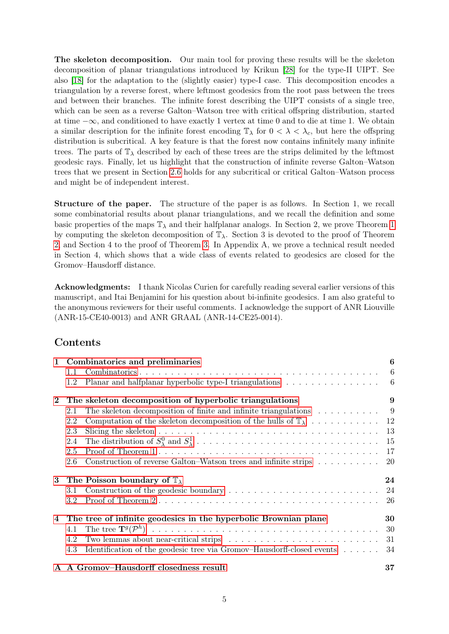The skeleton decomposition. Our main tool for proving these results will be the skeleton decomposition of planar triangulations introduced by Krikun [\[28\]](#page-39-8) for the type-II UIPT. See also [\[18\]](#page-38-12) for the adaptation to the (slightly easier) type-I case. This decomposition encodes a triangulation by a reverse forest, where leftmost geodesics from the root pass between the trees and between their branches. The infinite forest describing the UIPT consists of a single tree, which can be seen as a reverse Galton–Watson tree with critical offspring distribution, started at time  $-\infty$ , and conditioned to have exactly 1 vertex at time 0 and to die at time 1. We obtain a similar description for the infinite forest encoding  $\mathbb{T}_{\lambda}$  for  $0 < \lambda < \lambda_c$ , but here the offspring distribution is subcritical. A key feature is that the forest now contains infinitely many infinite trees. The parts of  $\mathbb{T}_{\lambda}$  described by each of these trees are the strips delimited by the leftmost geodesic rays. Finally, let us highlight that the construction of infinite reverse Galton–Watson trees that we present in Section [2.6](#page-19-0) holds for any subcritical or critical Galton–Watson process and might be of independent interest.

Structure of the paper. The structure of the paper is as follows. In Section 1, we recall some combinatorial results about planar triangulations, and we recall the definition and some basic properties of the maps  $\mathbb{T}_{\lambda}$  and their halfplanar analogs. In Section 2, we prove Theorem [1](#page-0-1) by computing the skeleton decomposition of  $\mathbb{T}_{\lambda}$ . Section 3 is devoted to the proof of Theorem [2,](#page-3-0) and Section 4 to the proof of Theorem [3.](#page-3-1) In Appendix A, we prove a technical result needed in Section 4, which shows that a wide class of events related to geodesics are closed for the Gromov–Hausdorff distance.

Acknowledgments: I thank Nicolas Curien for carefully reading several earlier versions of this manuscript, and Itai Benjamini for his question about bi-infinite geodesics. I am also grateful to the anonymous reviewers for their useful comments. I acknowledge the support of ANR Liouville (ANR-15-CE40-0013) and ANR GRAAL (ANR-14-CE25-0014).

# Contents

|          | 1 Combinatorics and preliminaries                                                                                           | 6               |
|----------|-----------------------------------------------------------------------------------------------------------------------------|-----------------|
|          | 1.1                                                                                                                         | $6\phantom{.}6$ |
|          | Planar and halfplanar hyperbolic type-I triangulations $\dots \dots \dots \dots \dots$<br>1.2                               |                 |
| $\bf{2}$ | The skeleton decomposition of hyperbolic triangulations                                                                     | 9               |
|          | The skeleton decomposition of finite and infinite triangulations $\dots \dots \dots$<br>2.1                                 |                 |
|          | 2.2                                                                                                                         |                 |
|          | Slicing the skeleton $\ldots \ldots \ldots \ldots \ldots \ldots \ldots \ldots \ldots \ldots \ldots \ldots \ldots 13$<br>2.3 |                 |
|          | 2.4                                                                                                                         |                 |
|          | 2.5                                                                                                                         | 17              |
|          | Construction of reverse Galton–Watson trees and infinite strips<br>2.6                                                      | -20             |
| 3        | The Poisson boundary of $\mathbb{T}_{\lambda}$                                                                              | 24              |
|          | Construction of the geodesic boundary $\dots \dots \dots \dots \dots \dots \dots \dots \dots \dots \dots$ 24<br>3.1         |                 |
|          | 3.2                                                                                                                         | -26             |
| 4        | The tree of infinite geodesics in the hyperbolic Brownian plane                                                             | 30              |
|          | 4.1                                                                                                                         |                 |
|          | Two lemmas about near-critical strips $\ldots \ldots \ldots \ldots \ldots \ldots \ldots \ldots \ldots 31$<br>4.2            |                 |
|          | Identification of the geodesic tree via Gromov-Hausdorff-closed events<br>4.3                                               | 34              |
|          | A A Gromov-Hausdorff closedness result                                                                                      | 37              |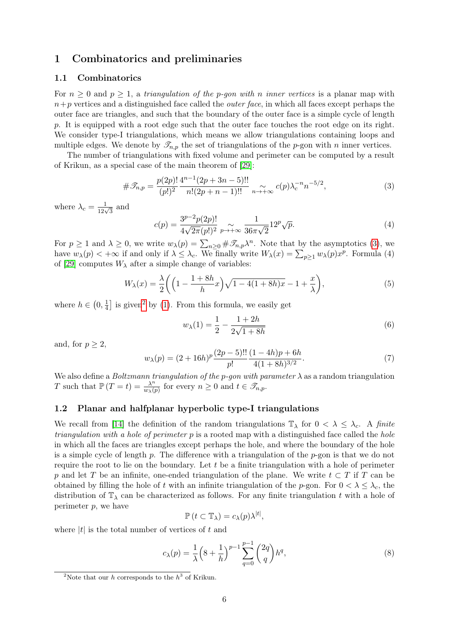# <span id="page-5-0"></span>1 Combinatorics and preliminaries

### <span id="page-5-1"></span>1.1 Combinatorics

For  $n \geq 0$  and  $p \geq 1$ , a triangulation of the p-gon with n inner vertices is a planar map with  $n+p$  vertices and a distinguished face called the *outer face*, in which all faces except perhaps the outer face are triangles, and such that the boundary of the outer face is a simple cycle of length p. It is equipped with a root edge such that the outer face touches the root edge on its right. We consider type-I triangulations, which means we allow triangulations containing loops and multiple edges. We denote by  $\mathcal{I}_{n,p}$  the set of triangulations of the p-gon with n inner vertices.

The number of triangulations with fixed volume and perimeter can be computed by a result of Krikun, as a special case of the main theorem of [\[29\]](#page-39-9):

<span id="page-5-3"></span>
$$
\#\mathcal{T}_{n,p} = \frac{p(2p)!}{(p!)^2} \frac{4^{n-1}(2p+3n-5)!!}{n!(2p+n-1)!!} \underset{n \to +\infty}{\sim} c(p)\lambda_c^{-n}n^{-5/2},\tag{3}
$$

where  $\lambda_c = \frac{1}{12\sqrt{3}}$  and

<span id="page-5-5"></span>
$$
c(p) = \frac{3^{p-2}p(2p)!}{4\sqrt{2\pi}(p!)^2} \sum_{p \to +\infty} \frac{1}{36\pi\sqrt{2}} 12^p \sqrt{p}.
$$
 (4)

For  $p \ge 1$  and  $\lambda \ge 0$ , we write  $w_{\lambda}(p) = \sum_{n\ge 0} {\# \mathscr{T}_{n,p}\lambda^n}$ . Note that by the asymptotics [\(3\)](#page-5-3), we have  $w_{\lambda}(p) < +\infty$  if and only if  $\lambda \leq \lambda_c$ . We finally write  $W_{\lambda}(x) = \sum_{p\geq 1} w_{\lambda}(p)x^p$ . Formula (4) of [\[29\]](#page-39-9) computes  $W_{\lambda}$  after a simple change of variables:

<span id="page-5-6"></span>
$$
W_{\lambda}(x) = \frac{\lambda}{2} \left( \left( 1 - \frac{1 + 8h}{h} x \right) \sqrt{1 - 4(1 + 8h)x} - 1 + \frac{x}{\lambda} \right),\tag{5}
$$

where  $h \in \left(0, \frac{1}{4}\right)$  $\frac{1}{4}$  is given<sup>[2](#page-5-4)</sup> by [\(1\)](#page-0-2). From this formula, we easily get

$$
w_{\lambda}(1) = \frac{1}{2} - \frac{1+2h}{2\sqrt{1+8h}}
$$
\n(6)

and, for  $p > 2$ .

$$
w_{\lambda}(p) = (2 + 16h)^{p} \frac{(2p - 5)!!}{p!} \frac{(1 - 4h)p + 6h}{4(1 + 8h)^{3/2}}.
$$
\n(7)

We also define a *Boltzmann triangulation of the p-gon with parameter*  $\lambda$  as a random triangulation T such that  $\mathbb{P}(T=t) = \frac{\lambda^n}{w_1 t}$  $\frac{\lambda^n}{w_{\lambda}(p)}$  for every  $n \geq 0$  and  $t \in \mathscr{T}_{n,p}$ .

### <span id="page-5-2"></span>1.2 Planar and halfplanar hyperbolic type-I triangulations

We recall from [\[14\]](#page-38-4) the definition of the random triangulations  $\mathbb{T}_{\lambda}$  for  $0 < \lambda \leq \lambda_c$ . A finite *triangulation with a hole of perimeter p* is a rooted map with a distinguished face called the *hole* in which all the faces are triangles except perhaps the hole, and where the boundary of the hole is a simple cycle of length p. The difference with a triangulation of the p-gon is that we do not require the root to lie on the boundary. Let  $t$  be a finite triangulation with a hole of perimeter p and let T be an infinite, one-ended triangulation of the plane. We write  $t \subset T$  if T can be obtained by filling the hole of t with an infinite triangulation of the p-gon. For  $0 < \lambda \leq \lambda_c$ , the distribution of  $\mathbb{T}_{\lambda}$  can be characterized as follows. For any finite triangulation t with a hole of perimeter  $p$ , we have

$$
\mathbb{P}\left(t\subset\mathbb{T}_{\lambda}\right)=c_{\lambda}(p)\lambda^{|t|},
$$

where  $|t|$  is the total number of vertices of t and

$$
c_{\lambda}(p) = \frac{1}{\lambda} \left( 8 + \frac{1}{h} \right)^{p-1} \sum_{q=0}^{p-1} {2q \choose q} h^q,
$$
 (8)

<span id="page-5-4"></span><sup>&</sup>lt;sup>2</sup>Note that our h corresponds to the  $h^3$  of Krikun.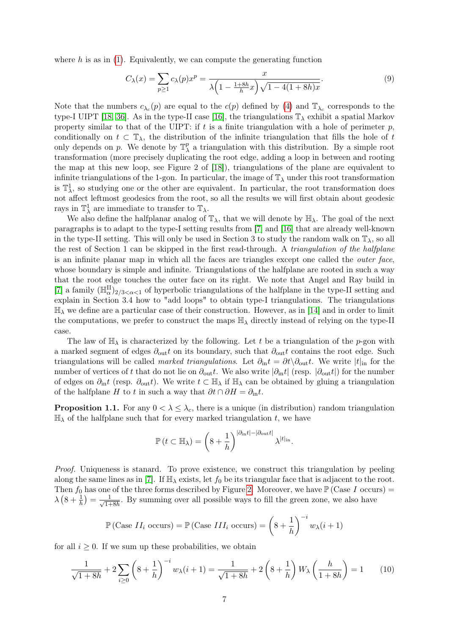where  $h$  is as in [\(1\)](#page-0-2). Equivalently, we can compute the generating function

<span id="page-6-0"></span>
$$
C_{\lambda}(x) = \sum_{p \ge 1} c_{\lambda}(p)x^p = \frac{x}{\lambda \left(1 - \frac{1 + 8h}{h}x\right)\sqrt{1 - 4(1 + 8h)x}}.\tag{9}
$$

Note that the numbers  $c_{\lambda_c}(p)$  are equal to the  $c(p)$  defined by [\(4\)](#page-5-5) and  $\mathbb{T}_{\lambda_c}$  corresponds to the type-I UIPT [\[18,](#page-38-12) [36\]](#page-39-10). As in the type-II case [\[16\]](#page-38-0), the triangulations  $\mathbb{T}_{\lambda}$  exhibit a spatial Markov property similar to that of the UIPT: if  $t$  is a finite triangulation with a hole of perimeter  $p$ , conditionally on  $t \text{ }\subset \mathbb{T}_{\lambda}$ , the distribution of the infinite triangulation that fills the hole of t only depends on p. We denote by  $\mathbb{T}_{\lambda}^{p}$  $\chi^p$  a triangulation with this distribution. By a simple root transformation (more precisely duplicating the root edge, adding a loop in between and rooting the map at this new loop, see Figure 2 of [\[18\]](#page-38-12)), triangulations of the plane are equivalent to infinite triangulations of the 1-gon. In particular, the image of  $\mathbb{T}_{\lambda}$  under this root transformation is  $\mathbb{T}^1_\lambda$ , so studying one or the other are equivalent. In particular, the root transformation does not affect leftmost geodesics from the root, so all the results we will first obtain about geodesic rays in  $\mathbb{T}^1_\lambda$  are immediate to transfer to  $\mathbb{T}_\lambda$ .

We also define the halfplanar analog of  $\mathbb{T}_{\lambda}$ , that we will denote by  $\mathbb{H}_{\lambda}$ . The goal of the next paragraphs is to adapt to the type-I setting results from [\[7\]](#page-38-5) and [\[16\]](#page-38-0) that are already well-known in the type-II setting. This will only be used in Section 3 to study the random walk on  $\mathbb{T}_{\lambda}$ , so all the rest of Section 1 can be skipped in the first read-through. A triangulation of the halfplane is an infinite planar map in which all the faces are triangles except one called the outer face, whose boundary is simple and infinite. Triangulations of the halfplane are rooted in such a way that the root edge touches the outer face on its right. We note that Angel and Ray build in [\[7\]](#page-38-5) a family  $(\mathbb{H}_{\alpha}^{\text{II}})_{2/3 < \alpha < 1}$  of hyperbolic triangulations of the halfplane in the type-II setting and explain in Section 3.4 how to "add loops" to obtain type-I triangulations. The triangulations  $\mathbb{H}_{\lambda}$  we define are a particular case of their construction. However, as in [\[14\]](#page-38-4) and in order to limit the computations, we prefer to construct the maps  $\mathbb{H}_{\lambda}$  directly instead of relying on the type-II case.

The law of  $\mathbb{H}_{\lambda}$  is characterized by the following. Let t be a triangulation of the p-gon with a marked segment of edges  $\partial_{\text{out}} t$  on its boundary, such that  $\partial_{\text{out}} t$  contains the root edge. Such triangulations will be called *marked triangulations*. Let  $\partial_{\text{in}} t = \partial t \setminus \partial_{\text{out}} t$ . We write  $|t|_{\text{in}}$  for the number of vertices of t that do not lie on  $\partial_{\text{out}} t$ . We also write  $|\partial_{\text{in}} t|$  (resp.  $|\partial_{\text{out}} t|$ ) for the number of edges on  $\partial_{\text{in}}t$  (resp.  $\partial_{\text{out}}t$ ). We write  $t \in \mathbb{H}_{\lambda}$  if  $\mathbb{H}_{\lambda}$  can be obtained by gluing a triangulation of the halfplane H to t in such a way that  $\partial t \cap \partial H = \partial_{\text{in}} t$ .

**Proposition 1.1.** For any  $0 < \lambda \leq \lambda_c$ , there is a unique (in distribution) random triangulation  $\mathbb{H}_{\lambda}$  of the halfplane such that for every marked triangulation t, we have

$$
\mathbb{P}\left(t\subset \mathbb{H}_{\lambda}\right)=\left(8+\frac{1}{h}\right)^{|\partial_{\mathrm{in}}t|-|\partial_{\mathrm{out}}t|}\lambda^{|t|_{\mathrm{in}}}.
$$

Proof. Uniqueness is stanard. To prove existence, we construct this triangulation by peeling along the same lines as in [\[7\]](#page-38-5). If  $\mathbb{H}_{\lambda}$  exists, let  $f_0$  be its triangular face that is adjacent to the root. Then  $f_0$  has one of the three forms described by Figure [2.](#page-7-0) Moreover, we have  $\mathbb{P}(\text{Case } I \text{ occurs}) =$  $\lambda\left(8+\frac{1}{h}\right)=\frac{1}{\sqrt{1+1}}$  $\frac{1}{1+8h}$ . By summing over all possible ways to fill the green zone, we also have

$$
\mathbb{P}(\text{Case } II_i \text{ occurs}) = \mathbb{P}(\text{Case } III_i \text{ occurs}) = \left(8 + \frac{1}{h}\right)^{-i} w_{\lambda}(i+1)
$$

for all  $i \geq 0$ . If we sum up these probabilities, we obtain

$$
\frac{1}{\sqrt{1+8h}} + 2\sum_{i\geq 0} \left(8 + \frac{1}{h}\right)^{-i} w_{\lambda}(i+1) = \frac{1}{\sqrt{1+8h}} + 2\left(8 + \frac{1}{h}\right) W_{\lambda}\left(\frac{h}{1+8h}\right) = 1
$$
 (10)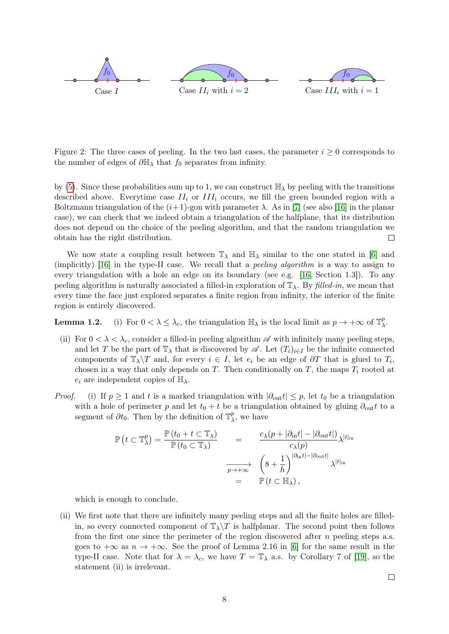

<span id="page-7-0"></span>Figure 2: The three cases of peeling. In the two last cases, the parameter  $i \geq 0$  corresponds to the number of edges of  $\partial \mathbb{H}_{\lambda}$  that  $f_0$  separates from infinity.

by [\(5\)](#page-5-6). Since these probabilities sum up to 1, we can construct  $\mathbb{H}_{\lambda}$  by peeling with the transitions described above. Everytime case  $II_i$  or  $III_i$  occurs, we fill the green bounded region with a Boltzmann triangulation of the  $(i+1)$ -gon with parameter  $\lambda$ . As in [\[7\]](#page-38-5) (see also [\[16\]](#page-38-0) in the planar case), we can check that we indeed obtain a triangulation of the halfplane, that its distribution does not depend on the choice of the peeling algorithm, and that the random triangulation we obtain has the right distribution.  $\Box$ 

We now state a coupling result between  $\mathbb{T}_{\lambda}$  and  $\mathbb{H}_{\lambda}$  similar to the one stated in [\[6\]](#page-38-14) and (implicitly) [\[16\]](#page-38-0) in the type-II case. We recall that a peeling algorithm is a way to assign to every triangulation with a hole an edge on its boundary (see e.g. [\[16,](#page-38-0) Section 1.3]). To any peeling algorithm is naturally associated a filled-in exploration of  $\mathbb{T}_{\lambda}$ . By filled-in, we mean that every time the face just explored separates a finite region from infinity, the interior of the finite region is entirely discovered.

**Lemma 1.2.** (i) For  $0 < \lambda \leq \lambda_c$ , the triangulation  $\mathbb{H}_{\lambda}$  is the local limit as  $p \to +\infty$  of  $\mathbb{T}_{\lambda}^p$  $_{\lambda}^{p}.$ 

- (ii) For  $0 < \lambda < \lambda_c$ , consider a filled-in peeling algorithm  $\mathscr A$  with infinitely many peeling steps, and let T be the part of  $\mathbb{T}_{\lambda}$  that is discovered by  $\mathscr{A}$ . Let  $(T_i)_{i\in I}$  be the infinite connected components of  $\mathbb{T}_{\lambda}\backslash T$  and, for every  $i \in I$ , let  $e_i$  be an edge of  $\partial T$  that is glued to  $T_i$ , chosen in a way that only depends on T. Then conditionally on T, the maps  $T_i$  rooted at  $e_i$  are independent copies of  $\mathbb{H}_{\lambda}$ .
- *Proof.* (i) If  $p \ge 1$  and t is a marked triangulation with  $|\partial_{\text{out}} t| \le p$ , let  $t_0$  be a triangulation with a hole of perimeter p and let  $t_0 + t$  be a triangulation obtained by gluing  $\partial_{\text{out}} t$  to a segment of  $\partial t_0$ . Then by the definition of  $\mathbb{T}^p_\lambda$  $_{\lambda}^{p}$ , we have

$$
\mathbb{P}\left(t \subset \mathbb{T}_{\lambda}^{p}\right) = \frac{\mathbb{P}\left(t_{0} + t \subset \mathbb{T}_{\lambda}\right)}{\mathbb{P}\left(t_{0} \subset \mathbb{T}_{\lambda}\right)} = \frac{c_{\lambda}(p + |\partial_{\text{in}}t| - |\partial_{\text{out}}t|)}{c_{\lambda}(p)} \lambda^{|t|_{\text{in}}} \n\frac{\left(8 + \frac{1}{h}\right)^{|\partial_{\text{in}}t| - |\partial_{\text{out}}t|}}{\mathbb{P}\left(t \subset \mathbb{H}_{\lambda}\right),}
$$

which is enough to conclude.

(ii) We first note that there are infinitely many peeling steps and all the finite holes are filledin, so every connected component of  $\mathbb{T}_{\lambda}\backslash T$  is halfplanar. The second point then follows from the first one since the perimeter of the region discovered after  $n$  peeling steps a.s. goes to  $+\infty$  as  $n \to +\infty$ . See the proof of Lemma 2.16 in [\[6\]](#page-38-14) for the same result in the type-II case. Note that for  $\lambda = \lambda_c$ , we have  $T = \mathbb{T}_{\lambda}$  a.s. by Corollary 7 of [\[19\]](#page-38-15), so the statement (ii) is irrelevant.

 $\Box$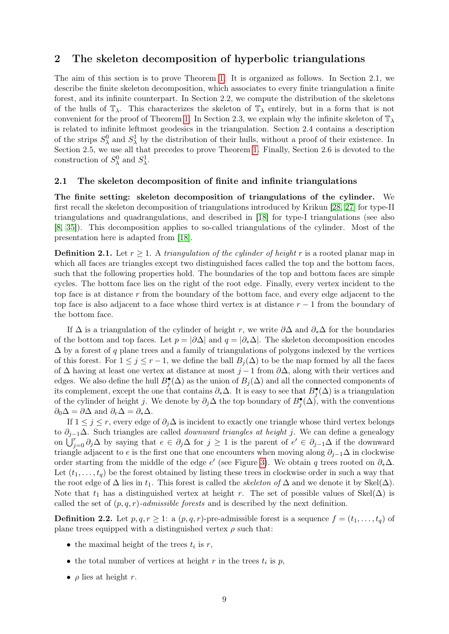### <span id="page-8-0"></span>2 The skeleton decomposition of hyperbolic triangulations

The aim of this section is to prove Theorem [1.](#page-0-1) It is organized as follows. In Section 2.1, we describe the finite skeleton decomposition, which associates to every finite triangulation a finite forest, and its infinite counterpart. In Section 2.2, we compute the distribution of the skeletons of the hulls of  $\mathbb{T}_{\lambda}$ . This characterizes the skeleton of  $\mathbb{T}_{\lambda}$  entirely, but in a form that is not convenient for the proof of Theorem [1.](#page-0-1) In Section 2.3, we explain why the infinite skeleton of  $\mathbb{T}_{\lambda}$ is related to infinite leftmost geodesics in the triangulation. Section 2.4 contains a description of the strips  $S^0_\lambda$  and  $S^1_\lambda$  by the distribution of their hulls, without a proof of their existence. In Section 2.5, we use all that precedes to prove Theorem [1.](#page-0-1) Finally, Section 2.6 is devoted to the construction of  $S^0_\lambda$  and  $S^1_\lambda$ .

#### <span id="page-8-1"></span>2.1 The skeleton decomposition of finite and infinite triangulations

The finite setting: skeleton decomposition of triangulations of the cylinder. We first recall the skeleton decomposition of triangulations introduced by Krikun [\[28,](#page-39-8) [27\]](#page-39-11) for type-II triangulations and quadrangulations, and described in [\[18\]](#page-38-12) for type-I triangulations (see also [\[8,](#page-38-16) [35\]](#page-39-12)). This decomposition applies to so-called triangulations of the cylinder. Most of the presentation here is adapted from [\[18\]](#page-38-12).

**Definition 2.1.** Let  $r > 1$ . A triangulation of the cylinder of height r is a rooted planar map in which all faces are triangles except two distinguished faces called the top and the bottom faces, such that the following properties hold. The boundaries of the top and bottom faces are simple cycles. The bottom face lies on the right of the root edge. Finally, every vertex incident to the top face is at distance r from the boundary of the bottom face, and every edge adjacent to the top face is also adjacent to a face whose third vertex is at distance  $r-1$  from the boundary of the bottom face.

If  $\Delta$  is a triangulation of the cylinder of height r, we write  $\partial\Delta$  and  $\partial_{*}\Delta$  for the boundaries of the bottom and top faces. Let  $p = |\partial \Delta|$  and  $q = |\partial_{*}\Delta|$ . The skeleton decomposition encodes  $\Delta$  by a forest of q plane trees and a family of triangulations of polygons indexed by the vertices of this forest. For  $1 \leq j \leq r-1$ , we define the ball  $B_i(\Delta)$  to be the map formed by all the faces of  $\Delta$  having at least one vertex at distance at most  $j-1$  from  $\partial \Delta$ , along with their vertices and edges. We also define the hull  $B_j^{\bullet}(\Delta)$  as the union of  $B_j(\Delta)$  and all the connected components of its complement, except the one that contains  $\partial_* \Delta$ . It is easy to see that  $B_j^{\bullet}(\Delta)$  is a triangulation of the cylinder of height j. We denote by  $\partial_j \Delta$  the top boundary of  $B_j^{\bullet}(\Delta)$ , with the conventions  $\partial_0 \Delta = \partial \Delta$  and  $\partial_r \Delta = \partial_* \Delta$ .

If  $1 \leq j \leq r$ , every edge of  $\partial_j \Delta$  is incident to exactly one triangle whose third vertex belongs to  $\partial_{i-1}\Delta$ . Such triangles are called *downward triangles at height j*. We can define a genealogy on  $\bigcup_{j=0}^{r} \partial_j \Delta$  by saying that  $e \in \partial_j \Delta$  for  $j \geq 1$  is the parent of  $e' \in \partial_{j-1} \Delta$  if the downward triangle adjacent to e is the first one that one encounters when moving along  $\partial_{j-1}\Delta$  in clockwise order starting from the middle of the edge e' (see Figure [3\)](#page-9-0). We obtain q trees rooted on  $\partial_* \Delta$ . Let  $(t_1, \ldots, t_q)$  be the forest obtained by listing these trees in clockwise order in such a way that the root edge of  $\Delta$  lies in  $t_1$ . This forest is called the *skeleton of*  $\Delta$  and we denote it by Skel( $\Delta$ ). Note that  $t_1$  has a distinguished vertex at height r. The set of possible values of Skel( $\Delta$ ) is called the set of  $(p, q, r)$ -admissible forests and is described by the next definition.

**Definition 2.2.** Let  $p, q, r \geq 1$ : a  $(p, q, r)$ -pre-admissible forest is a sequence  $f = (t_1, \ldots, t_q)$  of plane trees equipped with a distinguished vertex  $\rho$  such that:

- the maximal height of the trees  $t_i$  is  $r$ ,
- the total number of vertices at height  $r$  in the trees  $t_i$  is  $p$ ,
- $\rho$  lies at height r.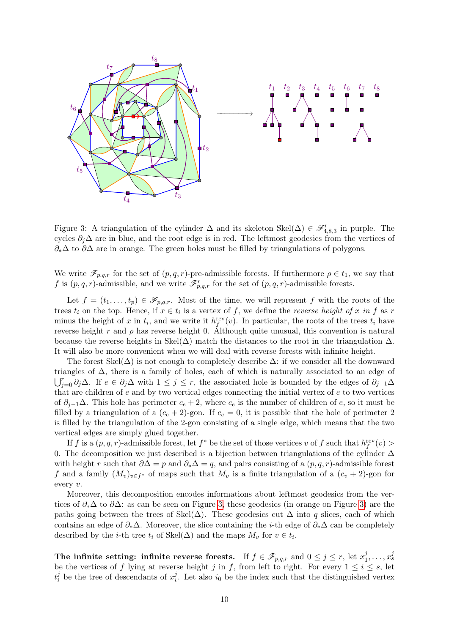

<span id="page-9-0"></span>Figure 3: A triangulation of the cylinder  $\Delta$  and its skeleton Skel $(\Delta) \in \mathscr{F}'_{4,8,3}$  in purple. The cycles  $\partial_i\Delta$  are in blue, and the root edge is in red. The leftmost geodesics from the vertices of  $\partial_{*}\Delta$  to  $\partial\Delta$  are in orange. The green holes must be filled by triangulations of polygons.

We write  $\mathscr{F}_{p,q,r}$  for the set of  $(p,q,r)$ -pre-admissible forests. If furthermore  $\rho \in t_1$ , we say that f is  $(p, q, r)$ -admissible, and we write  $\mathscr{F}'_{p,q,r}$  for the set of  $(p, q, r)$ -admissible forests.

Let  $f = (t_1, \ldots, t_p) \in \mathscr{F}_{p,q,r}$ . Most of the time, we will represent f with the roots of the trees  $t_i$  on the top. Hence, if  $x \in t_i$  is a vertex of f, we define the *reverse height of* x in f as r minus the height of x in  $t_i$ , and we write it  $h_f^{\text{rev}}(v)$ . In particular, the roots of the trees  $t_i$  have reverse height r and  $\rho$  has reverse height 0. Although quite unusual, this convention is natural because the reverse heights in Skel( $\Delta$ ) match the distances to the root in the triangulation  $\Delta$ . It will also be more convenient when we will deal with reverse forests with infinite height.

The forest Skel( $\Delta$ ) is not enough to completely describe  $\Delta$ : if we consider all the downward triangles of  $\Delta$ , there is a family of holes, each of which is naturally associated to an edge of  $\bigcup_{j=0}^r \partial_j \Delta$ . If  $e \in \partial_j \Delta$  with  $1 \leq j \leq r$ , the associated hole is bounded by the edges of  $\partial_{j-1} \Delta$ that are children of  $e$  and by two vertical edges connecting the initial vertex of  $e$  to two vertices of  $\partial_{j-1}\Delta$ . This hole has perimeter  $c_e + 2$ , where  $c_e$  is the number of children of e, so it must be filled by a triangulation of a  $(c_e + 2)$ -gon. If  $c_e = 0$ , it is possible that the hole of perimeter 2 is filled by the triangulation of the 2-gon consisting of a single edge, which means that the two vertical edges are simply glued together.

If f is a  $(p, q, r)$ -admissible forest, let  $f^*$  be the set of those vertices v of f such that  $h_f^{\text{rev}}(v)$  > 0. The decomposition we just described is a bijection between triangulations of the cylinder  $\Delta$ with height r such that  $\partial \Delta = p$  and  $\partial_* \Delta = q$ , and pairs consisting of a  $(p, q, r)$ -admissible forest f and a family  $(M_v)_{v \in f^*}$  of maps such that  $M_v$  is a finite triangulation of a  $(c_v + 2)$ -gon for every v.

Moreover, this decomposition encodes informations about leftmost geodesics from the vertices of  $\partial_*\Delta$  to  $\partial\Delta$ : as can be seen on Figure [3,](#page-9-0) these geodesics (in orange on Figure [3\)](#page-9-0) are the paths going between the trees of Skel( $\Delta$ ). These geodesics cut  $\Delta$  into q slices, each of which contains an edge of  $\partial_* \Delta$ . Moreover, the slice containing the *i*-th edge of  $\partial_* \Delta$  can be completely described by the *i*-th tree  $t_i$  of Skel( $\Delta$ ) and the maps  $M_v$  for  $v \in t_i$ .

The infinite setting: infinite reverse forests. If  $f \in \mathscr{F}_{p,q,r}$  and  $0 \leq j \leq r$ , let  $x_1^j$  $x_1^j, \ldots, x_s^j$ be the vertices of f lying at reverse height j in f, from left to right. For every  $1 \leq i \leq s$ , let  $t_i^j$  $i$  be the tree of descendants of  $x_i^j$  $i<sub>i</sub>$ . Let also  $i<sub>0</sub>$  be the index such that the distinguished vertex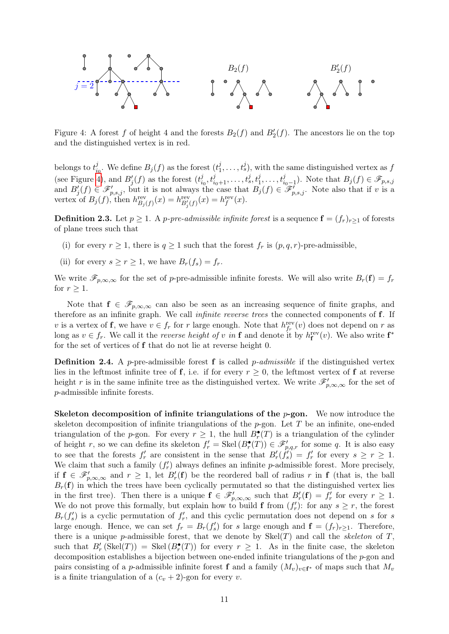

<span id="page-10-0"></span>Figure 4: A forest f of height 4 and the forests  $B_2(f)$  and  $B'_2(f)$ . The ancestors lie on the top and the distinguished vertex is in red.

belongs to  $t_{i_0}^j$ . We define  $B_j(f)$  as the forest  $(t_1^j)$  $i_0$  $j_1^j, \ldots, t_s^j$ , with the same distinguished vertex as  $f$ (see Figure [4\)](#page-10-0), and  $B'_{j}(f)$  as the forest  $(t_i^j)$  $i_0, t_{i_0+1}^j, \ldots, t_s^j, t_1^j, \ldots, t_{i_0-1}^j$ . Note that  $B_j(f) \in \mathscr{F}_{p,s,j}$ and  $B_j'(f) \in \mathscr{F}'_{p,s,j}$ , but it is not always the case that  $B_j(f) \in \mathscr{F}'_{p,s,j}$ . Note also that if v is a vertex of  $B_j(f)$ , then  $h_{B_j(f)}^{\text{rev}}(x) = h_{B'_j(f)}^{\text{rev}}(x) = h_f^{\text{rev}}(x)$ .

**Definition 2.3.** Let  $p \geq 1$ . A *p-pre-admissible infinite forest* is a sequence  $\mathbf{f} = (f_r)_{r>1}$  of forests of plane trees such that

- (i) for every  $r \geq 1$ , there is  $q \geq 1$  such that the forest  $f_r$  is  $(p, q, r)$ -pre-admissible,
- (ii) for every  $s > r > 1$ , we have  $B_r(f_s) = f_r$ .

We write  $\mathscr{F}_{p,\infty,\infty}$  for the set of p-pre-admissible infinite forests. We will also write  $B_r(\mathbf{f}) = f_r$ for  $r \geq 1$ .

Note that  $f \in \mathscr{F}_{p,\infty,\infty}$  can also be seen as an increasing sequence of finite graphs, and therefore as an infinite graph. We call *infinite reverse trees* the connected components of **f**. If v is a vertex of **f**, we have  $v \in f_r$  for r large enough. Note that  $h_{f_r}^{\text{rev}}(v)$  does not depend on r as long as  $v \in f_r$ . We call it the *reverse height of* v in **f** and denote it by  $h_f^{\text{rev}}(v)$ . We also write  $f^*$ for the set of vertices of f that do not lie at reverse height 0.

**Definition 2.4.** A p-pre-admissible forest **f** is called p-admissible if the distinguished vertex lies in the leftmost infinite tree of f, i.e. if for every  $r \geq 0$ , the leftmost vertex of f at reverse height r is in the same infinite tree as the distinguished vertex. We write  $\mathscr{F}'_{p,\infty,\infty}$  for the set of p-admissible infinite forests.

Skeleton decomposition of infinite triangulations of the  $p$ -gon. We now introduce the skeleton decomposition of infinite triangulations of the  $p$ -gon. Let T be an infinite, one-ended triangulation of the p-gon. For every  $r \geq 1$ , the hull  $B_r^{\bullet}(T)$  is a triangulation of the cylinder of height r, so we can define its skeleton  $f'_r = \text{Skel}(B_r^{\bullet}(T)) \in \mathscr{F}'_{p,q,r}$  for some q. It is also easy to see that the forests  $f'_r$  are consistent in the sense that  $B'_r(\hat{f}'_s) = f'_r$  for every  $s \geq r \geq 1$ . We claim that such a family  $(f'_r)$  always defines an infinite p-admissible forest. More precisely, if  $f \in \mathscr{F}'_{p,\infty,\infty}$  and  $r \geq 1$ , let  $B'_r(f)$  be the reordered ball of radius r in f (that is, the ball  $B_r(f)$  in which the trees have been cyclically permutated so that the distinguished vertex lies in the first tree). Then there is a unique  $f \in \mathscr{F}'_{p,\infty,\infty}$  such that  $B'_r(f) = f'_r$  for every  $r \geq 1$ . We do not prove this formally, but explain how to build **f** from  $(f'_r)$ : for any  $s \geq r$ , the forest  $B_r(f'_s)$  is a cyclic permutation of  $f'_r$ , and this cyclic permutation does not depend on s for s large enough. Hence, we can set  $f_r = B_r(f'_s)$  for s large enough and  $\mathbf{f} = (f_r)_{r \geq 1}$ . Therefore, there is a unique p-admissible forest, that we denote by  $Skel(T)$  and call the *skeleton* of T, such that  $B'_r$  (Skel(T)) = Skel( $B^{\bullet}_r(T)$ ) for every  $r \geq 1$ . As in the finite case, the skeleton decomposition establishes a bijection between one-ended infinite triangulations of the p-gon and pairs consisting of a *p*-admissible infinite forest **f** and a family  $(M_v)_{v \in \mathbf{f}^*}$  of maps such that  $M_v$ is a finite triangulation of a  $(c_v + 2)$ -gon for every v.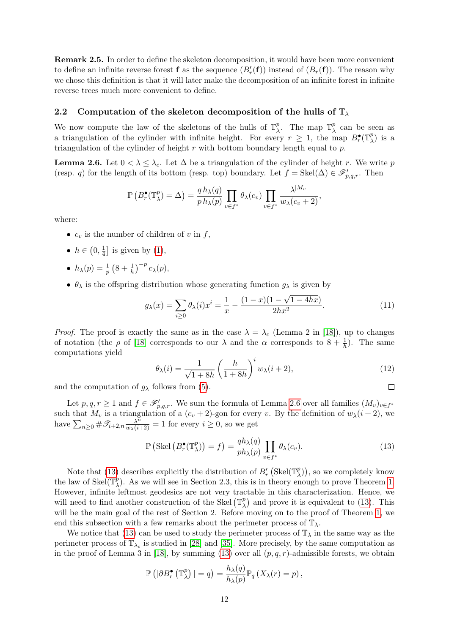Remark 2.5. In order to define the skeleton decomposition, it would have been more convenient to define an infinite reverse forest **f** as the sequence  $(B'_r(\mathbf{f}))$  instead of  $(B_r(\mathbf{f}))$ . The reason why we chose this definition is that it will later make the decomposition of an infinite forest in infinite reverse trees much more convenient to define.

### <span id="page-11-0"></span>2.2 Computation of the skeleton decomposition of the hulls of  $\mathbb{T}_{\lambda}$

We now compute the law of the skeletons of the hulls of  $\mathbb{T}_\lambda^p$ <sup>p</sup>. The map  $\mathbb{T}^p_\lambda$  $\lambda$ <sup>p</sup> can be seen as a triangulation of the cylinder with infinite height. For every  $r \geq 1$ , the map  $B_r^{\bullet}(\mathbb{T}^p)$  $\binom{p}{\lambda}$  is a triangulation of the cylinder of height  $r$  with bottom boundary length equal to  $p$ .

<span id="page-11-1"></span>**Lemma 2.6.** Let  $0 < \lambda \leq \lambda_c$ . Let  $\Delta$  be a triangulation of the cylinder of height r. We write p (resp. q) for the length of its bottom (resp. top) boundary. Let  $f = \text{Skel}(\Delta) \in \mathscr{F}'_{p,q,r}$ . Then

$$
\mathbb{P}\left(B_r^{\bullet}(\mathbb{T}_{\lambda}^p)=\Delta\right)=\frac{q h_{\lambda}(q)}{p h_{\lambda}(p)}\prod_{v\in f^*}\theta_{\lambda}(c_v)\prod_{v\in f^*}\frac{\lambda^{|M_v|}}{w_{\lambda}(c_v+2)},
$$

where:

- $c_v$  is the number of children of v in f,
- $h \in \left(0, \frac{1}{4}\right)$  $\frac{1}{4}$  is given by [\(1\)](#page-0-2),
- $h_{\lambda}(p) = \frac{1}{p} (8 + \frac{1}{h})^{-p} c_{\lambda}(p),$
- $\theta_{\lambda}$  is the offspring distribution whose generating function  $g_{\lambda}$  is given by

<span id="page-11-3"></span>
$$
g_{\lambda}(x) = \sum_{i \ge 0} \theta_{\lambda}(i)x^{i} = \frac{1}{x} - \frac{(1-x)(1-\sqrt{1-4hx})}{2hx^{2}}.
$$
 (11)

*Proof.* The proof is exactly the same as in the case  $\lambda = \lambda_c$  (Lemma 2 in [\[18\]](#page-38-12)), up to changes of notation (the  $\rho$  of [\[18\]](#page-38-12) corresponds to our  $\lambda$  and the  $\alpha$  corresponds to  $8 + \frac{1}{h}$ ). The same computations yield

<span id="page-11-4"></span>
$$
\theta_{\lambda}(i) = \frac{1}{\sqrt{1+8h}} \left(\frac{h}{1+8h}\right)^i w_{\lambda}(i+2),\tag{12}
$$

 $\Box$ 

and the computation of  $g_{\lambda}$  follows from [\(5\)](#page-5-6).

Let  $p, q, r \geq 1$  and  $f \in \mathscr{F}'_{p,q,r}$ . We sum the formula of Lemma [2.6](#page-11-1) over all families  $(M_v)_{v \in f^*}$ such that  $M_v$  is a triangulation of a  $(c_v + 2)$ -gon for every v. By the definition of  $w_\lambda(i + 2)$ , we have  $\sum_{n\geq 0} \#\mathscr{T}_{i+2,n} \frac{\lambda^n}{w_{\lambda}(i+2)} = 1$  for every  $i \geq 0$ , so we get

<span id="page-11-2"></span>
$$
\mathbb{P}\left(\text{Skel}\left(B_r^{\bullet}(\mathbb{T}_{\lambda}^p)\right) = f\right) = \frac{qh_{\lambda}(q)}{ph_{\lambda}(p)} \prod_{v \in f^*} \theta_{\lambda}(c_v). \tag{13}
$$

Note that [\(13\)](#page-11-2) describes explicitly the distribution of  $B'_r$  (Skel( $\mathbb{T}^p_\lambda$ )  $\binom{p}{\lambda}$ , so we completely know the law of Skel $(\mathbb{T}_{\lambda}^p)$  $_{\lambda}^{p}$ ). As we will see in Section 2.3, this is in theory enough to prove Theorem [1.](#page-0-1) However, infinite leftmost geodesics are not very tractable in this characterization. Hence, we will need to find another construction of the Skel  $(\mathbb{T}_{\lambda}^{p})$  $_{\lambda}^{p}$ ) and prove it is equivalent to [\(13\)](#page-11-2). This will be the main goal of the rest of Section 2. Before moving on to the proof of Theorem [1,](#page-0-1) we end this subsection with a few remarks about the perimeter process of  $\mathbb{T}_{\lambda}$ .

We notice that [\(13\)](#page-11-2) can be used to study the perimeter process of  $\mathbb{T}_{\lambda}$  in the same way as the perimeter process of  $\mathbb{T}_{\lambda_c}$  is studied in [\[28\]](#page-39-8) and [\[35\]](#page-39-12). More precisely, by the same computation as in the proof of Lemma 3 in [\[18\]](#page-38-12), by summing [\(13\)](#page-11-2) over all  $(p, q, r)$ -admissible forests, we obtain

$$
\mathbb{P}\left(|\partial B_r^{\bullet}\left(\mathbb{T}_{\lambda}^p\right)|=q\right)=\frac{h_{\lambda}(q)}{h_{\lambda}(p)}\mathbb{P}_q\left(X_{\lambda}(r)=p\right),\,
$$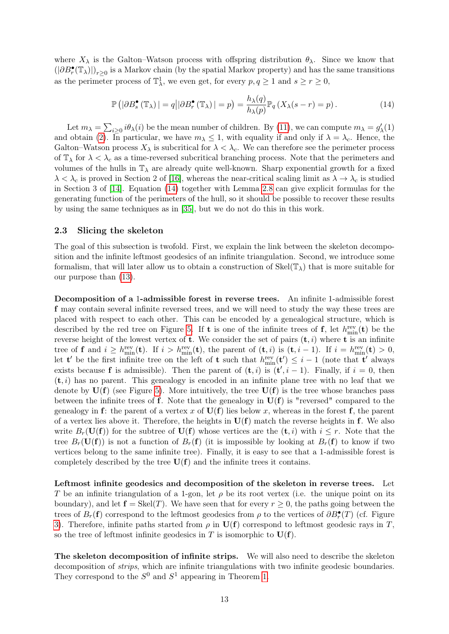where  $X_{\lambda}$  is the Galton–Watson process with offspring distribution  $\theta_{\lambda}$ . Since we know that  $(|\partial B_r^{\bullet}(\mathbb{T}_{\lambda})|)_{r\geq 0}$  is a Markov chain (by the spatial Markov property) and has the same transitions as the perimeter process of  $\mathbb{T}^1_\lambda$ , we even get, for every  $p, q \ge 1$  and  $s \ge r \ge 0$ ,

<span id="page-12-1"></span>
$$
\mathbb{P}\left(|\partial B_s^{\bullet}(\mathbb{T}_\lambda)| = q||\partial B_r^{\bullet}(\mathbb{T}_\lambda)| = p\right) = \frac{h_\lambda(q)}{h_\lambda(p)} \mathbb{P}_q\left(X_\lambda(s - r) = p\right). \tag{14}
$$

Let  $m_{\lambda} = \sum_{i \geq 0} i \theta_{\lambda}(i)$  be the mean number of children. By [\(11\)](#page-11-3), we can compute  $m_{\lambda} = g'_{\lambda}(1)$ and obtain [\(2\)](#page-1-0). In particular, we have  $m_{\lambda} \leq 1$ , with equality if and only if  $\lambda = \lambda_c$ . Hence, the Galton–Watson process  $X_{\lambda}$  is subcritical for  $\lambda < \lambda_c$ . We can therefore see the perimeter process of  $\mathbb{T}_{\lambda}$  for  $\lambda < \lambda_c$  as a time-reversed subcritical branching process. Note that the perimeters and volumes of the hulls in  $\mathbb{T}_{\lambda}$  are already quite well-known. Sharp exponential growth for a fixed  $\lambda < \lambda_c$  is proved in Section 2 of [\[16\]](#page-38-0), whereas the near-critical scaling limit as  $\lambda \to \lambda_c$  is studied in Section 3 of [\[14\]](#page-38-4). Equation [\(14\)](#page-12-1) together with Lemma [2.8](#page-14-1) can give explicit formulas for the generating function of the perimeters of the hull, so it should be possible to recover these results by using the same techniques as in [\[35\]](#page-39-12), but we do not do this in this work.

#### <span id="page-12-0"></span>2.3 Slicing the skeleton

The goal of this subsection is twofold. First, we explain the link between the skeleton decomposition and the infinite leftmost geodesics of an infinite triangulation. Second, we introduce some formalism, that will later allow us to obtain a construction of  $\text{Skel}(\mathbb{T}_{\lambda})$  that is more suitable for our purpose than [\(13\)](#page-11-2).

Decomposition of a 1-admissible forest in reverse trees. An infinite 1-admissible forest f may contain several infinite reversed trees, and we will need to study the way these trees are placed with respect to each other. This can be encoded by a genealogical structure, which is described by the red tree on Figure [5.](#page-13-0) If **t** is one of the infinite trees of **f**, let  $h_{\min}^{\text{rev}}(\mathbf{t})$  be the reverse height of the lowest vertex of **t**. We consider the set of pairs  $(t, i)$  where **t** is an infinite tree of **f** and  $i \geq h_{\min}^{\text{rev}}(\mathbf{t})$ . If  $i > h_{\min}^{\text{rev}}(\mathbf{t})$ , the parent of  $(\mathbf{t}, i)$  is  $(\mathbf{t}, i - 1)$ . If  $i = h_{\min}^{\text{rev}}(\mathbf{t}) > 0$ , let **t'** be the first infinite tree on the left of **t** such that  $h_{\min}^{\text{rev}}(\mathbf{t}') \leq i - 1$  (note that **t'** always exists because **f** is admissible). Then the parent of  $(t, i)$  is  $(t', i - 1)$ . Finally, if  $i = 0$ , then  $(t, i)$  has no parent. This genealogy is encoded in an infinite plane tree with no leaf that we denote by  $U(f)$  (see Figure [5\)](#page-13-0). More intuitively, the tree  $U(f)$  is the tree whose branches pass between the infinite trees of **f**. Note that the genealogy in  $U(f)$  is "reversed" compared to the genealogy in f: the parent of a vertex x of  $U(f)$  lies below x, whereas in the forest f, the parent of a vertex lies above it. Therefore, the heights in  $U(f)$  match the reverse heights in f. We also write  $B_r(\mathbf{U}(\mathbf{f}))$  for the subtree of  $\mathbf{U}(\mathbf{f})$  whose vertices are the  $(\mathbf{t}, i)$  with  $i \leq r$ . Note that the tree  $B_r(\mathbf{U}(\mathbf{f}))$  is not a function of  $B_r(\mathbf{f})$  (it is impossible by looking at  $B_r(\mathbf{f})$  to know if two vertices belong to the same infinite tree). Finally, it is easy to see that a 1-admissible forest is completely described by the tree  $U(f)$  and the infinite trees it contains.

Leftmost infinite geodesics and decomposition of the skeleton in reverse trees. Let T be an infinite triangulation of a 1-gon, let  $\rho$  be its root vertex (i.e. the unique point on its boundary), and let  $f = \text{Skel}(T)$ . We have seen that for every  $r \geq 0$ , the paths going between the trees of  $B_r(\mathbf{f})$  correspond to the leftmost geodesics from  $\rho$  to the vertices of  $\partial B_r^{\bullet}(T)$  (cf. Figure [3\)](#page-9-0). Therefore, infinite paths started from  $\rho$  in  $\mathbf{U}(\mathbf{f})$  correspond to leftmost geodesic rays in T, so the tree of leftmost infinite geodesics in T is isomorphic to  $U(f)$ .

The skeleton decomposition of infinite strips. We will also need to describe the skeleton decomposition of *strips*, which are infinite triangulations with two infinite geodesic boundaries. They correspond to the  $S^0$  and  $S^1$  appearing in Theorem [1.](#page-0-1)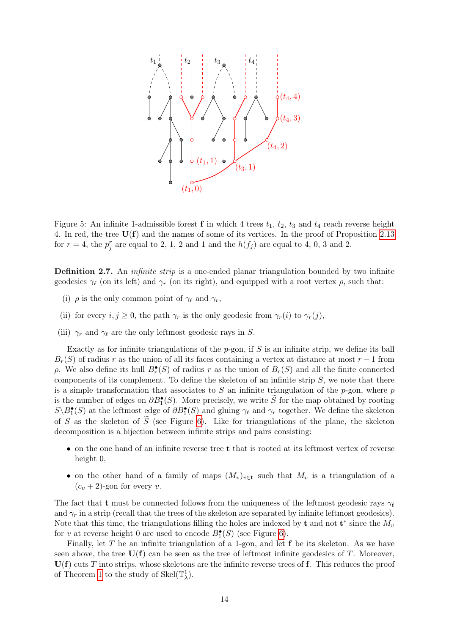

<span id="page-13-0"></span>Figure 5: An infinite 1-admissible forest **f** in which 4 trees  $t_1$ ,  $t_2$ ,  $t_3$  and  $t_4$  reach reverse height 4. In red, the tree  $U(f)$  and the names of some of its vertices. In the proof of Proposition [2.13](#page-16-1) for  $r = 4$ , the  $p_j^r$  are equal to 2, 1, 2 and 1 and the  $h(f_j)$  are equal to 4, 0, 3 and 2.

<span id="page-13-1"></span>Definition 2.7. An *infinite strip* is a one-ended planar triangulation bounded by two infinite geodesics  $\gamma_{\ell}$  (on its left) and  $\gamma_r$  (on its right), and equipped with a root vertex  $\rho$ , such that:

- (i)  $\rho$  is the only common point of  $\gamma_{\ell}$  and  $\gamma_{r}$ ,
- (ii) for every  $i, j \geq 0$ , the path  $\gamma_r$  is the only geodesic from  $\gamma_r(i)$  to  $\gamma_r(j)$ ,
- (iii)  $\gamma_r$  and  $\gamma_\ell$  are the only leftmost geodesic rays in S.

Exactly as for infinite triangulations of the  $p$ -gon, if  $S$  is an infinite strip, we define its ball  $B_r(S)$  of radius r as the union of all its faces containing a vertex at distance at most r – 1 from  $ρ$ . We also define its hull  $B_r^{\bullet}(S)$  of radius r as the union of  $B_r(S)$  and all the finite connected components of its complement. To define the skeleton of an infinite strip  $S$ , we note that there is a simple transformation that associates to  $S$  an infinite triangulation of the  $p$ -gon, where  $p$ is the number of edges on  $\partial B_1^{\bullet}(S)$ . More precisely, we write  $\widetilde{S}$  for the map obtained by rooting  $S \setminus B_1^{\bullet}(S)$  at the leftmost edge of  $\partial B_1^{\bullet}(S)$  and gluing  $\gamma_{\ell}$  and  $\gamma_r$  together. We define the skeleton of S as the skeleton of  $\tilde{S}$  (see Figure [6\)](#page-14-2). Like for triangulations of the plane, the skeleton decomposition is a bijection between infinite strips and pairs consisting:

- on the one hand of an infinite reverse tree t that is rooted at its leftmost vertex of reverse height 0,
- on the other hand of a family of maps  $(M_v)_{v \in \mathbf{t}}$  such that  $M_v$  is a triangulation of a  $(c_v + 2)$ -gon for every v.

The fact that t must be connected follows from the uniqueness of the leftmost geodesic rays  $\gamma_{\ell}$ and  $\gamma_r$  in a strip (recall that the trees of the skeleton are separated by infinite leftmost geodesics). Note that this time, the triangulations filling the holes are indexed by **t** and not **t**<sup>\*</sup> since the  $M_v$ for v at reverse height 0 are used to encode  $B_1^{\bullet}(S)$  (see Figure [6\)](#page-14-2).

Finally, let  $T$  be an infinite triangulation of a 1-gon, and let  $f$  be its skeleton. As we have seen above, the tree  $U(f)$  can be seen as the tree of leftmost infinite geodesics of T. Moreover,  $U(f)$  cuts T into strips, whose skeletons are the infinite reverse trees of f. This reduces the proof of Theorem [1](#page-0-1) to the study of  $\text{Skel}(\mathbb{T}^1_\lambda)$ .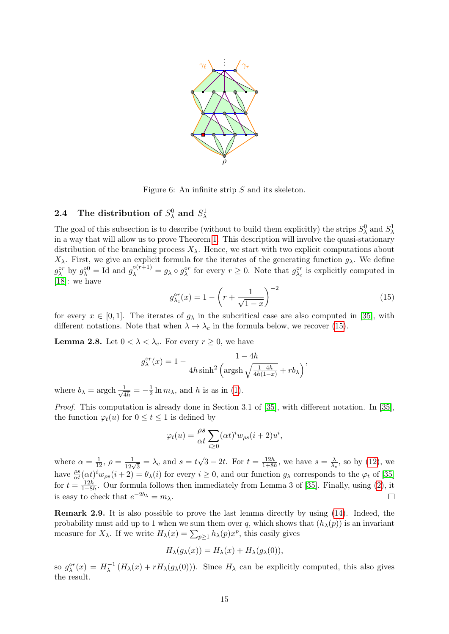

<span id="page-14-2"></span>Figure 6: An infinite strip S and its skeleton.

# <span id="page-14-0"></span>2.4 The distribution of  $S^0_\lambda$  and  $S^1_\lambda$

The goal of this subsection is to describe (without to build them explicitly) the strips  $S^0_\lambda$  and  $S^1_\lambda$ in a way that will allow us to prove Theorem [1.](#page-0-1) This description will involve the quasi-stationary distribution of the branching process  $X_{\lambda}$ . Hence, we start with two explicit computations about  $X<sub>λ</sub>$ . First, we give an explicit formula for the iterates of the generating function  $g<sub>λ</sub>$ . We define  $g_{\lambda}^{\circ r}$  by  $g_{\lambda}^{\circ 0} =$  Id and  $g_{\lambda}^{\circ (r+1)} = g_{\lambda} \circ g_{\lambda}^{\circ r}$  for every  $r \geq 0$ . Note that  $g_{\lambda_c}^{\circ r}$  is explicitly computed in [\[18\]](#page-38-12): we have

<span id="page-14-3"></span>
$$
g_{\lambda_c}^{\circ r}(x) = 1 - \left(r + \frac{1}{\sqrt{1-x}}\right)^{-2}
$$
 (15)

for every  $x \in [0,1]$ . The iterates of  $g_{\lambda}$  in the subcritical case are also computed in [\[35\]](#page-39-12), with different notations. Note that when  $\lambda \to \lambda_c$  in the formula below, we recover [\(15\)](#page-14-3).

<span id="page-14-1"></span>**Lemma 2.8.** Let  $0 < \lambda < \lambda_c$ . For every  $r \geq 0$ , we have

$$
g_{\lambda}^{\circ r}(x) = 1 - \frac{1 - 4h}{4h\sinh^2\left(\operatorname{argsh}\sqrt{\frac{1 - 4h}{4h(1 - x)}} + rb_{\lambda}\right)},
$$

where  $b_{\lambda} = \text{argch} \frac{1}{\sqrt{4}}$  $\frac{1}{4h} = -\frac{1}{2}$  $\frac{1}{2} \ln m_\lambda$ , and h is as in [\(1\)](#page-0-2).

Proof. This computation is already done in Section 3.1 of [\[35\]](#page-39-12), with different notation. In [\[35\]](#page-39-12), the function  $\varphi_t(u)$  for  $0 \le t \le 1$  is defined by

$$
\varphi_t(u) = \frac{\rho s}{\alpha t} \sum_{i \ge 0} (\alpha t)^i w_{\rho s} (i+2) u^i,
$$

where  $\alpha = \frac{1}{12}$ ,  $\rho = \frac{1}{12\sqrt{3}} = \lambda_c$  and  $s = t$ √  $\overline{3-2t}$ . For  $t=\frac{12h}{1+8h}$  $\frac{12h}{1+8h}$ , we have  $s=\frac{\lambda}{\lambda_e}$  $\frac{\lambda}{\lambda_c}$ , so by [\(12\)](#page-11-4), we have  $\frac{\rho s}{\alpha t}(\alpha t)^i w_{\rho s}(i+2) = \theta_\lambda(i)$  for every  $i \geq 0$ , and our function  $g_\lambda$  corresponds to the  $\varphi_t$  of [\[35\]](#page-39-12) for  $t = \frac{12h}{1+8h}$  $\frac{12h}{1+8h}$ . Our formula follows then immediately from Lemma 3 of [\[35\]](#page-39-12). Finally, using [\(2\)](#page-1-0), it is easy to check that  $e^{-2b_\lambda} = m_\lambda$ .

Remark 2.9. It is also possible to prove the last lemma directly by using [\(14\)](#page-12-1). Indeed, the probability must add up to 1 when we sum them over q, which shows that  $(h_{\lambda}(p))$  is an invariant measure for  $X_{\lambda}$ . If we write  $H_{\lambda}(x) = \sum_{p\geq 1} h_{\lambda}(p)x^p$ , this easily gives

$$
H_{\lambda}(g_{\lambda}(x)) = H_{\lambda}(x) + H_{\lambda}(g_{\lambda}(0)),
$$

so  $g_{\lambda}^{\circ r}(x) = H_{\lambda}^{-1}$  $\lambda^{-1}(H_{\lambda}(x) + rH_{\lambda}(g_{\lambda}(0)))$ . Since  $H_{\lambda}$  can be explicitly computed, this also gives the result.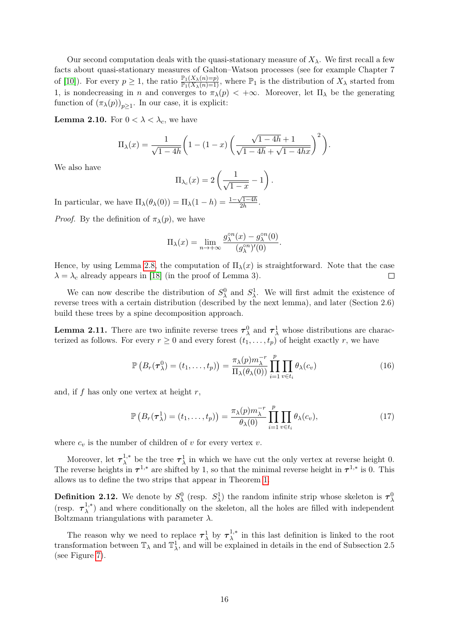Our second computation deals with the quasi-stationary measure of  $X_\lambda$ . We first recall a few facts about quasi-stationary measures of Galton–Watson processes (see for example Chapter 7 of [\[10\]](#page-38-17)). For every  $p \ge 1$ , the ratio  $\frac{\mathbb{P}_1(X_\lambda(n)=p)}{\mathbb{P}_1(X_\lambda(n)=1)}$ , where  $\mathbb{P}_1$  is the distribution of  $X_\lambda$  started from 1, is nondecreasing in n and converges to  $\pi_{\lambda}(p) < +\infty$ . Moreover, let  $\Pi_{\lambda}$  be the generating function of  $(\pi_{\lambda}(p))_{p\geq 1}$ . In our case, it is explicit:

<span id="page-15-1"></span>**Lemma 2.10.** For  $0 < \lambda < \lambda_c$ , we have

$$
\Pi_{\lambda}(x) = \frac{1}{\sqrt{1-4h}} \left( 1 - (1-x) \left( \frac{\sqrt{1-4h} + 1}{\sqrt{1-4h} + \sqrt{1-4hx}} \right)^2 \right).
$$

We also have

$$
\Pi_{\lambda_c}(x) = 2\left(\frac{1}{\sqrt{1-x}} - 1\right).
$$

In particular, we have  $\Pi_{\lambda}(\theta_{\lambda}(0)) = \Pi_{\lambda}(1-h) = \frac{1-\sqrt{1-4h}}{2h}$  $\frac{2h-4h}{2h}$ .

*Proof.* By the definition of  $\pi_{\lambda}(p)$ , we have

$$
\Pi_{\lambda}(x) = \lim_{n \to +\infty} \frac{g_{\lambda}^{\circ n}(x) - g_{\lambda}^{\circ n}(0)}{(g_{\lambda}^{\circ n})'(0)}.
$$

Hence, by using Lemma [2.8,](#page-14-1) the computation of  $\Pi_{\lambda}(x)$  is straightforward. Note that the case  $\lambda = \lambda_c$  already appears in [\[18\]](#page-38-12) (in the proof of Lemma 3).  $\Box$ 

We can now describe the distribution of  $S^0_\lambda$  and  $S^1_\lambda$ . We will first admit the existence of reverse trees with a certain distribution (described by the next lemma), and later (Section 2.6) build these trees by a spine decomposition approach.

<span id="page-15-0"></span>**Lemma 2.11.** There are two infinite reverse trees  $\tau_{\lambda}^{0}$  and  $\tau_{\lambda}^{1}$  whose distributions are characterized as follows. For every  $r \geq 0$  and every forest  $(t_1, \ldots, t_p)$  of height exactly r, we have

$$
\mathbb{P}\left(B_r(\tau_\lambda^0)=(t_1,\ldots,t_p)\right)=\frac{\pi_\lambda(p)m_\lambda^{-r}}{\Pi_\lambda(\theta_\lambda(0))}\prod_{i=1}^p\prod_{v\in t_i}\theta_\lambda(c_v)
$$
\n(16)

and, if f has only one vertex at height  $r$ ,

$$
\mathbb{P}\left(B_r(\tau_\lambda^1)=(t_1,\ldots,t_p)\right)=\frac{\pi_\lambda(p)m_\lambda^{-r}}{\theta_\lambda(0)}\prod_{i=1}^p\prod_{v\in t_i}\theta_\lambda(c_v),\tag{17}
$$

where  $c_v$  is the number of children of v for every vertex v.

Moreover, let  $\tau_{\lambda}^{1,*}$ <sup>1,\*</sup> be the tree  $\tau_{\lambda}^1$  in which we have cut the only vertex at reverse height 0. The reverse heights in  $\tau^{1,*}$  are shifted by 1, so that the minimal reverse height in  $\tau^{1,*}$  is 0. This allows us to define the two strips that appear in Theorem [1.](#page-0-1)

**Definition 2.12.** We denote by  $S^0_\lambda$  (resp.  $S^1_\lambda$ ) the random infinite strip whose skeleton is  $\tau^0_\lambda$ (resp.  $\tau_{\lambda}^{1,*}$  $\lambda^{1,*}$ ) and where conditionally on the skeleton, all the holes are filled with independent Boltzmann triangulations with parameter  $\lambda$ .

The reason why we need to replace  $\tau_{\lambda}^1$  by  $\tau_{\lambda}^{1,*}$  $\lambda^{1,*}$  in this last definition is linked to the root transformation between  $\mathbb{T}_{\lambda}$  and  $\mathbb{T}_{\lambda}^{1}$ , and will be explained in details in the end of Subsection 2.5 (see Figure [7\)](#page-19-1).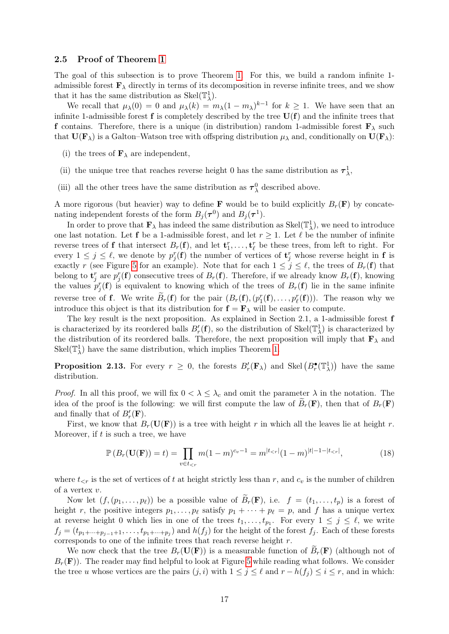#### <span id="page-16-0"></span>2.5 Proof of Theorem [1](#page-0-1)

The goal of this subsection is to prove Theorem [1.](#page-0-1) For this, we build a random infinite 1 admissible forest  $\mathbf{F}_{\lambda}$  directly in terms of its decomposition in reverse infinite trees, and we show that it has the same distribution as Skel $(\mathbb{T}^1_\lambda)$ .

We recall that  $\mu_{\lambda}(0) = 0$  and  $\mu_{\lambda}(k) = m_{\lambda}(1 - m_{\lambda})^{k-1}$  for  $k \geq 1$ . We have seen that an infinite 1-admissible forest  $f$  is completely described by the tree  $U(f)$  and the infinite trees that f contains. Therefore, there is a unique (in distribution) random 1-admissible forest  $\mathbf{F}_{\lambda}$  such that  $\mathbf{U}(\mathbf{F}_{\lambda})$  is a Galton–Watson tree with offspring distribution  $\mu_{\lambda}$  and, conditionally on  $\mathbf{U}(\mathbf{F}_{\lambda})$ :

- (i) the trees of  $\mathbf{F}_{\lambda}$  are independent,
- (ii) the unique tree that reaches reverse height 0 has the same distribution as  $\tau_{\lambda}^1$ ,
- (iii) all the other trees have the same distribution as  $\tau_{\lambda}^{0}$  described above.

A more rigorous (but heavier) way to define **F** would be to build explicitly  $B_r(\mathbf{F})$  by concatenating independent forests of the form  $B_j(\tau^0)$  and  $B_j(\tau^1)$ .

In order to prove that  $\mathbf{F}_{\lambda}$  has indeed the same distribution as  $\text{Skel}(\mathbb{T}_{\lambda}^{1})$ , we need to introduce one last notation. Let **f** be a 1-admissible forest, and let  $r \ge 1$ . Let  $\ell$  be the number of infinite reverse trees of **f** that intersect  $B_r(\mathbf{f})$ , and let  $\mathbf{t}_1^r, \ldots, \mathbf{t}_\ell^r$  be these trees, from left to right. For every  $1 \leq j \leq \ell$ , we denote by  $p_j^r(\mathbf{f})$  the number of vertices of  $\mathbf{t}_j^r$  whose reverse height in f is exactly r (see Figure [5](#page-13-0) for an example). Note that for each  $1 \leq j \leq \ell$ , the trees of  $B_r(\mathbf{f})$  that belong to  $\mathbf{t}_j^r$  are  $p_j^r(\mathbf{f})$  consecutive trees of  $B_r(\mathbf{f})$ . Therefore, if we already know  $B_r(\mathbf{f})$ , knowing the values  $p_j^r(\mathbf{f})$  is equivalent to knowing which of the trees of  $B_r(\mathbf{f})$  lie in the same infinite reverse tree of **f**. We write  $\widetilde{B}_r(\mathbf{f})$  for the pair  $(B_r(\mathbf{f}),(p_1^r(\mathbf{f}),\ldots,p_\ell^r(\mathbf{f})))$ . The reason why we introduce this object is that its distribution for  $f = F_\lambda$  will be easier to compute.

The key result is the next proposition. As explained in Section 2.1, a 1-admissible forest f is characterized by its reordered balls  $B'_r(\mathbf{f})$ , so the distribution of  $\text{Skel}(\mathbb{T}^1_\lambda)$  is characterized by the distribution of its reordered balls. Therefore, the next proposition will imply that  $\mathbf{F}_{\lambda}$  and Skel( $\mathbb{T}^1_\lambda$ ) have the same distribution, which implies Theorem [1.](#page-0-1)

<span id="page-16-1"></span>**Proposition 2.13.** For every  $r \geq 0$ , the forests  $B'_r(\mathbf{F}_{\lambda})$  and Skel  $(B_r^{\bullet}(\mathbb{T}_{\lambda}^1))$  have the same distribution.

*Proof.* In all this proof, we will fix  $0 < \lambda \leq \lambda_c$  and omit the parameter  $\lambda$  in the notation. The idea of the proof is the following: we will first compute the law of  $B_r(\mathbf{F})$ , then that of  $B_r(\mathbf{F})$ and finally that of  $B'_r(\mathbf{F})$ .

First, we know that  $B_r(\mathbf{U}(\mathbf{F}))$  is a tree with height r in which all the leaves lie at height r. Moreover, if  $t$  is such a tree, we have

<span id="page-16-2"></span>
$$
\mathbb{P}\left(B_r(\mathbf{U}(\mathbf{F}))=t\right) = \prod_{v \in t_{\leq r}} m(1-m)^{c_v-1} = m^{|t_{\leq r}|}(1-m)^{|t|-1-|t_{\leq r}|},\tag{18}
$$

where  $t_{\leq r}$  is the set of vertices of t at height strictly less than r, and  $c_v$  is the number of children of a vertex v.

Now let  $(f,(p_1,\ldots,p_\ell))$  be a possible value of  $\widetilde{B}_r(\mathbf{F})$ , i.e.  $f = (t_1,\ldots,t_p)$  is a forest of height r, the positive integers  $p_1, \ldots, p_\ell$  satisfy  $p_1 + \cdots + p_\ell = p$ , and f has a unique vertex at reverse height 0 which lies in one of the trees  $t_1, \ldots, t_{p_1}$ . For every  $1 \leq j \leq \ell$ , we write  $f_j = (t_{p_1+\cdots+p_{j-1}+1},\ldots,t_{p_1+\cdots+p_j})$  and  $h(f_j)$  for the height of the forest  $f_j$ . Each of these forests corresponds to one of the infinite trees that reach reverse height r.

We now check that the tree  $B_r(\mathbf{U}(\mathbf{F}))$  is a measurable function of  $B_r(\mathbf{F})$  (although not of  $B_r(\mathbf{F})$ . The reader may find helpful to look at Figure [5](#page-13-0) while reading what follows. We consider the tree u whose vertices are the pairs  $(j, i)$  with  $1 \leq j \leq \ell$  and  $r - h(f_j) \leq i \leq r$ , and in which: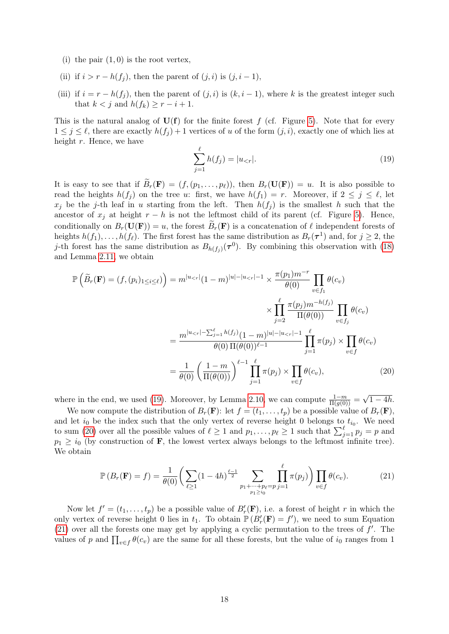- (i) the pair  $(1,0)$  is the root vertex,
- (ii) if  $i > r h(f_i)$ , then the parent of  $(j, i)$  is  $(j, i 1)$ ,
- (iii) if  $i = r h(f_j)$ , then the parent of  $(j, i)$  is  $(k, i 1)$ , where k is the greatest integer such that  $k < j$  and  $h(f_k) \geq r - i + 1$ .

This is the natural analog of  $U(f)$  for the finite forest f (cf. Figure [5\)](#page-13-0). Note that for every  $1 \leq j \leq \ell$ , there are exactly  $h(f_j) + 1$  vertices of u of the form  $(j, i)$ , exactly one of which lies at height  $r$ . Hence, we have

<span id="page-17-1"></span><span id="page-17-0"></span>
$$
\sum_{j=1}^{\ell} h(f_j) = |u_{\le r}|.\tag{19}
$$

It is easy to see that if  $B_r(\mathbf{F}) = (f,(p_1,\ldots,p_\ell))$ , then  $B_r(\mathbf{U}(\mathbf{F})) = u$ . It is also possible to read the heights  $h(f_i)$  on the tree u: first, we have  $h(f_1) = r$ . Moreover, if  $2 \leq j \leq \ell$ , let  $x_j$  be the j-th leaf in u starting from the left. Then  $h(f_j)$  is the smallest h such that the ancestor of  $x_j$  at height  $r - h$  is not the leftmost child of its parent (cf. Figure [5\)](#page-13-0). Hence, conditionally on  $B_r(\mathbf{U}(\mathbf{F})) = u$ , the forest  $\tilde{B}_r(\mathbf{F})$  is a concatenation of  $\ell$  independent forests of heights  $h(f_1), \ldots, h(f_\ell)$ . The first forest has the same distribution as  $B_r(\tau^1)$  and, for  $j \geq 2$ , the j-th forest has the same distribution as  $B_{h(f_j)}(\tau^0)$ . By combining this observation with [\(18\)](#page-16-2) and Lemma [2.11,](#page-15-0) we obtain

$$
\mathbb{P}\left(\widetilde{B}_r(\mathbf{F}) = (f, (p_i)_{1 \le i \le \ell})\right) = m^{|u_{\le r}|}(1-m)^{|u|-|u_{\le r}|-1} \times \frac{\pi(p_1)m^{-r}}{\theta(0)} \prod_{v \in f_1} \theta(c_v)
$$

$$
\times \prod_{j=2}^{\ell} \frac{\pi(p_j)m^{-h(f_j)}}{\Pi(\theta(0))} \prod_{v \in f_j} \theta(c_v)
$$

$$
= \frac{m^{|u_{\le r}|-\sum_{j=1}^{\ell}h(f_j)}(\theta(0))^{u|-|u_{\le r}|-1}}{\theta(0)\Pi(\theta(0))^{\ell-1}} \prod_{j=1}^{\ell} \pi(p_j) \times \prod_{v \in f} \theta(c_v)
$$

$$
= \frac{1}{\theta(0)} \left(\frac{1-m}{\Pi(\theta(0))}\right)^{\ell-1} \prod_{j=1}^{\ell} \pi(p_j) \times \prod_{v \in f} \theta(c_v), \tag{20}
$$

where in the end, we used [\(19\)](#page-17-0). Moreover, by Lemma [2.10,](#page-15-1) we can compute  $\frac{1-m}{\Pi(g(0))}$  = √  $1 - 4h$ .

We now compute the distribution of  $B_r(\mathbf{F})$ : let  $f = (t_1, \ldots, t_p)$  be a possible value of  $B_r(\mathbf{F})$ , and let  $i_0$  be the index such that the only vertex of reverse height 0 belongs to  $t_{i_0}$ . We need to sum [\(20\)](#page-17-1) over all the possible values of  $\ell \geq 1$  and  $p_1, \ldots, p_\ell \geq 1$  such that  $\sum_{j=1}^\ell p_j = p$  and  $p_1 \geq i_0$  (by construction of **F**, the lowest vertex always belongs to the leftmost infinite tree). We obtain

<span id="page-17-2"></span>
$$
\mathbb{P}(B_r(\mathbf{F}) = f) = \frac{1}{\theta(0)} \bigg( \sum_{\ell \ge 1} (1 - 4h)^{\frac{\ell - 1}{2}} \sum_{\substack{p_1 + \dots + p_\ell = p \\ p_1 \ge i_0}} \prod_{j = 1}^{\ell} \pi(p_j) \bigg) \prod_{v \in f} \theta(c_v). \tag{21}
$$

Now let  $f' = (t_1, \ldots, t_p)$  be a possible value of  $B'_r(\mathbf{F})$ , i.e. a forest of height r in which the only vertex of reverse height 0 lies in  $t_1$ . To obtain  $\mathbb{P}(B'_r(\mathbf{F}) = f')$ , we need to sum Equation [\(21\)](#page-17-2) over all the forests one may get by applying a cyclic permutation to the trees of  $f'$ . The values of p and  $\prod_{v \in f} \theta(c_v)$  are the same for all these forests, but the value of  $i_0$  ranges from 1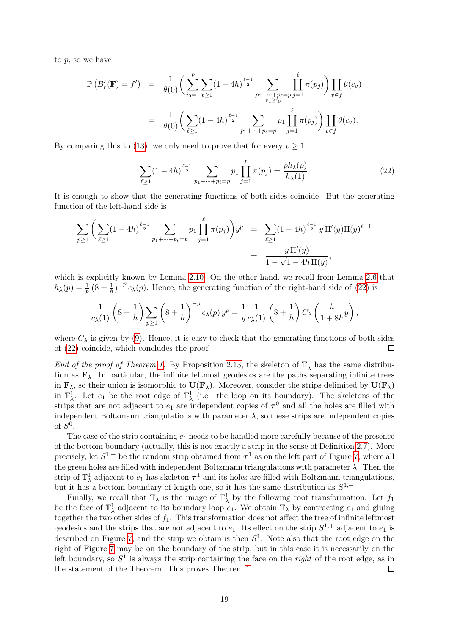to  $p$ , so we have

$$
\mathbb{P}\left(B'_{r}(\mathbf{F})=f'\right) = \frac{1}{\theta(0)} \bigg(\sum_{i_0=1}^p \sum_{\ell \geq 1} (1-4h)^{\frac{\ell-1}{2}} \sum_{\substack{p_1+\dots+p_\ell=p\\p_1\geq i_0}} \prod_{j=1}^\ell \pi(p_j)\bigg) \prod_{v \in f} \theta(c_v)
$$

$$
= \frac{1}{\theta(0)} \bigg(\sum_{\ell \geq 1} (1-4h)^{\frac{\ell-1}{2}} \sum_{\substack{p_1+\dots+p_\ell=p\\p_1+\dots+p_\ell=p}} \prod_{j=1}^\ell \pi(p_j)\bigg) \prod_{v \in f} \theta(c_v).
$$

By comparing this to [\(13\)](#page-11-2), we only need to prove that for every  $p \geq 1$ ,

<span id="page-18-0"></span>
$$
\sum_{\ell \ge 1} (1 - 4h)^{\frac{\ell - 1}{2}} \sum_{p_1 + \dots + p_\ell = p} p_1 \prod_{j=1}^{\ell} \pi(p_j) = \frac{ph_\lambda(p)}{h_\lambda(1)}.
$$
 (22)

It is enough to show that the generating functions of both sides coincide. But the generating function of the left-hand side is

$$
\sum_{p\geq 1} \left( \sum_{\ell \geq 1} (1 - 4h)^{\frac{\ell-1}{2}} \sum_{p_1 + \dots + p_\ell = p} p_1 \prod_{j=1}^{\ell} \pi(p_j) \right) y^p = \sum_{\ell \geq 1} (1 - 4h)^{\frac{\ell-1}{2}} y \Pi'(y) \Pi(y)^{\ell-1}
$$

$$
= \frac{y \Pi'(y)}{1 - \sqrt{1 - 4h} \Pi(y)},
$$

which is explicitly known by Lemma [2.10.](#page-15-1) On the other hand, we recall from Lemma [2.6](#page-11-1) that  $h_{\lambda}(p) = \frac{1}{p} \left(8 + \frac{1}{h}\right)^{-p} c_{\lambda}(p)$ . Hence, the generating function of the right-hand side of [\(22\)](#page-18-0) is

$$
\frac{1}{c_{\lambda}(1)}\left(8+\frac{1}{h}\right)\sum_{p\geq 1}\left(8+\frac{1}{h}\right)^{-p}c_{\lambda}(p)\,y^{p}=\frac{1}{y}\frac{1}{c_{\lambda}(1)}\left(8+\frac{1}{h}\right)C_{\lambda}\left(\frac{h}{1+8h}y\right),
$$

where  $C_{\lambda}$  is given by [\(9\)](#page-6-0). Hence, it is easy to check that the generating functions of both sides of [\(22\)](#page-18-0) coincide, which concludes the proof.  $\Box$ 

End of the proof of Theorem [1.](#page-0-1) By Proposition [2.13,](#page-16-1) the skeleton of  $\mathbb{T}^1_\lambda$  has the same distribution as  $\mathbf{F}_{\lambda}$ . In particular, the infinite leftmost geodesics are the paths separating infinite trees in  $\mathbf{F}_{\lambda}$ , so their union is isomorphic to  $\mathbf{U}(\mathbf{F}_{\lambda})$ . Moreover, consider the strips delimited by  $\mathbf{U}(\mathbf{F}_{\lambda})$ in  $\mathbb{T}^1_\lambda$ . Let  $e_1$  be the root edge of  $\mathbb{T}^1_\lambda$  (i.e. the loop on its boundary). The skeletons of the strips that are not adjacent to  $e_1$  are independent copies of  $\tau^0$  and all the holes are filled with independent Boltzmann triangulations with parameter  $\lambda$ , so these strips are independent copies of  $S^0$ .

The case of the strip containing  $e_1$  needs to be handled more carefully because of the presence of the bottom boundary (actually, this is not exactly a strip in the sense of Definition [2.7\)](#page-13-1). More precisely, let  $S^{1,+}$  be the random strip obtained from  $\tau^1$  as on the left part of Figure [7,](#page-19-1) where all the green holes are filled with independent Boltzmann triangulations with parameter  $\lambda$ . Then the strip of  $\mathbb{T}^1_\lambda$  adjacent to  $e_1$  has skeleton  $\tau^1$  and its holes are filled with Boltzmann triangulations, but it has a bottom boundary of length one, so it has the same distribution as  $S^{1,+}$ .

Finally, we recall that  $\mathbb{T}_{\lambda}$  is the image of  $\mathbb{T}_{\lambda}^1$  by the following root transformation. Let  $f_1$ be the face of  $\mathbb{T}^1_\lambda$  adjacent to its boundary loop  $e_1$ . We obtain  $\mathbb{T}_\lambda$  by contracting  $e_1$  and gluing together the two other sides of  $f_1$ . This transformation does not affect the tree of infinite leftmost geodesics and the strips that are not adjacent to  $e_1$ . Its effect on the strip  $S^{1,+}$  adjacent to  $e_1$  is described on Figure [7,](#page-19-1) and the strip we obtain is then  $S<sup>1</sup>$ . Note also that the root edge on the right of Figure [7](#page-19-1) may be on the boundary of the strip, but in this case it is necessarily on the left boundary, so  $S^1$  is always the strip containing the face on the *right* of the root edge, as in the statement of the Theorem. This proves Theorem [1.](#page-0-1)  $\Box$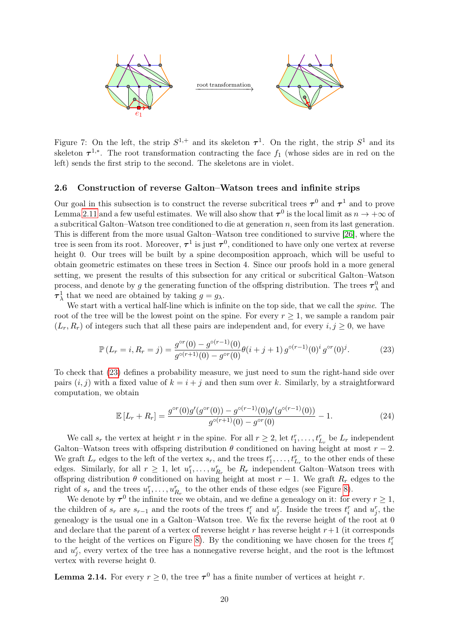

<span id="page-19-1"></span>Figure 7: On the left, the strip  $S^{1,+}$  and its skeleton  $\tau^1$ . On the right, the strip  $S^1$  and its skeleton  $\tau^{1,*}$ . The root transformation contracting the face  $f_1$  (whose sides are in red on the left) sends the first strip to the second. The skeletons are in violet.

#### <span id="page-19-0"></span>2.6 Construction of reverse Galton–Watson trees and infinite strips

Our goal in this subsection is to construct the reverse subcritical trees  $\tau^0$  and  $\tau^1$  and to prove Lemma [2.11](#page-15-0) and a few useful estimates. We will also show that  $\tau^0$  is the local limit as  $n \to +\infty$  of a subcritical Galton–Watson tree conditioned to die at generation  $n$ , seen from its last generation. This is different from the more usual Galton–Watson tree conditioned to survive [\[26\]](#page-39-13), where the tree is seen from its root. Moreover,  $\tau^1$  is just  $\tau^0$ , conditioned to have only one vertex at reverse height 0. Our trees will be built by a spine decomposition approach, which will be useful to obtain geometric estimates on these trees in Section 4. Since our proofs hold in a more general setting, we present the results of this subsection for any critical or subcritical Galton–Watson process, and denote by g the generating function of the offspring distribution. The trees  $\tau_{\lambda}^0$  and  $\tau^1_\lambda$  that we need are obtained by taking  $g = g_\lambda$ .

We start with a vertical half-line which is infinite on the top side, that we call the *spine*. The root of the tree will be the lowest point on the spine. For every  $r \geq 1$ , we sample a random pair  $(L_r, R_r)$  of integers such that all these pairs are independent and, for every i, j > 0, we have

<span id="page-19-2"></span>
$$
\mathbb{P}\left(L_r = i, R_r = j\right) = \frac{g^{\circ r}(0) - g^{\circ (r-1)}(0)}{g^{\circ (r+1)}(0) - g^{\circ r}(0)} \theta(i+j+1) \, g^{\circ (r-1)}(0)^i \, g^{\circ r}(0)^j. \tag{23}
$$

To check that [\(23\)](#page-19-2) defines a probability measure, we just need to sum the right-hand side over pairs  $(i, j)$  with a fixed value of  $k = i + j$  and then sum over k. Similarly, by a straightforward computation, we obtain

<span id="page-19-3"></span>
$$
\mathbb{E}\left[L_r + R_r\right] = \frac{g^{\circ r}(0)g'(g^{\circ r}(0)) - g^{\circ (r-1)}(0)g'(g^{\circ (r-1)}(0))}{g^{\circ (r+1)}(0) - g^{\circ r}(0)} - 1.
$$
\n(24)

We call  $s_r$  the vertex at height r in the spine. For all  $r \geq 2$ , let  $t_1^r, \ldots, t_{L_r}^r$  be  $L_r$  independent Galton–Watson trees with offspring distribution  $\theta$  conditioned on having height at most  $r - 2$ . We graft  $L_r$  edges to the left of the vertex  $s_r$ , and the trees  $t_1^r, \ldots, t_{L_r}^r$  to the other ends of these edges. Similarly, for all  $r \geq 1$ , let  $u_1^r, \ldots, u_{R_r}^r$  be  $R_r$  independent Galton–Watson trees with offspring distribution  $\theta$  conditioned on having height at most  $r - 1$ . We graft  $R_r$  edges to the right of  $s_r$  and the trees  $u_1^r, \ldots, u_{R_r}^r$  to the other ends of these edges (see Figure [8\)](#page-20-0).

We denote by  $\tau^0$  the infinite tree we obtain, and we define a genealogy on it: for every  $r \geq 1$ , the children of  $s_r$  are  $s_{r-1}$  and the roots of the trees  $t_i^r$  and  $u_j^r$ . Inside the trees  $t_i^r$  and  $u_j^r$ , the genealogy is the usual one in a Galton–Watson tree. We fix the reverse height of the root at 0 and declare that the parent of a vertex of reverse height  $r$  has reverse height  $r+1$  (it corresponds to the height of the vertices on Figure [8\)](#page-20-0). By the conditioning we have chosen for the trees  $t_i^r$ and  $u_j^r$ , every vertex of the tree has a nonnegative reverse height, and the root is the leftmost vertex with reverse height 0.

<span id="page-19-4"></span>**Lemma 2.14.** For every  $r \geq 0$ , the tree  $\tau^0$  has a finite number of vertices at height r.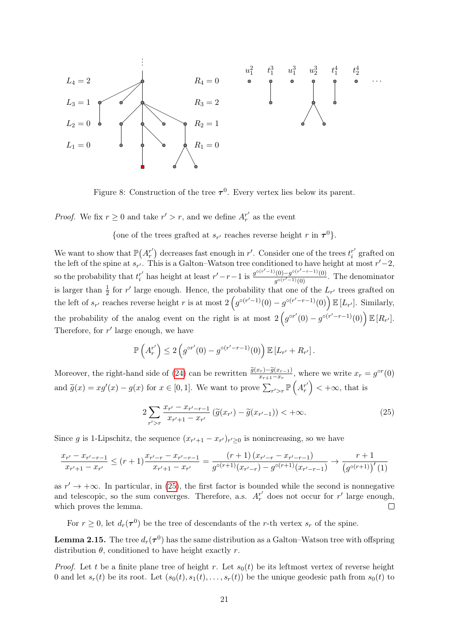

<span id="page-20-0"></span>Figure 8: Construction of the tree  $\tau^0$ . Every vertex lies below its parent.

*Proof.* We fix  $r \geq 0$  and take  $r' > r$ , and we define  $A_r^{r'}$  as the event

{one of the trees grafted at  $s_{r'}$  reaches reverse height r in  $\tau^0$ }.

We want to show that  $\mathbb{P}(A_r^{r'})$  decreases fast enough in r'. Consider one of the trees  $t_i^{r'}$  $i$ <sup>r'</sup> grafted on the left of the spine at  $s_{r'}$ . This is a Galton–Watson tree conditioned to have height at most  $r'-2$ , so the probability that  $t_i^{r'}$  $r'$  has height at least  $r'-r-1$  is  $\frac{g^{\circ(r'-1)}(0)-g^{\circ(r'-r-1)}(0)}{g^{\circ(r'-1)}(0)}$  $\frac{f(0)-g^{(0)}-g^{(0)}(0)}{g^{\circ(r'-1)}(0)}$ . The denominator is larger than  $\frac{1}{2}$  for r' large enough. Hence, the probability that one of the  $L_{r'}$  trees grafted on the left of  $s_{r'}$  reaches reverse height r is at most  $2\left(g^{\circ(r'-1)}(0)-g^{\circ(r'-r-1)}(0)\right)\mathbb{E}\left[L_{r'}\right]$ . Similarly, the probability of the analog event on the right is at most  $2\left(g^{\circ r'}(0) - g^{\circ (r'-r-1)}(0)\right) \mathbb{E}[R_{r'}].$ Therefore, for  $r'$  large enough, we have

$$
\mathbb{P}\left(A_r^{r'}\right) \leq 2\left(g^{\circ r'}(0) - g^{\circ (r'-r-1)}(0)\right) \mathbb{E}\left[L_{r'} + R_{r'}\right].
$$

Moreover, the right-hand side of [\(24\)](#page-19-3) can be rewritten  $\frac{\tilde{g}(x_r) - \tilde{g}(x_{r-1})}{x_{r+1}-x_r}$ , where we write  $x_r = g^{\circ r}(0)$ and  $\widetilde{g}(x) = xg'(x) - g(x)$  for  $x \in [0, 1]$ . We want to prove  $\sum_{r' > r} \mathbb{P}\left(A_r^{r'}\right) < +\infty$ , that is

<span id="page-20-1"></span>
$$
2\sum_{r' > r} \frac{x_{r'} - x_{r'-r-1}}{x_{r'+1} - x_{r'}} \left( \tilde{g}(x_{r'}) - \tilde{g}(x_{r'-1}) \right) < +\infty.
$$
 (25)

Since g is 1-Lipschitz, the sequence  $(x_{r'+1} - x_{r'})_{r' \geq 0}$  is nonincreasing, so we have

$$
\frac{x_{r'} - x_{r'-r-1}}{x_{r'+1} - x_{r'}} \le (r+1) \frac{x_{r'-r} - x_{r'-r-1}}{x_{r'+1} - x_{r'}} = \frac{(r+1) (x_{r'-r} - x_{r'-r-1})}{g^{\circ(r+1)}(x_{r'-r}) - g^{\circ(r+1)}(x_{r'-r-1})} \to \frac{r+1}{\left(g^{\circ(r+1)}\right)'(1)}
$$

as  $r' \rightarrow +\infty$ . In particular, in [\(25\)](#page-20-1), the first factor is bounded while the second is nonnegative and telescopic, so the sum converges. Therefore, a.s.  $A_r^{r'}$  does not occur for r' large enough, which proves the lemma.  $\Box$ 

For  $r \geq 0$ , let  $d_r(\tau^0)$  be the tree of descendants of the r-th vertex  $s_r$  of the spine.

<span id="page-20-2"></span>**Lemma 2.15.** The tree  $d_r(\tau^0)$  has the same distribution as a Galton–Watson tree with offspring distribution  $\theta$ , conditioned to have height exactly r.

*Proof.* Let t be a finite plane tree of height r. Let  $s_0(t)$  be its leftmost vertex of reverse height 0 and let  $s_r(t)$  be its root. Let  $(s_0(t), s_1(t), \ldots, s_r(t))$  be the unique geodesic path from  $s_0(t)$  to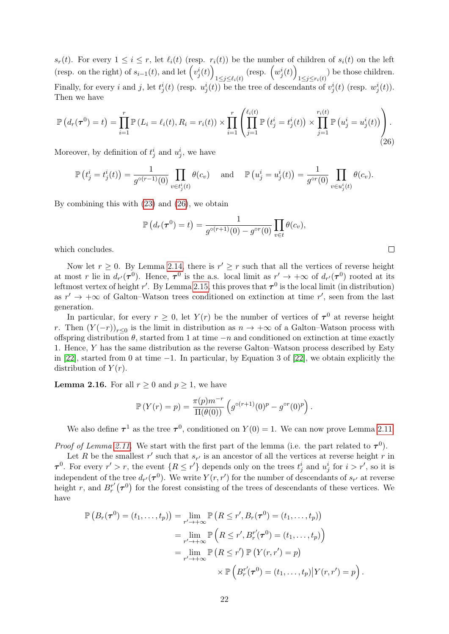$s_r(t)$ . For every  $1 \leq i \leq r$ , let  $\ell_i(t)$  (resp.  $r_i(t)$ ) be the number of children of  $s_i(t)$  on the left (resp. on the right) of  $s_{i-1}(t)$ , and let  $(v_j^i(t))$  $_{1\leq j\leq \ell_i(t)}$  (resp.  $\left(w_j^i(t)\right)$  $\sum_{1 \leq j \leq r_i(t)}$  be those children. Finally, for every i and j, let  $t_j^i(t)$  (resp.  $u_j^i(t)$ ) be the tree of descendants of  $v_j^i(t)$  (resp.  $w_j^i(t)$ ). Then we have

<span id="page-21-0"></span>
$$
\mathbb{P}\left(d_r(\tau^0) = t\right) = \prod_{i=1}^r \mathbb{P}\left(L_i = \ell_i(t), R_i = r_i(t)\right) \times \prod_{i=1}^r \left(\prod_{j=1}^{\ell_i(t)} \mathbb{P}\left(t_j^i = t_j^i(t)\right) \times \prod_{j=1}^{r_i(t)} \mathbb{P}\left(u_j^i = u_j^i(t)\right)\right).
$$
\n(26)

Moreover, by definition of  $t_j^i$  and  $u_j^i$ , we have

$$
\mathbb{P}\left(t_j^i = t_j^i(t)\right) = \frac{1}{g^{\circ(r-1)}(0)} \prod_{v \in t_j^i(t)} \theta(c_v) \quad \text{and} \quad \mathbb{P}\left(u_j^i = u_j^i(t)\right) = \frac{1}{g^{\circ r}(0)} \prod_{v \in u_j^i(t)} \theta(c_v).
$$

By combining this with [\(23\)](#page-19-2) and [\(26\)](#page-21-0), we obtain

$$
\mathbb{P}\left(d_r(\boldsymbol{\tau}^0)=t\right)=\frac{1}{g^{\circ(r+1)}(0)-g^{\circ r}(0)}\prod_{v\in t}\theta(c_v),
$$

 $\Box$ 

which concludes.

Now let  $r \geq 0$ . By Lemma [2.14,](#page-19-4) there is  $r' \geq r$  such that all the vertices of reverse height at most r lie in  $d_{r'}(\tau^0)$ . Hence,  $\tau^0$  is the a.s. local limit as  $r' \to +\infty$  of  $d_{r'}(\tau^0)$  rooted at its leftmost vertex of height r'. By Lemma [2.15,](#page-20-2) this proves that  $\tau^0$  is the local limit (in distribution) as  $r' \rightarrow +\infty$  of Galton–Watson trees conditioned on extinction at time r', seen from the last generation.

In particular, for every  $r \geq 0$ , let  $Y(r)$  be the number of vertices of  $\tau^0$  at reverse height r. Then  $(Y(-r))_{r\leq 0}$  is the limit in distribution as  $n \to +\infty$  of a Galton–Watson process with offspring distribution  $\theta$ , started from 1 at time  $-n$  and conditioned on extinction at time exactly 1. Hence, Y has the same distribution as the reverse Galton–Watson process described by Esty in [\[22\]](#page-39-14), started from 0 at time −1. In particular, by Equation 3 of [\[22\]](#page-39-14), we obtain explicitly the distribution of  $Y(r)$ .

<span id="page-21-1"></span>**Lemma 2.16.** For all  $r \geq 0$  and  $p \geq 1$ , we have

$$
\mathbb{P}(Y(r) = p) = \frac{\pi(p)m^{-r}}{\Pi(\theta(0))} \left( g^{\circ(r+1)}(0)^p - g^{\circ r}(0)^p \right).
$$

We also define  $\tau^1$  as the tree  $\tau^0$ , conditioned on  $Y(0) = 1$ . We can now prove Lemma [2.11.](#page-15-0)

*Proof of Lemma [2.11.](#page-15-0)* We start with the first part of the lemma (i.e. the part related to  $\tau^0$ ).

Let R be the smallest  $r'$  such that  $s_{r'}$  is an ancestor of all the vertices at reverse height r in  $\tau^0$ . For every  $r' > r$ , the event  $\{R \leq r'\}$  depends only on the trees  $t_j^i$  and  $u_j^i$  for  $i > r'$ , so it is independent of the tree  $d_{r'}(\tau^0)$ . We write  $Y(r,r')$  for the number of descendants of  $s_{r'}$  at reverse height r, and  $B_r^{r'}(\tau^0)$  for the forest consisting of the trees of descendants of these vertices. We have

$$
\mathbb{P}\left(B_r(\boldsymbol{\tau}^0) = (t_1, \ldots, t_p)\right) = \lim_{r' \to +\infty} \mathbb{P}\left(R \leq r', B_r(\boldsymbol{\tau}^0) = (t_1, \ldots, t_p)\right)
$$

$$
= \lim_{r' \to +\infty} \mathbb{P}\left(R \leq r', B_r^{r'}(\boldsymbol{\tau}^0) = (t_1, \ldots, t_p)\right)
$$

$$
= \lim_{r' \to +\infty} \mathbb{P}\left(R \leq r'\right) \mathbb{P}\left(Y(r, r') = p\right)
$$

$$
\times \mathbb{P}\left(B_r^{r'}(\boldsymbol{\tau}^0) = (t_1, \ldots, t_p)|Y(r, r') = p\right).
$$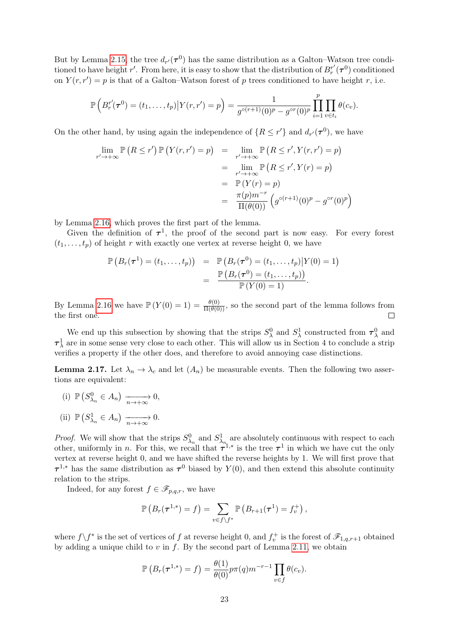But by Lemma [2.15,](#page-20-2) the tree  $d_{r'}(\tau^0)$  has the same distribution as a Galton–Watson tree conditioned to have height r'. From here, it is easy to show that the distribution of  $B_r^{r'}(\tau^0)$  conditioned on  $Y(r, r') = p$  is that of a Galton–Watson forest of p trees conditioned to have height r, i.e.

$$
\mathbb{P}\left(B_r^{r'}(\tau^0)=(t_1,\ldots,t_p)\big|Y(r,r')=p\right)=\frac{1}{g^{\circ(r+1)}(0)^p-g^{\circ r}(0)^p}\prod_{i=1}^p\prod_{v\in t_i}\theta(c_v).
$$

On the other hand, by using again the independence of  $\{R \leq r'\}$  and  $d_{r'}(\tau^0)$ , we have

$$
\lim_{r' \to +\infty} \mathbb{P}\left(R \le r'\right) \mathbb{P}\left(Y(r,r') = p\right) = \lim_{r' \to +\infty} \mathbb{P}\left(R \le r', Y(r,r') = p\right)
$$
\n
$$
= \lim_{r' \to +\infty} \mathbb{P}\left(R \le r', Y(r) = p\right)
$$
\n
$$
= \mathbb{P}\left(Y(r) = p\right)
$$
\n
$$
= \frac{\pi(p)m^{-r}}{\Pi(\theta(0))} \left(g^{\circ(r+1)}(0)^p - g^{\circ r}(0)^p\right)
$$

by Lemma [2.16,](#page-21-1) which proves the first part of the lemma.

Given the definition of  $\tau^1$ , the proof of the second part is now easy. For every forest  $(t_1, \ldots, t_p)$  of height r with exactly one vertex at reverse height 0, we have

$$
\mathbb{P}(B_r(\tau^1) = (t_1, ..., t_p)) = \mathbb{P}(B_r(\tau^0) = (t_1, ..., t_p) | Y(0) = 1)
$$
  
= 
$$
\frac{\mathbb{P}(B_r(\tau^0) = (t_1, ..., t_p))}{\mathbb{P}(Y(0) = 1)}.
$$

By Lemma [2.16](#page-21-1) we have  $\mathbb{P}(Y(0) = 1) = \frac{\theta(0)}{\Pi(\theta(0))}$ , so the second part of the lemma follows from the first one.

We end up this subsection by showing that the strips  $S_\lambda^0$  and  $S_\lambda^1$  constructed from  $\tau_\lambda^0$  and  $\tau_{\lambda}^{1}$  are in some sense very close to each other. This will allow us in Section 4 to conclude a strip verifies a property if the other does, and therefore to avoid annoying case distinctions.

<span id="page-22-0"></span>**Lemma 2.17.** Let  $\lambda_n \to \lambda_c$  and let  $(A_n)$  be measurable events. Then the following two assertions are equivalent:

(i)  $\mathbb{P}\left(S_{\lambda_n}^0 \in A_n\right) \xrightarrow[n \to +\infty]{} 0,$ (ii)  $\mathbb{P}\left(S^1_{\lambda_n} \in A_n\right) \xrightarrow[n \to +\infty]{} 0.$ 

*Proof.* We will show that the strips  $S^0_{\lambda_n}$  and  $S^1_{\lambda_n}$  are absolutely continuous with respect to each other, uniformly in n. For this, we recall that  $\tau^{1,*}$  is the tree  $\tau^1$  in which we have cut the only vertex at reverse height 0, and we have shifted the reverse heights by 1. We will first prove that  $\tau^{1,*}$  has the same distribution as  $\tau^0$  biased by  $Y(0)$ , and then extend this absolute continuity relation to the strips.

Indeed, for any forest  $f \in \mathscr{F}_{p,q,r}$ , we have

$$
\mathbb{P}\left(B_r(\boldsymbol{\tau}^{1,*})=f\right)=\sum_{v\in f\backslash f^*}\mathbb{P}\left(B_{r+1}(\boldsymbol{\tau}^1)=f_v^+\right),
$$

where  $f \setminus f^*$  is the set of vertices of f at reverse height 0, and  $f_v^+$  is the forest of  $\mathscr{F}_{1,q,r+1}$  obtained by adding a unique child to  $v$  in  $f$ . By the second part of Lemma [2.11,](#page-15-0) we obtain

$$
\mathbb{P}\left(B_r(\tau^{1,*})=f\right)=\frac{\theta(1)}{\theta(0)}p\pi(q)m^{-r-1}\prod_{v\in f}\theta(c_v).
$$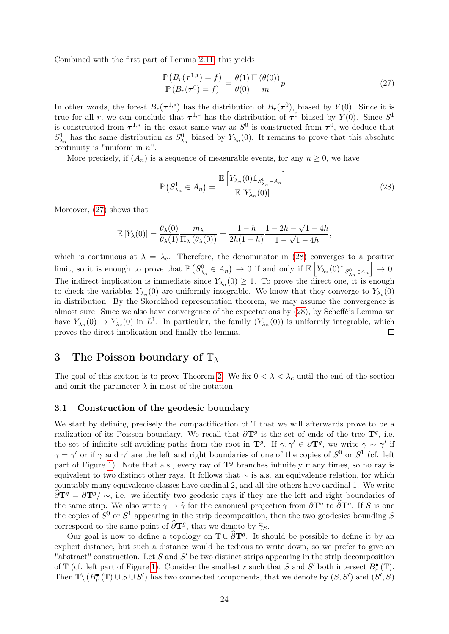Combined with the first part of Lemma [2.11,](#page-15-0) this yields

<span id="page-23-2"></span>
$$
\frac{\mathbb{P}\left(B_r(\tau^{1,*})=f\right)}{\mathbb{P}\left(B_r(\tau^0)=f\right)}=\frac{\theta(1)}{\theta(0)}\frac{\Pi\left(\theta(0)\right)}{m}p.\tag{27}
$$

In other words, the forest  $B_r(\tau^{1,*})$  has the distribution of  $B_r(\tau^{0})$ , biased by  $Y(0)$ . Since it is true for all r, we can conclude that  $\tau^{1,*}$  has the distribution of  $\tau^0$  biased by  $Y(0)$ . Since  $S^1$ is constructed from  $\tau^{1,*}$  in the exact same way as  $S^0$  is constructed from  $\tau^0$ , we deduce that  $S^1_{\lambda_n}$  has the same distribution as  $S^0_{\lambda_n}$  biased by  $Y_{\lambda_n}(0)$ . It remains to prove that this absolute continuity is "uniform in  $n$ ".

More precisely, if  $(A_n)$  is a sequence of measurable events, for any  $n \geq 0$ , we have

<span id="page-23-3"></span>
$$
\mathbb{P}\left(S_{\lambda_n}^1 \in A_n\right) = \frac{\mathbb{E}\left[Y_{\lambda_n}(0) \mathbb{1}_{S_{\lambda_n}^0 \in A_n}\right]}{\mathbb{E}\left[Y_{\lambda_n}(0)\right]}.\tag{28}
$$

Moreover, [\(27\)](#page-23-2) shows that

$$
\mathbb{E}\left[Y_{\lambda}(0)\right] = \frac{\theta_{\lambda}(0)}{\theta_{\lambda}(1)} \frac{m_{\lambda}}{\Pi_{\lambda}(\theta_{\lambda}(0))} = \frac{1-h}{2h(1-h)} \frac{1-2h-\sqrt{1-4h}}{1-\sqrt{1-4h}},
$$

which is continuous at  $\lambda = \lambda_c$ . Therefore, the denominator in [\(28\)](#page-23-3) converges to a positive limit, so it is enough to prove that  $\mathbb{P}(S^0_{\lambda_n} \in A_n) \to 0$  if and only if  $\mathbb{E}\left[Y_{\lambda_n}(0)1_{S^0_{\lambda_n} \in A_n}\right] \to 0$ . The indirect implication is immediate since  $Y_{\lambda_n}(0) \geq 1$ . To prove the direct one, it is enough to check the variables  $Y_{\lambda_n}(0)$  are uniformly integrable. We know that they converge to  $Y_{\lambda_c}(0)$ in distribution. By the Skorokhod representation theorem, we may assume the convergence is almost sure. Since we also have convergence of the expectations by [\(28\)](#page-23-3), by Scheffé's Lemma we have  $Y_{\lambda_n}(0) \to Y_{\lambda_c}(0)$  in  $L^1$ . In particular, the family  $(Y_{\lambda_n}(0))$  is uniformly integrable, which proves the direct implication and finally the lemma.  $\Box$ 

### <span id="page-23-0"></span>3 The Poisson boundary of  $\mathbb{T}_{\lambda}$

The goal of this section is to prove Theorem [2.](#page-3-0) We fix  $0 < \lambda < \lambda_c$  until the end of the section and omit the parameter  $\lambda$  in most of the notation.

### <span id="page-23-1"></span>3.1 Construction of the geodesic boundary

We start by defining precisely the compactification of  $\mathbb T$  that we will afterwards prove to be a realization of its Poisson boundary. We recall that  $\partial \mathbf{T}^g$  is the set of ends of the tree  $\mathbf{T}^g$ , i.e. the set of infinite self-avoiding paths from the root in  $\mathbf{T}^g$ . If  $\gamma, \gamma' \in \partial \mathbf{T}^g$ , we write  $\gamma \sim \gamma'$  if  $\gamma = \gamma'$  or if  $\gamma$  and  $\gamma'$  are the left and right boundaries of one of the copies of  $S^0$  or  $S^1$  (cf. left part of Figure [1\)](#page-2-0). Note that a.s., every ray of  $\mathbf{T}^g$  branches infinitely many times, so no ray is equivalent to two distinct other rays. It follows that ∼ is a.s. an equivalence relation, for which countably many equivalence classes have cardinal 2, and all the others have cardinal 1. We write  $\frac{\partial \mathbf{T}^g}{\partial \mathbf{T}^g} = \frac{\partial \mathbf{T}^g}{\partial \mathbf{T}^g}$  i.e. we identify two geodesic rays if they are the left and right boundaries of the same strip. We also write  $\gamma \to \hat{\gamma}$  for the canonical projection from  $\partial \mathbf{T}^g$  to  $\hat{\partial} \mathbf{T}^g$ . If S is one<br>the copies of  $S^0$  or  $S^1$  appearing in the strip decomposition, then the two goodesies bounding S the copies of  $S^0$  or  $S^1$  appearing in the strip decomposition, then the two geodesics bounding S correspond to the same point of  $\frac{\partial \mathbf{T}^g}{\partial \mathbf{T}^g}$ , that we denote by  $\hat{\gamma}_S$ .

Our goal is now to define a topology on  $\mathbb{T} \cup \widehat{\partial} T^g$ . It should be possible to define it by an explicit distance, but such a distance would be tedious to write down, so we prefer to give an "abstract" construction. Let  $S$  and  $S'$  be two distinct strips appearing in the strip decomposition of  $\mathbb T$  (cf. left part of Figure [1\)](#page-2-0). Consider the smallest r such that S and S' both intersect  $B_r^{\bullet}(\mathbb T)$ . Then  $\mathbb{T}\setminus (B_r^{\bullet}(\mathbb{T}) \cup S \cup S')$  has two connected components, that we denote by  $(S, S')$  and  $(S', S)$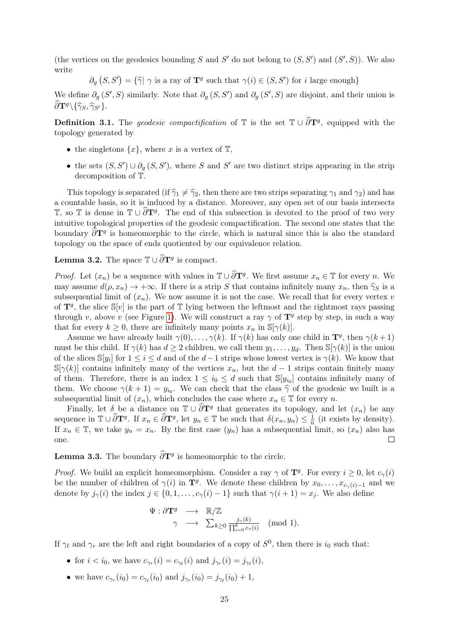(the vertices on the geodesics bounding S and S' do not belong to  $(S, S')$  and  $(S', S)$ ). We also write

 $\partial_g(S, S') = {\hat{\gamma}} \gamma$  is a ray of  $\mathbf{T}^g$  such that  $\gamma(i) \in (S, S')$  for *i* large enough}

We define  $\partial_g(S', S)$  similarly. Note that  $\partial_g(S, S')$  and  $\partial_g(S', S)$  are disjoint, and their union is  $\widehat{\partial} \mathbf{T}^g \backslash {\{\widehat{\gamma}_S, \widehat{\gamma}_{S'}\}}.$ 

**Definition 3.1.** The geodesic compactification of  $\mathbb{T}$  is the set  $\mathbb{T} \cup \widehat{\partial} T^g$ , equipped with the topology generated by

- the singletons  $\{x\}$ , where x is a vertex of  $\mathbb{T}$ ,
- the sets  $(S, S') \cup \partial_g (S, S')$ , where S and S' are two distinct strips appearing in the strip decomposition of T.

This topology is separated (if  $\hat{\gamma}_1 \neq \hat{\gamma}_2$ , then there are two strips separating  $\gamma_1$  and  $\gamma_2$ ) and has a countable basis, so it is induced by a distance. Moreover, any open set of our basis intersects T, so T is dense in  $\mathbb{T} \cup \widehat{\partial} T^g$ . The end of this subsection is devoted to the proof of two very intuitive topological properties of the geodesic compactification. The second one states that the boundary  $\widehat{\partial} \mathbf{T}^g$  is homeomorphic to the circle, which is natural since this is also the standard topology on the space of ends quotiented by our equivalence relation.

<span id="page-24-0"></span>**Lemma 3.2.** The space  $\mathbb{T} \cup \widehat{\partial} \mathbf{T}^g$  is compact.

*Proof.* Let  $(x_n)$  be a sequence with values in  $\mathbb{T} \cup \widehat{\partial} \mathbf{T}^g$ . We first assume  $x_n \in \mathbb{T}$  for every n. We may assume  $d(\rho, x_n) \to +\infty$ . If there is a strip S that contains infinitely many  $x_n$ , then  $\hat{\gamma}_S$  is a subsequential limit of  $(x_n)$ . We now assume it is not the case. We recall that for every vertex v of  $\mathbf{T}^g$ , the slice  $\mathbb{S}[v]$  is the part of T lying between the leftmost and the rightmost rays passing through v, above v (see Figure [1\)](#page-2-0). We will construct a ray  $\gamma$  of  $\mathbf{T}^g$  step by step, in such a way that for every  $k \geq 0$ , there are infinitely many points  $x_n$  in  $\mathbb{S}[\gamma(k)]$ .

Assume we have already built  $\gamma(0), \ldots, \gamma(k)$ . If  $\gamma(k)$  has only one child in  $\mathbf{T}^g$ , then  $\gamma(k+1)$ must be this child. If  $\gamma(k)$  has  $d \geq 2$  children, we call them  $y_1, \ldots, y_d$ . Then  $\mathbb{S}[\gamma(k)]$  is the union of the slices  $\mathbb{S}[y_i]$  for  $1 \leq i \leq d$  and of the  $d-1$  strips whose lowest vertex is  $\gamma(k)$ . We know that  $\mathbb{S}[\gamma(k)]$  contains infinitely many of the vertices  $x_n$ , but the  $d-1$  strips contain finitely many of them. Therefore, there is an index  $1 \leq i_0 \leq d$  such that  $\mathbb{S}[y_{i_0}]$  contains infinitely many of them. We choose  $\gamma(k+1) = y_{i_0}$ . We can check that the class  $\hat{\gamma}$  of the geodesic we built is a subsequential limit of  $(x)$ , which goodway the gas where  $x \in \mathbb{T}$  for every  $x$ . subsequential limit of  $(x_n)$ , which concludes the case where  $x_n \in \mathbb{T}$  for every n.

Finally, let  $\delta$  be a distance on  $\mathbb{T} \cup \widehat{\partial} \mathbf{T}^g$  that generates its topology, and let  $(x_n)$  be any sequence in  $\mathbb{T} \cup \widehat{\partial} \mathbf{T}^g$ . If  $x_n \in \widehat{\partial} \mathbf{T}^g$ , let  $y_n \in \mathbb{T}$  be such that  $\delta(x_n, y_n) \leq \frac{1}{n}$  $\frac{1}{n}$  (it exists by density). If  $x_n \in \mathbb{T}$ , we take  $y_n = x_n$ . By the first case  $(y_n)$  has a subsequential limit, so  $(x_n)$  also has one.  $\Box$ 

**Lemma 3.3.** The boundary  $\partial T^g$  is homeomorphic to the circle.

*Proof.* We build an explicit homeomorphism. Consider a ray  $\gamma$  of  $\mathbf{T}^g$ . For every  $i \geq 0$ , let  $c_{\gamma}(i)$ be the number of children of  $\gamma(i)$  in  $\mathbf{T}^g$ . We denote these children by  $x_0, \ldots, x_{c_{\gamma}(i)-1}$  and we denote by  $j_{\gamma}(i)$  the index  $j \in \{0, 1, \ldots, c_{\gamma}(i) - 1\}$  such that  $\gamma(i + 1) = x_j$ . We also define

$$
\Psi: \partial \mathbf{T}^g \longrightarrow \mathbb{R}/\mathbb{Z}
$$
  

$$
\gamma \longrightarrow \sum_{k \geq 0} \frac{j_{\gamma}(k)}{\prod_{i=0}^k c_{\gamma}(i)} \pmod{1}.
$$

If  $\gamma_{\ell}$  and  $\gamma_r$  are the left and right boundaries of a copy of  $S^0$ , then there is  $i_0$  such that:

- for  $i < i_0$ , we have  $c_{\gamma_r}(i) = c_{\gamma_\ell}(i)$  and  $j_{\gamma_r}(i) = j_{\gamma_\ell}(i)$ ,
- we have  $c_{\gamma_r}(i_0) = c_{\gamma_\ell}(i_0)$  and  $j_{\gamma_r}(i_0) = j_{\gamma_\ell}(i_0) + 1$ ,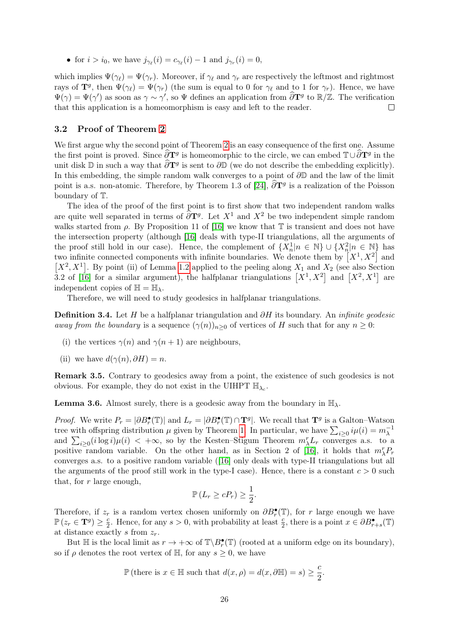• for  $i > i_0$ , we have  $j_{\gamma_{\ell}}(i) = c_{\gamma_{\ell}}(i) - 1$  and  $j_{\gamma_r}(i) = 0$ ,

which implies  $\Psi(\gamma_\ell) = \Psi(\gamma_r)$ . Moreover, if  $\gamma_\ell$  and  $\gamma_r$  are respectively the leftmost and rightmost rays of  $\mathbf{T}^g$ , then  $\Psi(\gamma_\ell) = \Psi(\gamma_r)$  (the sum is equal to 0 for  $\gamma_\ell$  and to 1 for  $\gamma_r$ ). Hence, we have  $\Psi(\gamma) = \Psi(\gamma')$  as soon as  $\gamma \sim \gamma'$ , so  $\Psi$  defines an application from  $\widehat{\partial} \mathbf{T}^g$  to  $\mathbb{R}/\mathbb{Z}$ . The verification that this application is a homeomorphism is easy and left to the reader.  $\Box$ 

#### <span id="page-25-0"></span>3.2 Proof of Theorem [2](#page-3-0)

We first argue why the second point of Theorem [2](#page-3-0) is an easy consequence of the first one. Assume the first point is proved. Since  $\hat{\partial}T^g$  is homeomorphic to the circle, we can embed  $T\cup \hat{\partial}T^g$  in the unit disk  $\mathbb D$  in such a way that  $\widehat{\partial} \mathbf{T}^g$  is sent to  $\partial \mathbb D$  (we do not describe the embedding explicitly). In this embedding, the simple random walk converges to a point of  $\partial\mathbb{D}$  and the law of the limit point is a.s. non-atomic. Therefore, by Theorem 1.3 of [\[24\]](#page-39-3),  $\hat{\partial} \mathbf{T}^g$  is a realization of the Poisson boundary of T.

The idea of the proof of the first point is to first show that two independent random walks are quite well separated in terms of  $\widehat{\partial} T^g$ . Let  $X^1$  and  $X^2$  be two independent simple random walks started from  $\rho$ . By Proposition 11 of [\[16\]](#page-38-0) we know that  $\mathbb T$  is transient and does not have the intersection property (although [\[16\]](#page-38-0) deals with type-II triangulations, all the arguments of the proof still hold in our case). Hence, the complement of  $\{X_n^1 | n \in \mathbb{N}\}\cup \{X_n^2 | n \in \mathbb{N}\}\)$  has two infinite connected components with infinite boundaries. We denote them by  $[X^1, X^2]$  and  $[X^2, X^1]$ . By point (ii) of Lemma [1.2](#page-0-1) applied to the peeling along  $X_1$  and  $X_2$  (see also Section 3.2 of [\[16\]](#page-38-0) for a similar argument), the halfplanar triangulations  $[X^1, X^2]$  and  $[X^2, X^1]$  are independent copies of  $\mathbb{H} = \mathbb{H}_{\lambda}$ .

Therefore, we will need to study geodesics in halfplanar triangulations.

**Definition 3.4.** Let H be a halfplanar triangulation and  $\partial H$  its boundary. An *infinite geodesic* away from the boundary is a sequence  $(\gamma(n))_{n>0}$  of vertices of H such that for any  $n \geq 0$ :

- (i) the vertices  $\gamma(n)$  and  $\gamma(n+1)$  are neighbours,
- (ii) we have  $d(\gamma(n), \partial H) = n$ .

Remark 3.5. Contrary to geodesics away from a point, the existence of such geodesics is not obvious. For example, they do not exist in the UIHPT  $\mathbb{H}_{\lambda_c}$ .

<span id="page-25-1"></span>**Lemma 3.6.** Almost surely, there is a geodesic away from the boundary in  $\mathbb{H}_{\lambda}$ .

*Proof.* We write  $P_r = |\partial B_r^{\bullet}(\mathbb{T})|$  and  $L_r = |\partial B_r^{\bullet}(\mathbb{T}) \cap \mathbf{T}^g|$ . We recall that  $\mathbf{T}^g$  is a Galton–Watson tree with offspring distribution  $\mu$  given by Theorem [1.](#page-0-1) In particular, we have  $\sum_{i\geq 0} i\mu(i) = m_{\lambda}^{-1}$ and  $\sum_{i\geq 0} (i \log i)\mu(i) < +\infty$ , so by the Kesten–Stigum Theorem  $m_{\lambda}^{r}L_{r}$  converges a.s. to a positive random variable. On the other hand, as in Section 2 of [\[16\]](#page-38-0), it holds that  $m_{\lambda}^{r}P_{r}$ converges a.s. to a positive random variable ([\[16\]](#page-38-0) only deals with type-II triangulations but all the arguments of the proof still work in the type-I case). Hence, there is a constant  $c > 0$  such that, for  $r$  large enough,

$$
\mathbb{P}\left(L_r \ge cP_r\right) \ge \frac{1}{2}.
$$

Therefore, if  $z_r$  is a random vertex chosen uniformly on  $\partial B_r^{\bullet}(\mathbb{T})$ , for r large enough we have  $\mathbb{P}\left(z_r \in \mathbf{T}^g\right) \geq \frac{c}{2}$  $\frac{c}{2}$ . Hence, for any  $s > 0$ , with probability at least  $\frac{c}{2}$ , there is a point  $x \in \partial B_{r+s}^{\bullet}(\mathbb{T})$ at distance exactly s from  $z_r$ .

But  $\mathbb H$  is the local limit as  $r \to +\infty$  of  $\mathbb T\backslash B_r^{\bullet}(\mathbb T)$  (rooted at a uniform edge on its boundary), so if  $\rho$  denotes the root vertex of H, for any  $s \geq 0$ , we have

$$
\mathbb{P}\left(\text{there is } x \in \mathbb{H} \text{ such that } d(x,\rho) = d(x,\partial \mathbb{H}) = s\right) \ge \frac{c}{2}.
$$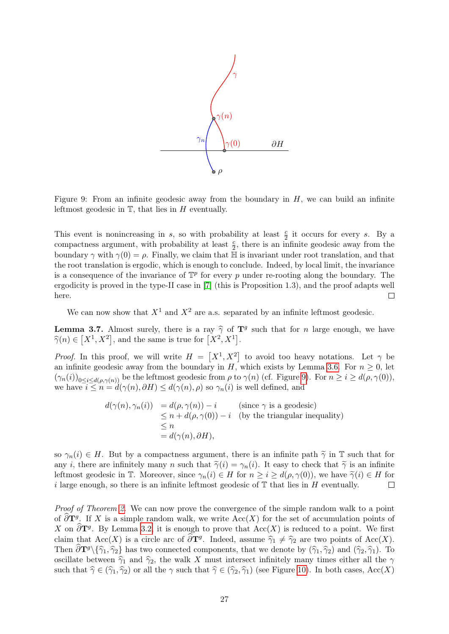

<span id="page-26-0"></span>Figure 9: From an infinite geodesic away from the boundary in  $H$ , we can build an infinite leftmost geodesic in  $T$ , that lies in  $H$  eventually.

This event is nonincreasing in s, so with probability at least  $\frac{c}{2}$  it occurs for every s. By a compactness argument, with probability at least  $\frac{c}{2}$ , there is an infinite geodesic away from the boundary  $\gamma$  with  $\gamma(0) = \rho$ . Finally, we claim that H is invariant under root translation, and that the root translation is ergodic, which is enough to conclude. Indeed, by local limit, the invariance is a consequence of the invariance of  $\mathbb{T}^p$  for every p under re-rooting along the boundary. The ergodicity is proved in the type-II case in [\[7\]](#page-38-5) (this is Proposition 1.3), and the proof adapts well here.  $\Box$ 

We can now show that  $X^1$  and  $X^2$  are a.s. separated by an infinite leftmost geodesic.

<span id="page-26-1"></span>**Lemma 3.7.** Almost surely, there is a ray  $\hat{\gamma}$  of  $\mathbf{T}^g$  such that for n large enough, we have  $\widehat{\gamma}(n) \in [X^1, X^2]$ , and the same is true for  $[X^2, X^1]$ .

*Proof.* In this proof, we will write  $H = [X^1, X^2]$  to avoid too heavy notations. Let  $\gamma$  be an infinite geodesic away from the boundary in H, which exists by Lemma [3.6.](#page-25-1) For  $n \geq 0$ , let  $(\gamma_n(i))_{0\leq i\leq d(\rho,\gamma(n))}$  be the leftmost geodesic from  $\rho$  to  $\gamma(n)$  (cf. Figure [9\)](#page-26-0). For  $n \geq i \geq d(\rho,\gamma(0)),$ we have  $i \leq n = d(\gamma(n), \partial H) \leq d(\gamma(n), \rho)$  so  $\gamma_n(i)$  is well defined, and

$$
d(\gamma(n), \gamma_n(i)) = d(\rho, \gamma(n)) - i \quad \text{(since } \gamma \text{ is a geodesic)}
$$
  
\n
$$
\leq n + d(\rho, \gamma(0)) - i \quad \text{(by the triangular inequality)}
$$
  
\n
$$
\leq n
$$
  
\n
$$
= d(\gamma(n), \partial H),
$$

so  $\gamma_n(i) \in H$ . But by a compactness argument, there is an infinite path  $\tilde{\gamma}$  in T such that for any *i*, there are infinitely many *n* such that  $\tilde{\gamma}(i) = \gamma_n(i)$ . It easy to check that  $\tilde{\gamma}$  is an infinite leftmost geodesic in T. Moreover, since  $\gamma_n(i) \in H$  for  $n \geq i \geq d(\rho, \gamma(0))$ , we have  $\tilde{\gamma}(i) \in H$  for <br>*i* large enough, so there is an infinite leftmost geodesic of T that lies in H eventually. i large enough, so there is an infinite leftmost geodesic of  $\mathbb T$  that lies in H eventually.

Proof of Theorem [2.](#page-3-0) We can now prove the convergence of the simple random walk to a point of  $\partial \mathbf{T}^g$ . If X is a simple random walk, we write  $Acc(X)$  for the set of accumulation points of X on  $\widehat{\partial} T^g$ . By Lemma [3.2,](#page-24-0) it is enough to prove that  $Acc(X)$  is reduced to a point. We first claim that Acc(X) is a circle arc of  $\frac{\partial \mathbf{T}^g}{\partial \mathbf{I}}$ . Indeed, assume  $\hat{\gamma}_1 \neq \hat{\gamma}_2$  are two points of Acc(X). Then  $\partial \mathbf{T}^g \setminus {\hat{\gamma}_1, \hat{\gamma}_2}$  has two connected components, that we denote by  $(\hat{\gamma}_1, \hat{\gamma}_2)$  and  $(\hat{\gamma}_2, \hat{\gamma}_1)$ . To oscillate between  $\hat{\gamma}_1$  and  $\hat{\gamma}_2$ , the walk X must intersect infinitely many times either all the  $\gamma$ such that  $\hat{\gamma} \in (\hat{\gamma}_1, \hat{\gamma}_2)$  or all the  $\gamma$  such that  $\hat{\gamma} \in (\hat{\gamma}_2, \hat{\gamma}_1)$  (see Figure [10\)](#page-27-0). In both cases, Acc(X)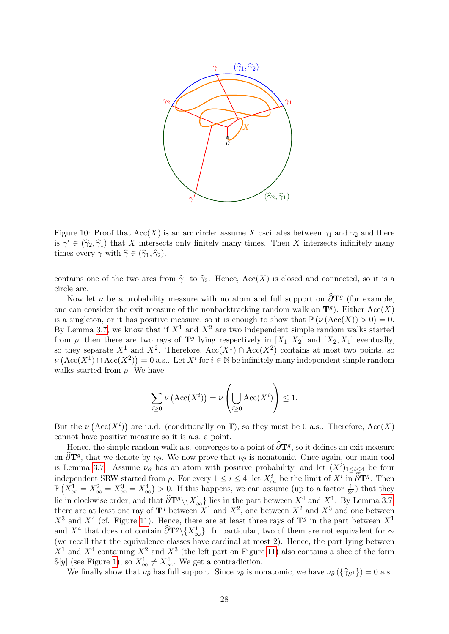

<span id="page-27-0"></span>Figure 10: Proof that  $Acc(X)$  is an arc circle: assume X oscillates between  $\gamma_1$  and  $\gamma_2$  and there is  $\gamma' \in (\hat{\gamma}_2, \hat{\gamma}_1)$  that X intersects only finitely many times. Then X intersects infinitely many<br>times grows  $\gamma$  with  $\hat{\gamma} \in (\hat{\gamma}_2, \hat{\gamma}_1)$ times every  $\gamma$  with  $\hat{\gamma} \in (\hat{\gamma}_1, \hat{\gamma}_2)$ .

contains one of the two arcs from  $\hat{\gamma}_1$  to  $\hat{\gamma}_2$ . Hence, Acc(X) is closed and connected, so it is a circle arc.

Now let  $\nu$  be a probability measure with no atom and full support on  $\frac{\partial \mathbf{T}^g}{\partial \mathbf{T}^g}$  (for example, one can consider the exit measure of the nonbacktracking random walk on  $\mathbf{T}^g$ ). Either  $Acc(X)$ is a singleton, or it has positive measure, so it is enough to show that  $\mathbb{P}(\nu(\text{Acc}(X)) > 0) = 0$ . By Lemma [3.7,](#page-26-1) we know that if  $X^1$  and  $X^2$  are two independent simple random walks started from  $\rho$ , then there are two rays of  $\mathbf{T}^g$  lying respectively in  $[X_1, X_2]$  and  $[X_2, X_1]$  eventually, so they separate  $X^1$  and  $X^2$ . Therefore,  $Acc(X^1) \cap Acc(X^2)$  contains at most two points, so  $\nu\left(\text{Acc}(X^1) \cap \text{Acc}(X^2)\right) = 0$  a.s.. Let  $X^i$  for  $i \in \mathbb{N}$  be infinitely many independent simple random walks started from  $\rho$ . We have

$$
\sum_{i\geq 0} \nu\left(\text{Acc}(X^i)\right) = \nu\left(\bigcup_{i\geq 0} \text{Acc}(X^i)\right) \leq 1.
$$

But the  $\nu(\text{Acc}(X^i))$  are i.i.d. (conditionally on T), so they must be 0 a.s.. Therefore,  $\text{Acc}(X)$ cannot have positive measure so it is a.s. a point.

Hence, the simple random walk a.s. converges to a point of  $\partial \mathbf{T}^g$ , so it defines an exit measure on  $\frac{\partial \mathbf{T}^g}{\partial \mathbf{I}}$ , that we denote by  $\nu_\partial$ . We now prove that  $\nu_\partial$  is nonatomic. Once again, our main tool is Lemma [3.7.](#page-26-1) Assume  $\nu_{\partial}$  has an atom with positive probability, and let  $(X^{i})_{1\leq i\leq 4}$  be four independent SRW started from  $\rho$ . For every  $1 \leq i \leq 4$ , let  $X^i_{\infty}$  be the limit of  $X^i$  in  $\widehat{\partial} \mathbf{T}^g$ . Then  $\mathbb{P}\left(X_{\infty}^1 = X_{\infty}^2 = X_{\infty}^3 = X_{\infty}^4\right) > 0$ . If this happens, we can assume (up to a factor  $\frac{1}{24}$ ) that they lie in clockwise order, and that  $\frac{\partial \mathbf{T}^g}{\partial \mathbf{X}} \{X_{\infty}^1\}$  lies in the part between  $X^4$  and  $X^1$ . By Lemma [3.7,](#page-26-1) there are at least one ray of  $\mathbf{T}^g$  between  $X^1$  and  $X^2$ , one between  $X^2$  and  $X^3$  and one between  $X^3$  and  $X^4$  (cf. Figure [11\)](#page-28-0). Hence, there are at least three rays of  $\mathbf{T}^g$  in the part between  $X^1$ and  $X^4$  that does not contain  $\frac{\partial \mathbf{T}^g}{\partial X^3}$ . In particular, two of them are not equivalent for ∼ (we recall that the equivalence classes have cardinal at most 2). Hence, the part lying between  $X<sup>1</sup>$  and  $X<sup>4</sup>$  containing  $X<sup>2</sup>$  and  $X<sup>3</sup>$  (the left part on Figure [11\)](#page-28-0) also contains a slice of the form  $\mathbb{S}[y]$  (see Figure [1\)](#page-2-0), so  $X^1_{\infty} \neq X^4_{\infty}$ . We get a contradiction.

We finally show that  $\nu_{\partial}$  has full support. Since  $\nu_{\partial}$  is nonatomic, we have  $\nu_{\partial} (\{\hat{\gamma}_{S1} \}) = 0$  a.s..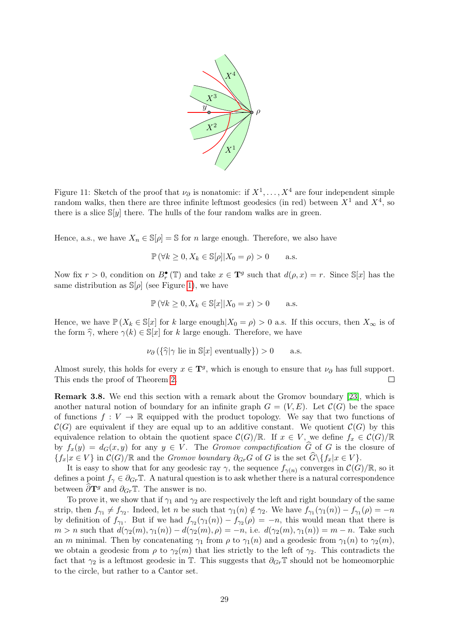

<span id="page-28-0"></span>Figure 11: Sketch of the proof that  $\nu_{\partial}$  is nonatomic: if  $X^1, \ldots, X^4$  are four independent simple random walks, then there are three infinite leftmost geodesics (in red) between  $X^1$  and  $X^4$ , so there is a slice  $\mathbb{S}[y]$  there. The hulls of the four random walks are in green.

Hence, a.s., we have  $X_n \in \mathbb{S}[\rho] = \mathbb{S}$  for n large enough. Therefore, we also have

$$
\mathbb{P}(\forall k \ge 0, X_k \in \mathbb{S}[\rho]|X_0 = \rho) > 0 \quad \text{a.s.}
$$

Now fix  $r > 0$ , condition on  $B_r^{\bullet}(\mathbb{T})$  and take  $x \in \mathbf{T}^g$  such that  $d(\rho, x) = r$ . Since  $\mathbb{S}[x]$  has the same distribution as  $\mathbb{S}[\rho]$  (see Figure [1\)](#page-2-0), we have

$$
\mathbb{P}(\forall k \ge 0, X_k \in \mathbb{S}[x] | X_0 = x) > 0 \quad \text{a.s.}
$$

Hence, we have  $\mathbb{P}(X_k \in \mathbb{S}[x])$  for k large enough  $|X_0 = \rho| > 0$  a.s. If this occurs, then  $X_\infty$  is of the form  $\hat{\gamma}$ , where  $\gamma(k) \in \mathbb{S}[x]$  for k large enough. Therefore, we have

$$
\nu_{\partial} (\{\hat{\gamma}|\gamma \text{ lie in } \mathbb{S}[x] \text{ eventually}\}) > 0 \quad \text{a.s.}
$$

Almost surely, this holds for every  $x \in \mathbf{T}^g$ , which is enough to ensure that  $\nu_\partial$  has full support. This ends the proof of Theorem [2.](#page-3-0)  $\Box$ 

Remark 3.8. We end this section with a remark about the Gromov boundary [\[23\]](#page-39-15), which is another natural notion of boundary for an infinite graph  $G = (V, E)$ . Let  $\mathcal{C}(G)$  be the space of functions  $f: V \to \mathbb{R}$  equipped with the product topology. We say that two functions of  $\mathcal{C}(G)$  are equivalent if they are equal up to an additive constant. We quotient  $\mathcal{C}(G)$  by this equivalence relation to obtain the quotient space  $\mathcal{C}(G)/\mathbb{R}$ . If  $x \in V$ , we define  $f_x \in \mathcal{C}(G)/\mathbb{R}$ by  $f_x(y) = d_G(x, y)$  for any  $y \in V$ . The Gromov compactification  $\widehat{G}$  of G is the closure of  ${f_x|x \in V}$  in  $\mathcal{C}(G)/\mathbb{R}$  and the *Gromov boundary*  $\partial_{Gr}G$  of G is the set  $\widehat{G}\setminus{f_x|x \in V}$ .

It is easy to show that for any geodesic ray  $\gamma$ , the sequence  $f_{\gamma(n)}$  converges in  $\mathcal{C}(G)/\mathbb{R}$ , so it defines a point  $f_{\gamma} \in \partial_{Gr} \mathbb{T}$ . A natural question is to ask whether there is a natural correspondence between  $\partial \mathbf{T}^g$  and  $\partial_{Gr} \mathbb{T}$ . The answer is no.

To prove it, we show that if  $\gamma_1$  and  $\gamma_2$  are respectively the left and right boundary of the same strip, then  $f_{\gamma_1} \neq f_{\gamma_2}$ . Indeed, let n be such that  $\gamma_1(n) \notin \gamma_2$ . We have  $f_{\gamma_1}(\gamma_1(n)) - f_{\gamma_1}(\rho) = -n$ by definition of  $f_{\gamma_1}$ . But if we had  $f_{\gamma_2}(\gamma_1(n)) - f_{\gamma_2}(\rho) = -n$ , this would mean that there is  $m > n$  such that  $d(\gamma_2(m), \gamma_1(n)) - d(\gamma_2(m), \rho) = -n$ , i.e.  $d(\gamma_2(m), \gamma_1(n)) = m - n$ . Take such an m minimal. Then by concatenating  $\gamma_1$  from  $\rho$  to  $\gamma_1(n)$  and a geodesic from  $\gamma_1(n)$  to  $\gamma_2(m)$ , we obtain a geodesic from  $\rho$  to  $\gamma_2(m)$  that lies strictly to the left of  $\gamma_2$ . This contradicts the fact that  $\gamma_2$  is a leftmost geodesic in  $\mathbb T$ . This suggests that  $\partial_{Gr} \mathbb T$  should not be homeomorphic to the circle, but rather to a Cantor set.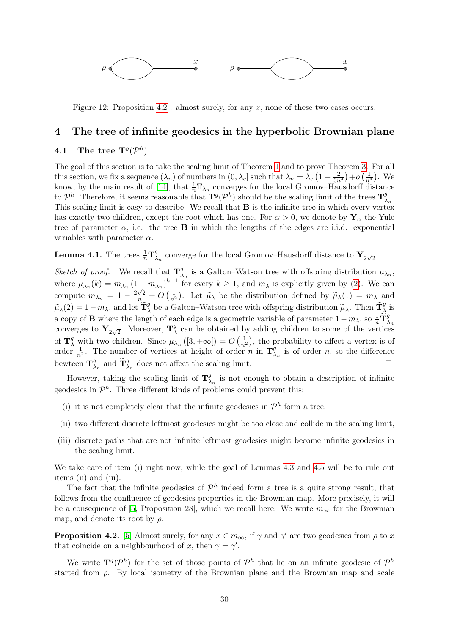

Figure 12: Proposition [4.2](#page-29-2) : almost surely, for any x, none of these two cases occurs.

# <span id="page-29-0"></span>4 The tree of infinite geodesics in the hyperbolic Brownian plane

# <span id="page-29-1"></span> $\textbf{4.1} \quad \textbf{The tree} \; \textbf{T}^g (\mathcal{P}^h)$

The goal of this section is to take the scaling limit of Theorem [1](#page-0-1) and to prove Theorem [3.](#page-3-1) For all this section, we fix a sequence  $(\lambda_n)$  of numbers in  $(0, \lambda_c]$  such that  $\lambda_n = \lambda_c \left(1 - \frac{2}{3n^4}\right) + o\left(\frac{1}{n^4}\right)$ . We know, by the main result of [\[14\]](#page-38-4), that  $\frac{1}{n} \mathbb{T}_{\lambda_n}$  converges for the local Gromov–Hausdorff distance to  $\mathcal{P}^h$ . Therefore, it seems reasonable that  $\mathbf{T}^g(\mathcal{P}^h)$  should be the scaling limit of the trees  $\mathbf{T}^g$  $\frac{g}{\lambda_n}$ . This scaling limit is easy to describe. We recall that **B** is the infinite tree in which every vertex has exactly two children, except the root which has one. For  $\alpha > 0$ , we denote by  $Y_{\alpha}$  the Yule tree of parameter  $\alpha$ , i.e. the tree **B** in which the lengths of the edges are i.i.d. exponential variables with parameter  $\alpha$ .

<span id="page-29-3"></span>**Lemma 4.1.** The trees  $\frac{1}{n} \mathbf{T}_{\lambda}^{g}$  $\frac{g}{\lambda_n}$  converge for the local Gromov–Hausdorff distance to  $\mathbf{Y}_{2\sqrt{2}}$ .

*Sketch of proof.* We recall that  $\mathbf{T}_{\lambda}^{g}$  $\chi_n^g$  is a Galton–Watson tree with offspring distribution  $\mu_{\lambda_n}$ , where  $\mu_{\lambda_n}(k) = m_{\lambda_n} (1 - m_{\lambda_n})^{k-1}$  for every  $k \ge 1$ , and  $m_{\lambda}$  is explicitly given by [\(2\)](#page-1-0). We can compute  $m_{\lambda_n} = 1 - \frac{2\sqrt{2}}{n} + O\left(\frac{1}{n^2}\right)$ . Let  $\widetilde{\mu}_{\lambda}$  be the distribution defined by  $\widetilde{\mu}_{\lambda}(1) = m_{\lambda}$  and  $\widetilde{\mu}_{\lambda}(2) = 1 - m_{\lambda}$ , and let  $\widetilde{\mathbf{T}}_{\lambda}^{g}$  be a Galton–Watson tree with offspring distribution  $\widetilde{\mu}_{\lambda}$ . Then  $\widetilde{\mathbf{T}}_{\lambda}^{g}$  is a copy of **B** where the length of each edge is a geometric variable of parameter  $1 - m<sub>\lambda</sub>$ , so  $\frac{1}{n} \widetilde{\mathbf{T}}_{\lambda_n}^g$ converges to  $\mathbf{Y}_{2\sqrt{2}}$ . Moreover,  $\mathbf{T}_{\lambda}^{g}$  $\lambda$  can be obtained by adding children to some of the vertices of  $\widetilde{\mathbf{T}}_{\lambda}^{g}$  with two children. Since  $\mu_{\lambda_n}([3,+\infty[) = O\left(\frac{1}{n^2}\right)$ , the probability to affect a vertex is of order  $\frac{1}{n^2}$ . The number of vertices at height of order *n* in  $\mathbf{T}_\lambda^g$  $\frac{g}{\lambda_n}$  is of order *n*, so the difference bewteen  $\mathbf{T}_{\lambda}^{g}$  $\widetilde{\mathbf{T}}_{\lambda_n}^g$  and  $\widetilde{\mathbf{T}}_{\lambda_n}^g$  does not affect the scaling limit.

However, taking the scaling limit of  $\mathbf{T}_{\lambda}^{g}$  $\frac{g}{\lambda_n}$  is not enough to obtain a description of infinite geodesics in  $\mathcal{P}^h$ . Three different kinds of problems could prevent this:

- (i) it is not completely clear that the infinite geodesics in  $\mathcal{P}^h$  form a tree,
- (ii) two different discrete leftmost geodesics might be too close and collide in the scaling limit,
- (iii) discrete paths that are not infinite leftmost geodesics might become infinite geodesics in the scaling limit.

We take care of item (i) right now, while the goal of Lemmas [4.3](#page-30-1) and [4.5](#page-31-0) will be to rule out items (ii) and (iii).

The fact that the infinite geodesics of  $\mathcal{P}^h$  indeed form a tree is a quite strong result, that follows from the confluence of geodesics properties in the Brownian map. More precisely, it will be a consequence of [\[5,](#page-38-18) Proposition 28], which we recall here. We write  $m_{\infty}$  for the Brownian map, and denote its root by  $\rho$ .

<span id="page-29-2"></span>**Proposition 4.2.** [\[5\]](#page-38-18) Almost surely, for any  $x \in m_\infty$ , if  $\gamma$  and  $\gamma'$  are two geodesics from  $\rho$  to x that coincide on a neighbourhood of x, then  $\gamma = \gamma'$ .

We write  $\mathbf{T}^g(\mathcal{P}^h)$  for the set of those points of  $\mathcal{P}^h$  that lie on an infinite geodesic of  $\mathcal{P}^h$ started from  $\rho$ . By local isometry of the Brownian plane and the Brownian map and scale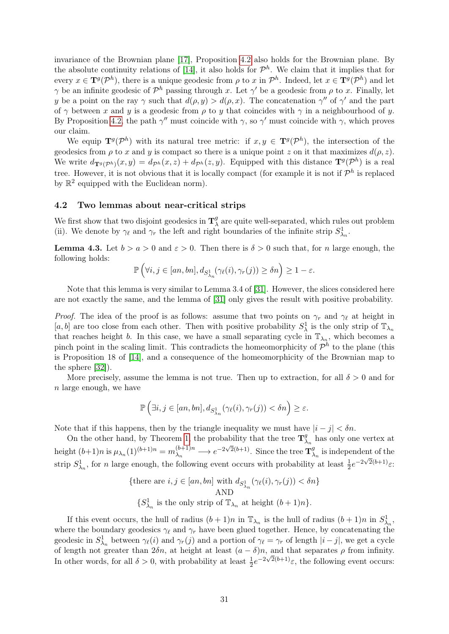invariance of the Brownian plane [\[17\]](#page-38-13), Proposition [4.2](#page-29-2) also holds for the Brownian plane. By the absolute continuity relations of [\[14\]](#page-38-4), it also holds for  $\mathcal{P}^h$ . We claim that it implies that for every  $x \in \mathbf{T}^g(\mathcal{P}^h)$ , there is a unique geodesic from  $\rho$  to x in  $\mathcal{P}^h$ . Indeed, let  $x \in \mathbf{T}^g(\mathcal{P}^h)$  and let  $\gamma$  be an infinite geodesic of  $\mathcal{P}^h$  passing through x. Let  $\gamma'$  be a geodesic from  $\rho$  to x. Finally, let y be a point on the ray  $\gamma$  such that  $d(\rho, y) > d(\rho, x)$ . The concatenation  $\gamma''$  of  $\gamma'$  and the part of  $\gamma$  between x and y is a geodesic from  $\rho$  to y that coincides with  $\gamma$  in a neighbourhood of y. By Proposition [4.2,](#page-29-2) the path  $\gamma''$  must coincide with  $\gamma$ , so  $\gamma'$  must coincide with  $\gamma$ , which proves our claim.

We equip  $\mathbf{T}^g(\mathcal{P}^h)$  with its natural tree metric: if  $x, y \in \mathbf{T}^g(\mathcal{P}^h)$ , the intersection of the geodesics from  $\rho$  to x and y is compact so there is a unique point z on it that maximizes  $d(\rho, z)$ . We write  $d_{\mathbf{T}^g(\mathcal{P}^h)}(x,y) = d_{\mathcal{P}^h}(x,z) + d_{\mathcal{P}^h}(z,y)$ . Equipped with this distance  $\mathbf{T}^g(\mathcal{P}^h)$  is a real tree. However, it is not obvious that it is locally compact (for example it is not if  $\mathcal{P}^h$  is replaced by  $\mathbb{R}^2$  equipped with the Euclidean norm).

### <span id="page-30-0"></span>4.2 Two lemmas about near-critical strips

We first show that two disjoint geodesics in  $\mathbf{T}_3^9$  $\frac{g}{\lambda}$  are quite well-separated, which rules out problem (ii). We denote by  $\gamma_{\ell}$  and  $\gamma_r$  the left and right boundaries of the infinite strip  $S^1_{\lambda_n}$ .

<span id="page-30-1"></span>**Lemma 4.3.** Let  $b > a > 0$  and  $\varepsilon > 0$ . Then there is  $\delta > 0$  such that, for *n* large enough, the following holds:

$$
\mathbb{P}\left(\forall i,j\in [an,bn],d_{S^1_{\lambda_n}}(\gamma_\ell(i),\gamma_r(j))\geq \delta n\right)\geq 1-\varepsilon.
$$

Note that this lemma is very similar to Lemma 3.4 of [\[31\]](#page-39-4). However, the slices considered here are not exactly the same, and the lemma of [\[31\]](#page-39-4) only gives the result with positive probability.

*Proof.* The idea of the proof is as follows: assume that two points on  $\gamma_r$  and  $\gamma_\ell$  at height in [a, b] are too close from each other. Then with positive probability  $S^1_\lambda$  is the only strip of  $\mathbb{T}_{\lambda_n}$ that reaches height b. In this case, we have a small separating cycle in  $\mathbb{T}_{\lambda_n}$ , which becomes a pinch point in the scaling limit. This contradicts the homeomorphicity of  $\mathcal{P}^h$  to the plane (this is Proposition 18 of [\[14\]](#page-38-4), and a consequence of the homeomorphicity of the Brownian map to the sphere [\[32\]](#page-39-16)).

More precisely, assume the lemma is not true. Then up to extraction, for all  $\delta > 0$  and for n large enough, we have

$$
\mathbb{P}\left(\exists i,j\in [an,bn],d_{S^1_{\lambda_n}}(\gamma_\ell(i),\gamma_r(j))<\delta n\right)\geq \varepsilon.
$$

Note that if this happens, then by the triangle inequality we must have  $|i - j| < \delta n$ .

On the other hand, by Theorem [1,](#page-0-1) the probability that the tree  $\mathbf{T}_\lambda^g$  $\lambda_n$  has only one vertex at height  $(b+1)n$  is  $\mu_{\lambda_n}(1)^{(b+1)n} = m_{\lambda_n}^{(b+1)n}$  $\lambda_n^{(b+1)n} \longrightarrow e^{-2\sqrt{2}(b+1)}$ . Since the tree  $\mathbf{T}_{\lambda}^g$  $\lambda_n$  is independent of the strip  $S^1_{\lambda_n}$ , for n large enough, the following event occurs with probability at least  $\frac{1}{2}e^{-2\sqrt{2}(b+1)}\varepsilon$ :

{there are 
$$
i, j \in [an, bn]
$$
 with  $d_{S^1_{\lambda_n}}(\gamma_{\ell}(i), \gamma_r(j)) < \delta n$ }  
AND  
{ $S^1_{\lambda_n}$  is the only strip of  $\mathbb{T}_{\lambda_n}$  at height  $(b+1)n$  }.

If this event occurs, the hull of radius  $(b+1)n$  in  $\mathbb{T}_{\lambda_n}$  is the hull of radius  $(b+1)n$  in  $S^1_{\lambda_n}$ , where the boundary geodesics  $\gamma_{\ell}$  and  $\gamma_r$  have been glued together. Hence, by concatenating the geodesic in  $S^1_{\lambda_n}$  between  $\gamma_\ell(i)$  and  $\gamma_r(j)$  and a portion of  $\gamma_\ell = \gamma_r$  of length  $|i - j|$ , we get a cycle of length not greater than  $2\delta n$ , at height at least  $(a - \delta)n$ , and that separates  $\rho$  from infinity. In other words, for all  $\delta > 0$ , with probability at least  $\frac{1}{2}e^{-2\sqrt{2}(b+1)}\varepsilon$ , the following event occurs: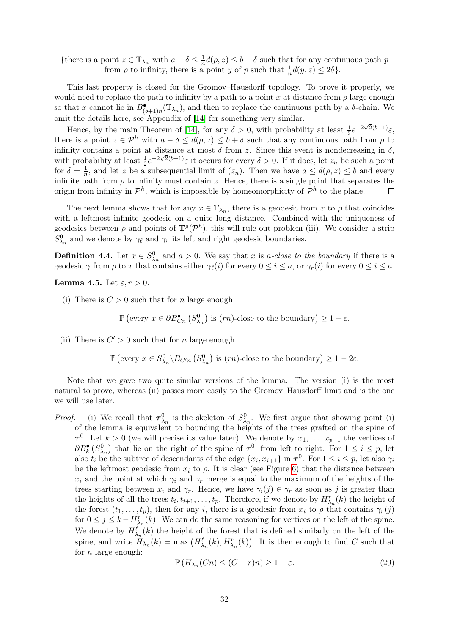{there is a point  $z \in \mathbb{T}_{\lambda_n}$  with  $a - \delta \leq \frac{1}{n}$  $\frac{1}{n}d(\rho, z) \leq b + \delta$  such that for any continuous path p from  $\rho$  to infinity, there is a point y of p such that  $\frac{1}{n}d(y, z) \leq 2\delta$ .

This last property is closed for the Gromov–Hausdorff topology. To prove it properly, we would need to replace the path to infinity by a path to a point x at distance from  $\rho$  large enough so that x cannot lie in  $B_{(b+1)n}^{\bullet}(\mathbb{T}_{\lambda_n})$ , and then to replace the continuous path by a  $\delta$ -chain. We omit the details here, see Appendix of [\[14\]](#page-38-4) for something very similar.

Hence, by the main Theorem of [\[14\]](#page-38-4), for any  $\delta > 0$ , with probability at least  $\frac{1}{2}e^{-2\sqrt{2}(b+1)}\varepsilon$ , there is a point  $z \in \mathcal{P}^h$  with  $a - \delta \leq d(\rho, z) \leq b + \delta$  such that any continuous path from  $\rho$  to infinity contains a point at distance at most  $\delta$  from z. Since this event is nondecreasing in  $\delta$ , with probability at least  $\frac{1}{2}e^{-2\sqrt{2(b+1)}}\varepsilon$  it occurs for every  $\delta > 0$ . If it does, let  $z_n$  be such a point for  $\delta = \frac{1}{n}$  $\frac{1}{n}$ , and let z be a subsequential limit of  $(z_n)$ . Then we have  $a \leq d(\rho, z) \leq b$  and every infinite path from  $\rho$  to infinity must contain z. Hence, there is a single point that separates the origin from infinity in  $\mathcal{P}^h$ , which is impossible by homeomorphicity of  $\mathcal{P}^h$  to the plane.  $\Box$ 

The next lemma shows that for any  $x \in \mathbb{T}_{\lambda_n}$ , there is a geodesic from x to  $\rho$  that coincides with a leftmost infinite geodesic on a quite long distance. Combined with the uniqueness of geodesics between  $\rho$  and points of  $\mathbf{T}^g(\mathcal{P}^h)$ , this will rule out problem (iii). We consider a strip  $S^0_{\lambda_n}$  and we denote by  $\gamma_\ell$  and  $\gamma_r$  its left and right geodesic boundaries.

**Definition 4.4.** Let  $x \in S^0_{\lambda_n}$  and  $a > 0$ . We say that x is a-close to the boundary if there is a geodesic  $\gamma$  from  $\rho$  to x that contains either  $\gamma_{\ell}(i)$  for every  $0 \leq i \leq a$ , or  $\gamma_{r}(i)$  for every  $0 \leq i \leq a$ .

#### <span id="page-31-0"></span>**Lemma 4.5.** Let  $\varepsilon, r > 0$ .

(i) There is  $C > 0$  such that for n large enough

$$
\mathbb{P}\left(\text{every } x \in \partial B^{\bullet}_{C_n}\left(S^0_{\lambda_n}\right) \text{ is } (rn)\text{-close to the boundary}\right) \geq 1 - \varepsilon.
$$

(ii) There is  $C' > 0$  such that for n large enough

$$
\mathbb{P}\left(\text{every } x \in S_{\lambda_n}^0 \backslash B_{C'n} \left(S_{\lambda_n}^0\right) \text{ is } (rn)\text{-close to the boundary}\right) \geq 1 - 2\varepsilon.
$$

Note that we gave two quite similar versions of the lemma. The version (i) is the most natural to prove, whereas (ii) passes more easily to the Gromov–Hausdorff limit and is the one we will use later.

*Proof.* (i) We recall that  $\tau_{\lambda_n}^0$  is the skeleton of  $S_{\lambda_n}^0$ . We first argue that showing point (i) of the lemma is equivalent to bounding the heights of the trees grafted on the spine of  $\tau^0$ . Let  $k > 0$  (we will precise its value later). We denote by  $x_1, \ldots, x_{p+1}$  the vertices of  $\partial B_k^{\bullet} (S^0_{\lambda_n})$  that lie on the right of the spine of  $\tau^0$ , from left to right. For  $1 \leq i \leq p$ , let also  $t_i$  be the subtree of descendants of the edge  $\{x_i, x_{i+1}\}$  in  $\tau^0$ . For  $1 \le i \le p$ , let also  $\gamma_i$ be the leftmost geodesic from  $x_i$  to  $\rho$ . It is clear (see Figure [6\)](#page-14-2) that the distance between  $x_i$  and the point at which  $\gamma_i$  and  $\gamma_r$  merge is equal to the maximum of the heights of the trees starting between  $x_i$  and  $\gamma_r$ . Hence, we have  $\gamma_i(j) \in \gamma_r$  as soon as j is greater than the heights of all the trees  $t_i, t_{i+1}, \ldots, t_p$ . Therefore, if we denote by  $H_{\lambda_n}^r(k)$  the height of the forest  $(t_1, \ldots, t_p)$ , then for any i, there is a geodesic from  $x_i$  to  $\rho$  that contains  $\gamma_r(j)$ for  $0 \leq j \leq k - H_{\lambda_n}^r(k)$ . We can do the same reasoning for vertices on the left of the spine. We denote by  $H^{\ell}_{\lambda_n}(k)$  the height of the forest that is defined similarly on the left of the spine, and write  $H_{\lambda_n}(k) = \max\left(H_{\lambda_n}^{\ell}(k), H_{\lambda_n}^r(k)\right)$ . It is then enough to find C such that for  $n$  large enough:

<span id="page-31-1"></span>
$$
\mathbb{P}\left(H_{\lambda_n}(C_n) \le (C - r)n\right) \ge 1 - \varepsilon. \tag{29}
$$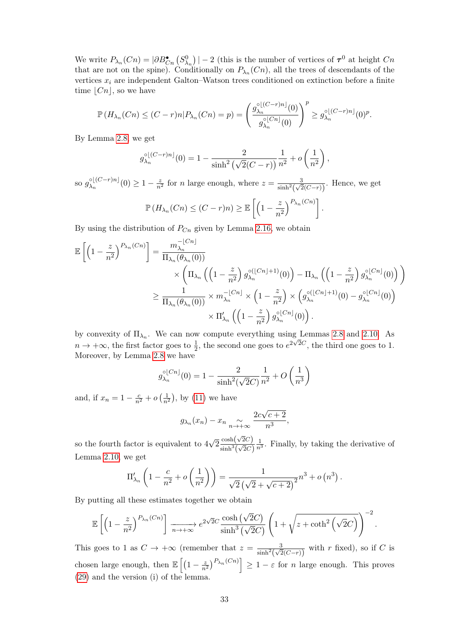We write  $P_{\lambda_n}(C_n) = |\partial B_{C_n}^{\bullet}(S_{\lambda_n}^0)| - 2$  (this is the number of vertices of  $\tau^0$  at height  $C_n$ that are not on the spine). Conditionally on  $P_{\lambda_n}(C_n)$ , all the trees of descendants of the vertices  $x_i$  are independent Galton–Watson trees conditioned on extinction before a finite time  $|Cn|$ , so we have

$$
\mathbb{P}\left(H_{\lambda_n}(Cn) \le (C-r)n | P_{\lambda_n}(Cn) = p\right) = \left(\frac{g_{\lambda_n}^{\circ\lfloor (C-r)n\rfloor}(0)}{g_{\lambda_n}^{\circ\lfloor Cn\rfloor}(0)}\right)^p \ge g_{\lambda_n}^{\circ\lfloor (C-r)n\rfloor}(0)^p.
$$

By Lemma [2.8,](#page-14-1) we get

$$
g_{\lambda_n}^{\circ \lfloor (C-r)n \rfloor}(0) = 1 - \frac{2}{\sinh^2(\sqrt{2}(C-r))} \frac{1}{n^2} + o\left(\frac{1}{n^2}\right)
$$

,

so  $g_{\lambda}^{\circ\lfloor (C-r)n \rfloor}$  $\frac{\delta_1(C-r)n}{\delta_1}$  (0)  $\geq 1-\frac{z}{n^2}$  for *n* large enough, where  $z=\frac{3}{\sinh^2(\sqrt{z})}$  $\frac{3}{\sinh^2(\sqrt{2}(C-r))}$ . Hence, we get z  $(Cn)$ .

$$
\mathbb{P}\left(H_{\lambda_n}(C_n) \le (C-r)n\right) \ge \mathbb{E}\left[\left(1-\frac{z}{n^2}\right)^{P_{\lambda_n}(C_n)}\right]
$$

By using the distribution of  $P_{C_n}$  given by Lemma [2.16,](#page-21-1) we obtain

$$
\mathbb{E}\left[\left(1-\frac{z}{n^2}\right)^{P_{\lambda_n}(Cn)}\right] = \frac{m_{\lambda_n}^{-\lfloor Cn \rfloor}}{\Pi_{\lambda_n}(\theta_{\lambda_n}(0))} \times \left(\Pi_{\lambda_n}\left(\left(1-\frac{z}{n^2}\right)g_{\lambda_n}^{\circ(\lfloor Cn \rfloor+1)}(0)\right) - \Pi_{\lambda_n}\left(\left(1-\frac{z}{n^2}\right)g_{\lambda_n}^{\circ(\lfloor Cn \rfloor}(0)\right)\right) \right)
$$
  

$$
\geq \frac{1}{\Pi_{\lambda_n}(\theta_{\lambda_n}(0))} \times m_{\lambda_n}^{-\lfloor Cn \rfloor} \times \left(1-\frac{z}{n^2}\right) \times \left(g_{\lambda_n}^{\circ(\lfloor Cn \rfloor+1)}(0) - g_{\lambda_n}^{\circ\lfloor Cn \rfloor}(0)\right)
$$
  

$$
\times \Pi_{\lambda_n}'\left(\left(1-\frac{z}{n^2}\right)g_{\lambda_n}^{\circ\lfloor Cn \rfloor}(0)\right).
$$

by convexity of  $\Pi_{\lambda_n}$ . We can now compute everything using Lemmas [2.8](#page-14-1) and [2.10.](#page-15-1) As  $n \to +\infty$ , the first factor goes to  $\frac{1}{2}$ , the second one goes to  $e^{2\sqrt{2}C}$ , the third one goes to 1. Moreover, by Lemma [2.8](#page-14-1) we have

$$
g_{\lambda_n}^{\circ \lfloor Cn \rfloor}(0) = 1 - \frac{2}{\sinh^2(\sqrt{2}C)} \frac{1}{n^2} + O\left(\frac{1}{n^3}\right)
$$

and, if  $x_n = 1 - \frac{c}{n^2} + o\left(\frac{1}{n^2}\right)$ , by [\(11\)](#page-11-3) we have

$$
g_{\lambda_n}(x_n) - x_n \underset{n \to +\infty}{\sim} \frac{2c\sqrt{c+2}}{n^3},
$$

so the fourth factor is equivalent to 4 √  $\sqrt{2} \frac{\cosh(\sqrt{2}C)}{\sinh^3(\sqrt{2}C)}$  $\frac{\cosh(\sqrt{2c})}{\sinh^3(\sqrt{2c})}$  $\frac{1}{n^3}$ . Finally, by taking the derivative of Lemma [2.10,](#page-15-1) we get

$$
\Pi'_{\lambda_n} \left( 1 - \frac{c}{n^2} + o\left(\frac{1}{n^2}\right) \right) = \frac{1}{\sqrt{2} \left(\sqrt{2} + \sqrt{c+2}\right)^2} n^3 + o\left(n^3\right).
$$

By putting all these estimates together we obtain

$$
\mathbb{E}\left[\left(1-\frac{z}{n^2}\right)^{P_{\lambda_n}(Cn)}\right] \xrightarrow[n\to+\infty]{} e^{2\sqrt{2}C} \frac{\cosh\left(\sqrt{2}C\right)}{\sinh^3\left(\sqrt{2}C\right)} \left(1+\sqrt{z+\coth^2\left(\sqrt{2}C\right)}\right)^{-2}.
$$

This goes to 1 as  $C \to +\infty$  (remember that  $z = \frac{3}{\sinh 2\left(\sqrt{\epsilon}\right)}$  $\frac{3}{\sinh^2(\sqrt{2}(C-r))}$  with r fixed), so if C is chosen large enough, then  $\mathbb{E}\left[\left(1-\frac{z}{n^2}\right)^{P_{\lambda_n}(C_n)}\right] \geq 1-\varepsilon$  for *n* large enough. This proves [\(29\)](#page-31-1) and the version (i) of the lemma.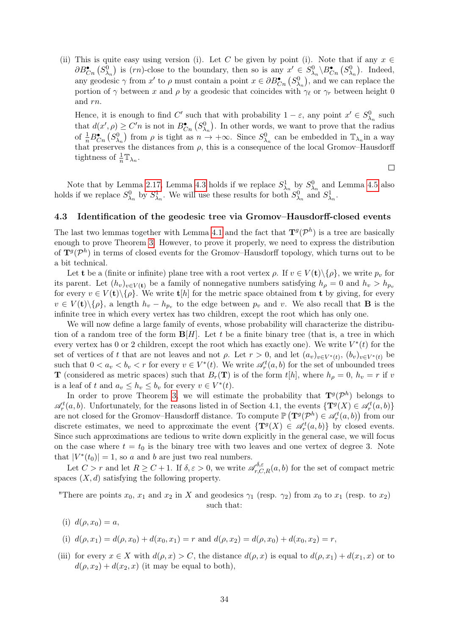(ii) This is quite easy using version (i). Let C be given by point (i). Note that if any  $x \in$  $\partial B_{C_n}^{\bullet} (S_{\lambda_n}^0)$  is  $(rn)$ -close to the boundary, then so is any  $x' \in S_{\lambda_n}^0 \backslash B_{C_n}^{\bullet} (S_{\lambda_n}^0)$ . Indeed, any geodesic  $\gamma$  from  $x'$  to  $\rho$  must contain a point  $x \in \partial B_{C_n}^{\bullet}(S_{\lambda_n}^0)$ , and we can replace the portion of  $\gamma$  between x and  $\rho$  by a geodesic that coincides with  $\gamma_{\ell}$  or  $\gamma_r$  between height 0 and rn.

Hence, it is enough to find C' such that with probability  $1 - \varepsilon$ , any point  $x' \in S^0_{\lambda_n}$  such that  $d(x', \rho) \geq C'n$  is not in  $B_{C_n}^{\bullet}(S_{\lambda_n}^0)$ . In other words, we want to prove that the radius of  $\frac{1}{n}B_{C_n}^{\bullet}$  ( $S_{\lambda_n}^0$ ) from  $\rho$  is tight as  $n \to +\infty$ . Since  $S_{\lambda_n}^0$  can be embedded in  $\mathbb{T}_{\lambda_n}$ in a way that preserves the distances from  $\rho$ , this is a consequence of the local Gromov–Hausdorff tightness of  $\frac{1}{n} \mathbb{T}_{\lambda_n}$ .

 $\Box$ 

Note that by Lemma [2.17,](#page-22-0) Lemma [4.3](#page-30-1) holds if we replace  $S^1_{\lambda_n}$  by  $S^0_{\lambda_n}$  and Lemma [4.5](#page-31-0) also holds if we replace  $S^0_{\lambda_n}$  by  $S^1_{\lambda_n}$ . We will use these results for both  $S^0_{\lambda_n}$  and  $S^1_{\lambda_n}$ .

#### <span id="page-33-0"></span>4.3 Identification of the geodesic tree via Gromov–Hausdorff-closed events

The last two lemmas together with Lemma [4.1](#page-29-3) and the fact that  $\mathbf{T}^{g}(\mathcal{P}^{h})$  is a tree are basically enough to prove Theorem [3.](#page-3-1) However, to prove it properly, we need to express the distribution of  $\mathbf{T}^{g}(\mathcal{P}^{h})$  in terms of closed events for the Gromov–Hausdorff topology, which turns out to be a bit technical.

Let **t** be a (finite or infinite) plane tree with a root vertex  $\rho$ . If  $v \in V(t) \setminus {\rho}$ , we write  $p_v$  for its parent. Let  $(h_v)_{v \in V(\mathbf{t})}$  be a family of nonnegative numbers satisfying  $h_\rho = 0$  and  $h_v > h_{p_v}$ for every  $v \in V(\mathbf{t})\backslash\{\rho\}$ . We write  $\mathbf{t}[h]$  for the metric space obtained from **t** by giving, for every  $v \in V(\mathbf{t})\backslash\{\rho\},\$ a length  $h_v - h_{p_v}$  to the edge between  $p_v$  and v. We also recall that **B** is the infinite tree in which every vertex has two children, except the root which has only one.

We will now define a large family of events, whose probability will characterize the distribution of a random tree of the form  $\mathbf{B}[H]$ . Let t be a finite binary tree (that is, a tree in which every vertex has 0 or 2 children, except the root which has exactly one). We write  $V^*(t)$  for the set of vertices of t that are not leaves and not  $\rho$ . Let  $r > 0$ , and let  $(a_v)_{v \in V^*(t)}$ ,  $(b_v)_{v \in V^*(t)}$  be such that  $0 < a_v < b_v < r$  for every  $v \in V^*(t)$ . We write  $\mathscr{A}_r^t(a, b)$  for the set of unbounded trees **T** (considered as metric spaces) such that  $B_r(\mathbf{T})$  is of the form  $t[h]$ , where  $h_\rho = 0$ ,  $h_v = r$  if v is a leaf of t and  $a_v \leq h_v \leq b_v$  for every  $v \in V^*(t)$ .

In order to prove Theorem [3,](#page-3-1) we will estimate the probability that  $\mathbf{T}^{g}(\mathcal{P}^{h})$  belongs to  $\mathscr{A}_r^t(a, b)$ . Unfortunately, for the reasons listed in of Section 4.1, the events  $\{T^g(X) \in \mathscr{A}_r^t(a, b)\}\$ are not closed for the Gromov–Hausdorff distance. To compute  $\mathbb{P}(\mathbf{T}^g(\mathcal{P}^h) \in \mathscr{A}_r^t(a, b))$  from our discrete estimates, we need to approximate the event  $\{T^g(X) \in \mathcal{A}_r^t(a,b)\}\$  by closed events. Since such approximations are tedious to write down explicitly in the general case, we will focus on the case where  $t = t_0$  is the binary tree with two leaves and one vertex of degree 3. Note that  $|V^*(t_0)| = 1$ , so a and b are just two real numbers.

Let  $C > r$  and let  $R \geq C + 1$ . If  $\delta, \varepsilon > 0$ , we write  $\mathscr{A}_{r, C, R}^{\delta, \varepsilon}(a, b)$  for the set of compact metric spaces  $(X, d)$  satisfying the following property.

"There are points  $x_0, x_1$  and  $x_2$  in X and geodesics  $\gamma_1$  (resp.  $\gamma_2$ ) from  $x_0$  to  $x_1$  (resp. to  $x_2$ ) such that:

$$
(i) d(\rho, x_0) = a,
$$

- (i)  $d(\rho, x_1) = d(\rho, x_0) + d(x_0, x_1) = r$  and  $d(\rho, x_2) = d(\rho, x_0) + d(x_0, x_2) = r$ ,
- (iii) for every  $x \in X$  with  $d(\rho, x) > C$ , the distance  $d(\rho, x)$  is equal to  $d(\rho, x_1) + d(x_1, x)$  or to  $d(\rho, x_2) + d(x_2, x)$  (it may be equal to both),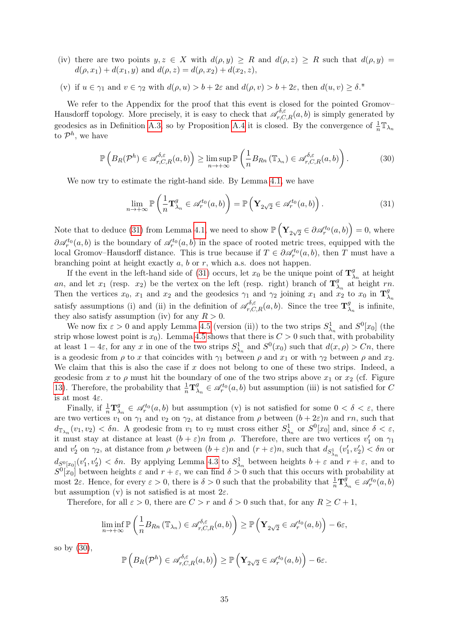- (iv) there are two points  $y, z \in X$  with  $d(\rho, y) \geq R$  and  $d(\rho, z) \geq R$  such that  $d(\rho, y) =$  $d(\rho, x_1) + d(x_1, y)$  and  $d(\rho, z) = d(\rho, x_2) + d(x_2, z)$ ,
- (v) if  $u \in \gamma_1$  and  $v \in \gamma_2$  with  $d(\rho, u) > b + 2\varepsilon$  and  $d(\rho, v) > b + 2\varepsilon$ , then  $d(u, v) > \delta$ ."

We refer to the Appendix for the proof that this event is closed for the pointed Gromov– Hausdorff topology. More precisely, it is easy to check that  $\mathscr{A}_{r,C,R}^{\delta,\varepsilon}(a,b)$  is simply generated by geodesics as in Definition [A.3,](#page-37-0) so by Proposition [A.4](#page-37-1) it is closed. By the convergence of  $\frac{1}{n}\mathbb{T}_{\lambda_n}$ to  $\mathcal{P}^h$ , we have

<span id="page-34-1"></span>
$$
\mathbb{P}\left(B_R(\mathcal{P}^h) \in \mathscr{A}_{r,C,R}^{\delta,\varepsilon}(a,b)\right) \geq \limsup_{n \to +\infty} \mathbb{P}\left(\frac{1}{n} B_{Rn} \left(\mathbb{T}_{\lambda_n}\right) \in \mathscr{A}_{r,C,R}^{\delta,\varepsilon}(a,b)\right). \tag{30}
$$

We now try to estimate the right-hand side. By Lemma [4.1,](#page-29-3) we have

<span id="page-34-0"></span>
$$
\lim_{n \to +\infty} \mathbb{P}\left(\frac{1}{n} \mathbf{T}_{\lambda_n}^g \in \mathscr{A}_r^{t_0}(a, b)\right) = \mathbb{P}\left(\mathbf{Y}_{2\sqrt{2}} \in \mathscr{A}_r^{t_0}(a, b)\right). \tag{31}
$$

Note that to deduce [\(31\)](#page-34-0) from Lemma [4.1,](#page-29-3) we need to show  $\mathbb{P}\left(\mathbf{Y}_{2\sqrt{2}} \in \partial \mathscr{A}^{t_0}_r(a, b)\right) = 0$ , where  $\partial \mathcal{A}_r^{t_0}(a, b)$  is the boundary of  $\mathcal{A}_r^{t_0}(a, b)$  in the space of rooted metric trees, equipped with the local Gromov–Hausdorff distance. This is true because if  $T \in \partial \mathcal{A}_r^{t_0}(a, b)$ , then T must have a branching point at height exactly  $a, b$  or  $r$ , which a.s. does not happen.

If the event in the left-hand side of [\(31\)](#page-34-0) occurs, let  $x_0$  be the unique point of  $\mathbf{T}_2^g$  $\frac{g}{\lambda_n}$  at height an, and let  $x_1$  (resp.  $x_2$ ) be the vertex on the left (resp. right) branch of  $\mathbf{T}_2^g$  $\lambda_n$  at height rn. Then the vertices  $x_0$ ,  $x_1$  and  $x_2$  and the geodesics  $\gamma_1$  and  $\gamma_2$  joining  $x_1$  and  $x_2$  to  $x_0$  in  $\mathbf{T}_2^g$  $\lambda_n$ satisfy assumptions (i) and (ii) in the definition of  $\mathscr{A}_{r,C,R}^{\delta,\varepsilon}(a,b)$ . Since the tree  $\mathbf{T}_{2}^{\delta}$  $\frac{g}{\lambda_n}$  is infinite, they also satisfy assumption (iv) for any  $R > 0$ .

We now fix  $\varepsilon > 0$  and apply Lemma [4.5](#page-31-0) (version (ii)) to the two strips  $S^1_{\lambda_n}$  and  $S^0[x_0]$  (the strip whose lowest point is  $x_0$ ). Lemma [4.5](#page-31-0) shows that there is  $C > 0$  such that, with probability at least  $1-4\varepsilon$ , for any x in one of the two strips  $S^1_{\lambda_n}$  and  $S^0(x_0)$  such that  $d(x,\rho) > Cn$ , there is a geodesic from  $\rho$  to x that coincides with  $\gamma_1$  between  $\rho$  and  $x_1$  or with  $\gamma_2$  between  $\rho$  and  $x_2$ . We claim that this is also the case if  $x$  does not belong to one of these two strips. Indeed, a geodesic from x to  $\rho$  must hit the boundary of one of the two strips above  $x_1$  or  $x_2$  (cf. Figure [13\)](#page-35-0). Therefore, the probability that  $\frac{1}{n} \mathbf{T}_{\lambda}^{g}$  $\mathcal{A}_{\lambda_n}^g \in \mathcal{A}_r^{t_0}(a, b)$  but assumption (iii) is not satisfied for C is at most  $4\varepsilon$ .

Finally, if  $\frac{1}{n} \mathbf{T}_{\lambda}^{g}$  $\mathcal{A}_{\lambda_n}^g \in \mathcal{A}_r^{t_0}(a, b)$  but assumption (v) is not satisfied for some  $0 < \delta < \varepsilon$ , there are two vertices  $v_1$  on  $\gamma_1$  and  $v_2$  on  $\gamma_2$ , at distance from  $\rho$  between  $(b+2\varepsilon)n$  and  $rn$ , such that  $d_{\mathbb{T}_{\lambda_n}}(v_1, v_2) < \delta n$ . A geodesic from  $v_1$  to  $v_2$  must cross either  $S^1_{\lambda_n}$  or  $S^0[x_0]$  and, since  $\delta < \varepsilon$ , it must stay at distance at least  $(b + \varepsilon)n$  from  $\rho$ . Therefore, there are two vertices  $v'_1$  on  $\gamma_1$ and  $v'_2$  on  $\gamma_2$ , at distance from  $\rho$  between  $(b+\varepsilon)n$  and  $(r+\varepsilon)n$ , such that  $d_{S^1_{\lambda_n}}(v'_1, v'_2) < \delta n$  or  $d_{S^0[x_0]}(v'_1, v'_2) < \delta n$ . By applying Lemma [4.3](#page-30-1) to  $S^1_{\lambda_n}$  between heights  $b + \varepsilon$  and  $r + \varepsilon$ , and to  $S^0[x_0]$  between heights  $\varepsilon$  and  $r + \varepsilon$ , we can find  $\delta > 0$  such that this occurs with probability at most  $2\varepsilon$ . Hence, for every  $\varepsilon > 0$ , there is  $\delta > 0$  such that the probability that  $\frac{1}{n}T_{\lambda}^{\tilde{g}}$  $a_{\lambda_n}^g \in \mathscr{A}_r^{t_0}(a,b)$ but assumption (v) is not satisfied is at most  $2\varepsilon$ .

Therefore, for all  $\varepsilon > 0$ , there are  $C > r$  and  $\delta > 0$  such that, for any  $R \ge C + 1$ ,

$$
\liminf_{n\to+\infty} \mathbb{P}\left(\frac{1}{n}B_{Rn}\left(\mathbb{T}_{\lambda_n}\right)\in \mathscr{A}_{r,C,R}^{\delta,\varepsilon}(a,b)\right) \geq \mathbb{P}\left(\mathbf{Y}_{2\sqrt{2}}\in \mathscr{A}_{r}^{t_0}(a,b)\right)-6\varepsilon,
$$

so by [\(30\)](#page-34-1),

$$
\mathbb{P}\left(B_R(\mathcal{P}^h) \in \mathscr{A}_{r,C,R}^{\delta,\varepsilon}(a,b)\right) \geq \mathbb{P}\left(\mathbf{Y}_{2\sqrt{2}} \in \mathscr{A}_r^{t_0}(a,b)\right) - 6\varepsilon.
$$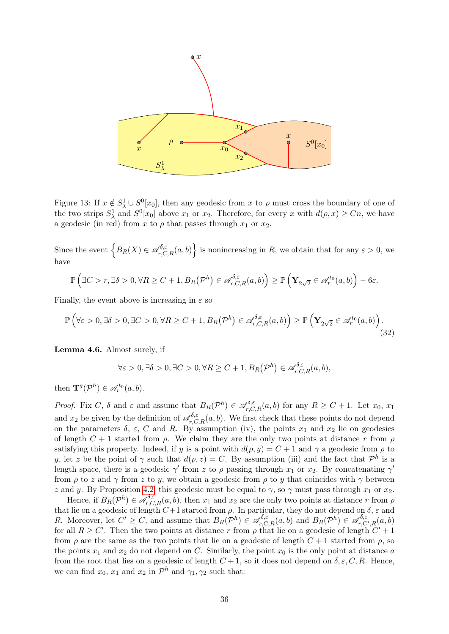

<span id="page-35-0"></span>Figure 13: If  $x \notin S^1_\lambda \cup S^0[x_0]$ , then any geodesic from x to  $\rho$  must cross the boundary of one of the two strips  $S^1_\lambda$  and  $S^0[x_0]$  above  $x_1$  or  $x_2$ . Therefore, for every x with  $d(\rho, x) \geq Cn$ , we have a geodesic (in red) from x to  $\rho$  that passes through  $x_1$  or  $x_2$ .

Since the event  $\left\{B_R(X) \in \mathscr{A}_{r,C,R}^{\delta,\varepsilon}(a,b)\right\}$  is nonincreasing in R, we obtain that for any  $\varepsilon > 0$ , we have

$$
\mathbb{P}\left(\exists C>r,\exists \delta>0,\forall R\geq C+1,B_R\big(\mathcal{P}^h\big)\in\mathscr{A}_{r,C,R}^{\delta,\varepsilon}(a,b)\right)\geq \mathbb{P}\left(\mathbf{Y}_{2\sqrt{2}}\in\mathscr{A}_{r}^{t_0}(a,b)\right)-6\varepsilon.
$$

Finally, the event above is increasing in  $\varepsilon$  so

<span id="page-35-2"></span>
$$
\mathbb{P}\left(\forall \varepsilon > 0, \exists \delta > 0, \exists C > 0, \forall R \ge C + 1, B_R(\mathcal{P}^h) \in \mathscr{A}_{r,C,R}^{\delta,\varepsilon}(a,b)\right) \ge \mathbb{P}\left(\mathbf{Y}_{2\sqrt{2}} \in \mathscr{A}_{r}^{t_0}(a,b)\right). \tag{32}
$$

<span id="page-35-1"></span>Lemma 4.6. Almost surely, if

$$
\forall \varepsilon > 0, \exists \delta > 0, \exists C > 0, \forall R \ge C + 1, B_R(\mathcal{P}^h) \in \mathscr{A}_{r,C,R}^{\delta,\varepsilon}(a,b),
$$

then  $\mathbf{T}^g(\mathcal{P}^h) \in \mathscr{A}_r^{t_0}(a,b)$ .

*Proof.* Fix C,  $\delta$  and  $\varepsilon$  and assume that  $B_R(\mathcal{P}^h) \in \mathscr{A}_{r,C,R}^{\delta,\varepsilon}(a,b)$  for any  $R \geq C+1$ . Let  $x_0, x_1$ and  $x_2$  be given by the definition of  $\mathscr{A}_{r,C,R}^{\delta,\varepsilon}(a,b)$ . We first check that these points do not depend on the parameters  $\delta$ ,  $\varepsilon$ , C and R. By assumption (iv), the points  $x_1$  and  $x_2$  lie on geodesics of length  $C + 1$  started from  $\rho$ . We claim they are the only two points at distance r from  $\rho$ satisfying this property. Indeed, if y is a point with  $d(\rho, y) = C + 1$  and  $\gamma$  a geodesic from  $\rho$  to y, let z be the point of  $\gamma$  such that  $d(\rho, z) = C$ . By assumption (iii) and the fact that  $\mathcal{P}^h$  is a length space, there is a geodesic  $\gamma'$  from z to  $\rho$  passing through  $x_1$  or  $x_2$ . By concatenating  $\gamma'$ from  $\rho$  to z and  $\gamma$  from z to y, we obtain a geodesic from  $\rho$  to y that coincides with  $\gamma$  between z and y. By Proposition [4.2,](#page-29-2) this geodesic must be equal to  $\gamma$ , so  $\gamma$  must pass through  $x_1$  or  $x_2$ .

Hence, if  $B_R(\mathcal{P}^h) \in \mathscr{A}_{r,C,R}^{\delta,\varepsilon}(a,b)$ , then  $x_1$  and  $x_2$  are the only two points at distance r from  $\rho$ that lie on a geodesic of length  $C+1$  started from  $\rho$ . In particular, they do not depend on  $\delta$ ,  $\varepsilon$  and R. Moreover, let  $C' \geq C$ , and assume that  $B_R(\mathcal{P}^h) \in \mathscr{A}_{r,C,R}^{\delta,\varepsilon}(a,b)$  and  $B_R(\mathcal{P}^h) \in \mathscr{A}_{r,C,R}^{\delta,\varepsilon}$  $\tilde{f}^{o,\varepsilon}_{r,C',R}(a,b)$ for all  $R \geq C'$ . Then the two points at distance r from  $\rho$  that lie on a geodesic of length  $C' + 1$ from  $\rho$  are the same as the two points that lie on a geodesic of length  $C + 1$  started from  $\rho$ , so the points  $x_1$  and  $x_2$  do not depend on C. Similarly, the point  $x_0$  is the only point at distance a from the root that lies on a geodesic of length  $C + 1$ , so it does not depend on  $\delta, \varepsilon, C, R$ . Hence, we can find  $x_0$ ,  $x_1$  and  $x_2$  in  $\mathcal{P}^h$  and  $\gamma_1, \gamma_2$  such that: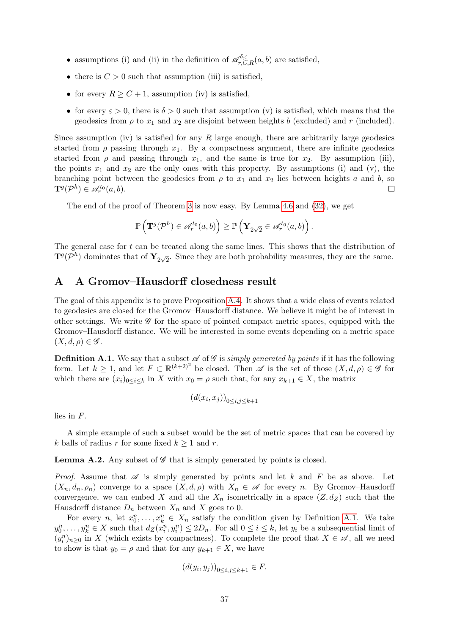- assumptions (i) and (ii) in the definition of  $\mathscr{A}_{r,C,R}^{\delta,\varepsilon}(a,b)$  are satisfied,
- there is  $C > 0$  such that assumption (iii) is satisfied,
- for every  $R \geq C+1$ , assumption (iv) is satisfied,
- for every  $\varepsilon > 0$ , there is  $\delta > 0$  such that assumption (v) is satisfied, which means that the geodesics from  $\rho$  to  $x_1$  and  $x_2$  are disjoint between heights b (excluded) and r (included).

Since assumption (iv) is satisfied for any  $R$  large enough, there are arbitrarily large geodesics started from  $\rho$  passing through  $x_1$ . By a compactness argument, there are infinite geodesics started from  $\rho$  and passing through  $x_1$ , and the same is true for  $x_2$ . By assumption (iii), the points  $x_1$  and  $x_2$  are the only ones with this property. By assumptions (i) and (v), the branching point between the geodesics from  $\rho$  to  $x_1$  and  $x_2$  lies between heights a and b, so  $\mathbf{T}^{g}(\mathcal{P}^h) \in \mathscr{A}_{r}^{t_0}(a,b).$  $\Box$ 

The end of the proof of Theorem [3](#page-3-1) is now easy. By Lemma [4.6](#page-35-1) and [\(32\)](#page-35-2), we get

$$
\mathbb{P}\left(\mathbf{T}^g(\mathcal{P}^h) \in \mathscr{A}_r^{t_0}(a,b)\right) \geq \mathbb{P}\left(\mathbf{Y}_{2\sqrt{2}} \in \mathscr{A}_r^{t_0}(a,b)\right).
$$

The general case for  $t$  can be treated along the same lines. This shows that the distribution of  $\mathbf{T}^g(\mathcal{P}^h)$  dominates that of  $\mathbf{Y}_{2\sqrt{2}}$ . Since they are both probability measures, they are the same.

## <span id="page-36-0"></span>A A Gromov–Hausdorff closedness result

The goal of this appendix is to prove Proposition [A.4.](#page-37-1) It shows that a wide class of events related to geodesics are closed for the Gromov–Hausdorff distance. We believe it might be of interest in other settings. We write  $\mathscr G$  for the space of pointed compact metric spaces, equipped with the Gromov–Hausdorff distance. We will be interested in some events depending on a metric space  $(X, d, \rho) \in \mathscr{G}$ .

<span id="page-36-1"></span>**Definition A.1.** We say that a subset  $\mathscr A$  of  $\mathscr G$  is simply generated by points if it has the following form. Let  $k \geq 1$ , and let  $F \subset \mathbb{R}^{(k+2)^2}$  be closed. Then  $\mathscr A$  is the set of those  $(X, d, \rho) \in \mathscr G$  for which there are  $(x_i)_{0\leq i\leq k}$  in X with  $x_0 = \rho$  such that, for any  $x_{k+1} \in X$ , the matrix

$$
(d(x_i, x_j))_{0 \le i, j \le k+1}
$$

lies in F.

A simple example of such a subset would be the set of metric spaces that can be covered by k balls of radius r for some fixed  $k \geq 1$  and r.

<span id="page-36-2"></span>**Lemma A.2.** Any subset of  $\mathscr G$  that is simply generated by points is closed.

*Proof.* Assume that  $\mathscr A$  is simply generated by points and let k and F be as above. Let  $(X_n, d_n, \rho_n)$  converge to a space  $(X, d, \rho)$  with  $X_n \in \mathscr{A}$  for every n. By Gromov–Hausdorff convergence, we can embed X and all the  $X_n$  isometrically in a space  $(Z, d_Z)$  such that the Hausdorff distance  $D_n$  between  $X_n$  and X goes to 0.

For every *n*, let  $x_0^n, \ldots, x_k^n \in X_n$  satisfy the condition given by Definition [A.1.](#page-36-1) We take  $y_0^n, \ldots, y_k^n \in X$  such that  $d_Z(x_i^n, y_i^n) \leq 2D_n$ . For all  $0 \leq i \leq k$ , let  $y_i$  be a subsequential limit of  $(y_i^n)_{n\geq 0}$  in X (which exists by compactness). To complete the proof that  $X \in \mathscr{A}$ , all we need to show is that  $y_0 = \rho$  and that for any  $y_{k+1} \in X$ , we have

$$
(d(y_i, y_j))_{0 \le i, j \le k+1} \in F.
$$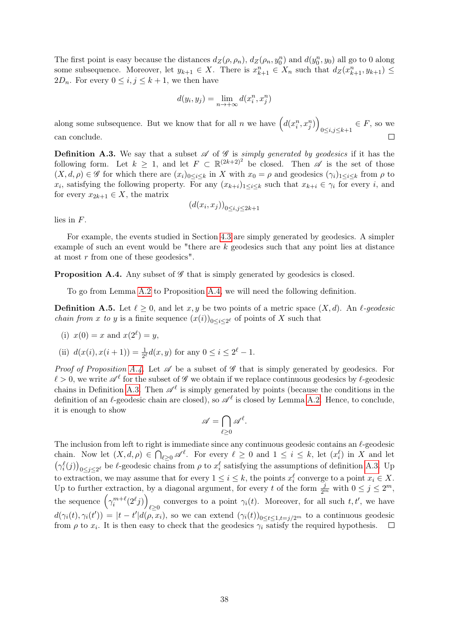The first point is easy because the distances  $d_Z(\rho, \rho_n)$ ,  $d_Z(\rho_n, y_0^n)$  and  $d(y_0^n, y_0)$  all go to 0 along some subsequence. Moreover, let  $y_{k+1} \in X$ . There is  $x_{k+1}^n \in X_n$  such that  $d_Z(x_{k+1}^n, y_{k+1}) \leq$ 2D<sub>n</sub>. For every  $0 \leq i, j \leq k+1$ , we then have

$$
d(y_i, y_j) = \lim_{n \to +\infty} d(x_i^n, x_j^n)
$$

along some subsequence. But we know that for all n we have  $(d(x_i^n, x_j^n))$  $_{0\leq i,j\leq k+1}\in F$ , so we can conclude.  $\Box$ 

<span id="page-37-0"></span>**Definition A.3.** We say that a subset  $\mathscr A$  of  $\mathscr G$  is simply generated by geodesics if it has the following form. Let  $k \geq 1$ , and let  $F \subset \mathbb{R}^{(2k+2)^2}$  be closed. Then  $\mathscr A$  is the set of those  $(X, d, \rho) \in \mathscr{G}$  for which there are  $(x_i)_{0 \leq i \leq k}$  in X with  $x_0 = \rho$  and geodesics  $(\gamma_i)_{1 \leq i \leq k}$  from  $\rho$  to  $x_i$ , satisfying the following property. For any  $(x_{k+i})_{1\leq i\leq k}$  such that  $x_{k+i}\in\gamma_i$  for every i, and for every  $x_{2k+1} \in X$ , the matrix

$$
(d(x_i, x_j))_{0 \le i, j \le 2k+1}
$$

lies in F.

For example, the events studied in Section [4.3](#page-33-0) are simply generated by geodesics. A simpler example of such an event would be "there are  $k$  geodesics such that any point lies at distance at most r from one of these geodesics".

<span id="page-37-1"></span>**Proposition A.4.** Any subset of  $\mathscr G$  that is simply generated by geodesics is closed.

To go from Lemma [A.2](#page-36-2) to Proposition [A.4,](#page-37-1) we will need the following definition.

**Definition A.5.** Let  $\ell \geq 0$ , and let x, y be two points of a metric space  $(X, d)$ . An  $\ell$ -geodesic *chain from x to y* is a finite sequence  $(x(i))_{0 \leq i \leq 2^{\ell}}$  of points of X such that

(i) 
$$
x(0) = x
$$
 and  $x(2^{\ell}) = y$ ,

(ii)  $d(x(i), x(i+1)) = \frac{1}{2^{\ell}}d(x, y)$  for any  $0 \le i \le 2^{\ell} - 1$ .

*Proof of Proposition [A.4.](#page-37-1)* Let  $\mathscr A$  be a subset of  $\mathscr G$  that is simply generated by geodesics. For  $\ell > 0$ , we write  $\mathscr{A}^{\ell}$  for the subset of  $\mathscr{G}$  we obtain if we replace continuous geodesics by  $\ell$ -geodesic chains in Definition [A.3.](#page-37-0) Then  $\mathscr{A}^{\ell}$  is simply generated by points (because the conditions in the definition of an  $\ell$ -geodesic chain are closed), so  $\mathscr{A}^{\ell}$  is closed by Lemma [A.2.](#page-36-2) Hence, to conclude, it is enough to show

$$
\mathscr{A} = \bigcap_{\ell \geq 0} \mathscr{A}^{\ell}.
$$

The inclusion from left to right is immediate since any continuous geodesic contains an  $\ell$ -geodesic chain. Now let  $(X, d, \rho) \in \bigcap_{\ell \geq 0} \mathscr{A}^{\ell}$ . For every  $\ell \geq 0$  and  $1 \leq i \leq k$ , let  $(x_i^{\ell})$  in X and let  $(\gamma_i^{\ell}(j))_{0 \leq j \leq 2^{\ell}}$  be  $\ell$ -geodesic chains from  $\rho$  to  $x_i^{\ell}$  satisfying the assumptions of definition [A.3.](#page-37-0) Up to extraction, we may assume that for every  $1 \leq i \leq k$ , the points  $x_i^{\ell}$  converge to a point  $x_i \in X$ . Up to further extraction, by a diagonal argument, for every t of the form  $\frac{j}{2^m}$  with  $0 \le j \le 2^m$ , the sequence  $(\gamma_i^{m+\ell}(2^{\ell}j))$ converges to a point  $\gamma_i(t)$ . Moreover, for all such  $t, t'$ , we have  $d(\gamma_i(t), \gamma_i(t')) = |t - t'| d(\rho, x_i)$ , so we can extend  $(\gamma_i(t))_{0 \le t \le 1, t=j/2^m}$  to a continuous geodesic from  $\rho$  to  $x_i$ . It is then easy to check that the geodesics  $\gamma_i$  satisfy the required hypothesis.  $\Box$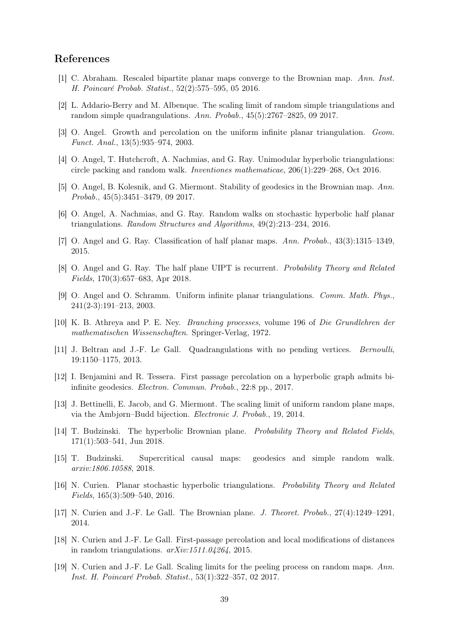### References

- <span id="page-38-8"></span>[1] C. Abraham. Rescaled bipartite planar maps converge to the Brownian map. Ann. Inst. H. Poincaré Probab. Statist., 52(2):575–595, 05 2016.
- <span id="page-38-9"></span>[2] L. Addario-Berry and M. Albenque. The scaling limit of random simple triangulations and random simple quadrangulations. Ann. Probab., 45(5):2767–2825, 09 2017.
- <span id="page-38-3"></span>[3] O. Angel. Growth and percolation on the uniform infinite planar triangulation. Geom. Funct. Anal., 13(5):935–974, 2003.
- <span id="page-38-7"></span>[4] O. Angel, T. Hutchcroft, A. Nachmias, and G. Ray. Unimodular hyperbolic triangulations: circle packing and random walk. Inventiones mathematicae, 206(1):229–268, Oct 2016.
- <span id="page-38-18"></span>[5] O. Angel, B. Kolesnik, and G. Miermont. Stability of geodesics in the Brownian map. Ann. Probab., 45(5):3451–3479, 09 2017.
- <span id="page-38-14"></span>[6] O. Angel, A. Nachmias, and G. Ray. Random walks on stochastic hyperbolic half planar triangulations. Random Structures and Algorithms, 49(2):213–234, 2016.
- <span id="page-38-5"></span>[7] O. Angel and G. Ray. Classification of half planar maps. Ann. Probab., 43(3):1315–1349, 2015.
- <span id="page-38-16"></span>[8] O. Angel and G. Ray. The half plane UIPT is recurrent. Probability Theory and Related Fields, 170(3):657–683, Apr 2018.
- <span id="page-38-2"></span>[9] O. Angel and O. Schramm. Uniform infinite planar triangulations. Comm. Math. Phys., 241(2-3):191–213, 2003.
- <span id="page-38-17"></span>[10] K. B. Athreya and P. E. Ney. Branching processes, volume 196 of Die Grundlehren der mathematischen Wissenschaften. Springer-Verlag, 1972.
- <span id="page-38-10"></span>[11] J. Beltran and J.-F. Le Gall. Quadrangulations with no pending vertices. Bernoulli, 19:1150–1175, 2013.
- <span id="page-38-6"></span>[12] I. Benjamini and R. Tessera. First passage percolation on a hyperbolic graph admits biinfinite geodesics. Electron. Commun. Probab., 22:8 pp., 2017.
- <span id="page-38-11"></span>[13] J. Bettinelli, E. Jacob, and G. Miermont. The scaling limit of uniform random plane maps, via the Ambjørn–Budd bijection. Electronic J. Probab., 19, 2014.
- <span id="page-38-4"></span>[14] T. Budzinski. The hyperbolic Brownian plane. Probability Theory and Related Fields, 171(1):503–541, Jun 2018.
- <span id="page-38-1"></span>[15] T. Budzinski. Supercritical causal maps: geodesics and simple random walk. arxiv:1806.10588, 2018.
- <span id="page-38-0"></span>[16] N. Curien. Planar stochastic hyperbolic triangulations. Probability Theory and Related Fields, 165(3):509–540, 2016.
- <span id="page-38-13"></span>[17] N. Curien and J.-F. Le Gall. The Brownian plane. J. Theoret. Probab., 27(4):1249–1291, 2014.
- <span id="page-38-12"></span>[18] N. Curien and J.-F. Le Gall. First-passage percolation and local modifications of distances in random triangulations. arXiv:1511.04264, 2015.
- <span id="page-38-15"></span>[19] N. Curien and J.-F. Le Gall. Scaling limits for the peeling process on random maps. Ann. Inst. H. Poincaré Probab. Statist., 53(1):322–357, 02 2017.